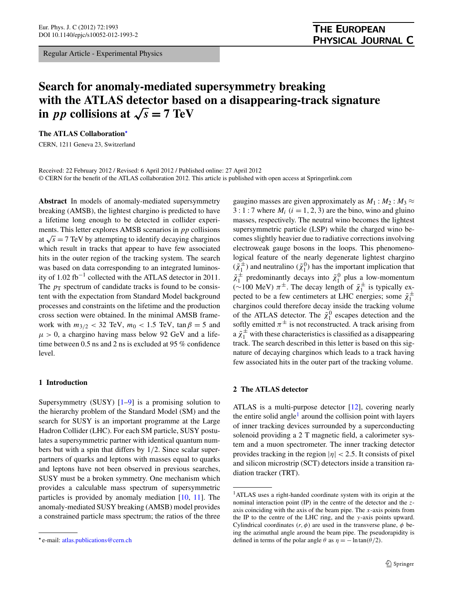Regular Article - Experimental Physics

# **Search for anomaly-mediated supersymmetry breaking with the ATLAS detector based on a disappearing-track signature in** *pp* collisions at  $\sqrt{s} = 7$  TeV

**The ATLAS Collaboration***[-](#page-0-0)*

CERN, 1211 Geneva 23, Switzerland

Received: 22 February 2012 / Revised: 6 April 2012 / Published online: 27 April 2012 © CERN for the benefit of the ATLAS collaboration 2012. This article is published with open access at Springerlink.com

**Abstract** In models of anomaly-mediated supersymmetry breaking (AMSB), the lightest chargino is predicted to have a lifetime long enough to be detected in collider experiments. This letter explores AMSB scenarios in *pp* collisions at  $\sqrt{s}$  = 7 TeV by attempting to identify decaying charginos which result in tracks that appear to have few associated hits in the outer region of the tracking system. The search was based on data corresponding to an integrated luminosity of 1*.*02 fb−<sup>1</sup> collected with the ATLAS detector in 2011. The  $p_T$  spectrum of candidate tracks is found to be consistent with the expectation from Standard Model background processes and constraints on the lifetime and the production cross section were obtained. In the minimal AMSB framework with  $m_{3/2}$  < 32 TeV,  $m_0$  < 1.5 TeV,  $\tan \beta = 5$  and  $\mu > 0$ , a chargino having mass below 92 GeV and a lifetime between 0.5 ns and 2 ns is excluded at 95 % confidence level.

### **1 Introduction**

Supersymmetry (SUSY)  $[1-9]$  $[1-9]$  is a promising solution to the hierarchy problem of the Standard Model (SM) and the search for SUSY is an important programme at the Large Hadron Collider (LHC). For each SM particle, SUSY postulates a supersymmetric partner with identical quantum numbers but with a spin that differs by 1*/*2. Since scalar superpartners of quarks and leptons with masses equal to quarks and leptons have not been observed in previous searches, SUSY must be a broken symmetry. One mechanism which provides a calculable mass spectrum of supersymmetric particles is provided by anomaly mediation [\[10](#page-6-2), [11\]](#page-6-3). The anomaly-mediated SUSY breaking (AMSB) model provides a constrained particle mass spectrum; the ratios of the three

gaugino masses are given approximately as  $M_1 : M_2 : M_3 \approx$  $3:1:7$  where  $M_i$   $(i = 1, 2, 3)$  are the bino, wino and gluino masses, respectively. The neutral wino becomes the lightest supersymmetric particle (LSP) while the charged wino becomes slightly heavier due to radiative corrections involving electroweak gauge bosons in the loops. This phenomenological feature of the nearly degenerate lightest chargino  $(\tilde{\chi}_1^{\pm})$  and neutralino  $(\tilde{\chi}_1^0)$  has the important implication that  $\tilde{\chi}_1^{\pm}$  predominantly decays into  $\tilde{\chi}_1^0$  plus a low-momentum (∼100 MeV)  $\pi^{\pm}$ . The decay length of  $\tilde{\chi}^{\pm}$  is typically expected to be a few centimeters at LHC energies; some  $\tilde{\chi}_1^{\pm}$ charginos could therefore decay inside the tracking volume of the ATLAS detector. The  $\tilde{\chi}_1^0$  escapes detection and the softly emitted  $\pi^{\pm}$  is not reconstructed. A track arising from a  $\tilde{\chi}_1^{\pm}$  with these characteristics is classified as a disappearing track. The search described in this letter is based on this signature of decaying charginos which leads to a track having few associated hits in the outer part of the tracking volume.

## **2 The ATLAS detector**

<span id="page-0-1"></span>ATLAS is a multi-purpose detector [\[12](#page-6-4)], covering nearly the entire solid angle<sup>[1](#page-0-1)</sup> around the collision point with layers of inner tracking devices surrounded by a superconducting solenoid providing a 2 T magnetic field, a calorimeter system and a muon spectrometer. The inner tracking detector provides tracking in the region  $|\eta| < 2.5$ . It consists of pixel and silicon microstrip (SCT) detectors inside a transition radiation tracker (TRT).

<span id="page-0-0"></span>*<sup>-</sup>* e-mail: [atlas.publications@cern.ch](mailto:atlas.publications@cern.ch)

<sup>1</sup>ATLAS uses a right-handed coordinate system with its origin at the nominal interaction point (IP) in the centre of the detector and the *z*axis coinciding with the axis of the beam pipe. The *x*-axis points from the IP to the centre of the LHC ring, and the *y*-axis points upward. Cylindrical coordinates  $(r, \phi)$  are used in the transverse plane,  $\phi$  being the azimuthal angle around the beam pipe. The pseudorapidity is defined in terms of the polar angle  $\theta$  as  $\eta = -\ln \tan(\theta/2)$ .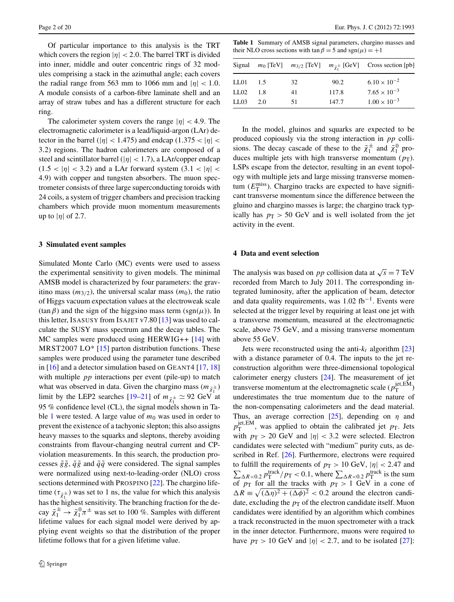Of particular importance to this analysis is the TRT which covers the region  $|\eta|$  < 2.0. The barrel TRT is divided into inner, middle and outer concentric rings of 32 modules comprising a stack in the azimuthal angle; each covers the radial range from 563 mm to 1066 mm and  $|\eta|$  < 1.0. A module consists of a carbon-fibre laminate shell and an array of straw tubes and has a different structure for each ring.

The calorimeter system covers the range |*η*| *<* 4*.*9. The electromagnetic calorimeter is a lead/liquid-argon (LAr) detector in the barrel ( $|\eta|$  < 1.475) and endcap (1.375 <  $|\eta|$  < 3*.*2) regions. The hadron calorimeters are composed of a steel and scintillator barrel (|*η*| *<* 1*.*7), a LAr/copper endcap  $(1.5 < |\eta| < 3.2)$  and a LAr forward system  $(3.1 < |\eta| < 1.5)$ 4*.*9) with copper and tungsten absorbers. The muon spectrometer consists of three large superconducting toroids with 24 coils, a system of trigger chambers and precision tracking chambers which provide muon momentum measurements up to  $|\eta|$  of 2.7.

## **3 Simulated event samples**

Simulated Monte Carlo (MC) events were used to assess the experimental sensitivity to given models. The minimal AMSB model is characterized by four parameters: the gravitino mass  $(m_{3/2})$ , the universal scalar mass  $(m_0)$ , the ratio of Higgs vacuum expectation values at the electroweak scale  $(\tan \beta)$  and the sign of the higgsino mass term  $(\text{sgn}(\mu))$ . In this letter, ISASUSY from ISAJET v7.80 [\[13](#page-6-5)] was used to calculate the SUSY mass spectrum and the decay tables. The MC samples were produced using HERWIG++ [[14\]](#page-6-6) with MRST2007 LO $*$  [\[15](#page-6-7)] parton distribution functions. These samples were produced using the parameter tune described in [\[16](#page-6-8)] and a detector simulation based on GEANT4 [[17,](#page-6-9) [18\]](#page-6-10) with multiple *pp* interactions per event (pile-up) to match what was observed in data. Given the chargino mass  $(m_{\tilde{\chi}_1^{\pm}})$ limit by the LEP2 searches [[19–](#page-6-11)[21\]](#page-6-12) of  $m_{\tilde{\chi}^{\pm}} \simeq 92$  GeV at 95 % confidence level (CL), the signal models shown in Ta-ble [1](#page-1-0) were tested. A large value of  $m_0$  was used in order to prevent the existence of a tachyonic slepton; this also assigns heavy masses to the squarks and sleptons, thereby avoiding constraints from flavour-changing neutral current and CPviolation measurements. In this search, the production processes  $\tilde{g}\tilde{g}$ ,  $\tilde{q}\tilde{g}$  and  $\tilde{q}\tilde{q}$  were considered. The signal samples were normalized using next-to-leading-order (NLO) cross sections determined with PROSPINO [\[22](#page-6-13)]. The chargino lifetime ( $\tau_{\tilde{\chi}_1^{\pm}}$ ) was set to 1 ns, the value for which this analysis has the highest sensitivity. The branching fraction for the decay  $\tilde{\chi}_1^{\pm} \rightarrow \tilde{\chi}_1^0 \pi^{\pm}$  was set to 100 %. Samples with different lifetime values for each signal model were derived by applying event weights so that the distribution of the proper lifetime follows that for a given lifetime value.

<span id="page-1-0"></span>**Table 1** Summary of AMSB signal parameters, chargino masses and their NLO cross sections with  $\tan \beta = 5$  and  $sgn(\mu) = +1$ 

|      |     |    |       | Signal $m_0$ [TeV] $m_{3/2}$ [TeV] $m_{\tilde{\chi}_1^{\pm}}$ [GeV] Cross section [pb] |
|------|-----|----|-------|----------------------------------------------------------------------------------------|
| LL01 | 1.5 | 32 | 90.2  | $6.10 \times 10^{-2}$                                                                  |
| LL02 | 1.8 | 41 | 117.8 | $7.65 \times 10^{-3}$                                                                  |
| LL03 | 20  | 51 | 147.7 | $1.00 \times 10^{-3}$                                                                  |

In the model, gluinos and squarks are expected to be produced copiously via the strong interaction in *pp* collisions. The decay cascade of these to the  $\tilde{\chi}_1^{\pm}$  and  $\tilde{\chi}_1^0$  produces multiple jets with high transverse momentum  $(p_T)$ . LSPs escape from the detector, resulting in an event topology with multiple jets and large missing transverse momentum  $(E_{\text{T}}^{\text{miss}})$ . Chargino tracks are expected to have significant transverse momentum since the difference between the gluino and chargino masses is large; the chargino track typically has  $p_T > 50$  GeV and is well isolated from the jet activity in the event.

#### **4 Data and event selection**

The analysis was based on *pp* collision data at  $\sqrt{s} = 7$  TeV recorded from March to July 2011. The corresponding integrated luminosity, after the application of beam, detector and data quality requirements, was  $1.02$  fb<sup>-1</sup>. Events were selected at the trigger level by requiring at least one jet with a transverse momentum, measured at the electromagnetic scale, above 75 GeV, and a missing transverse momentum above 55 GeV.

Jets were reconstructed using the anti- $k_t$  algorithm [[23\]](#page-6-14) with a distance parameter of 0.4. The inputs to the jet reconstruction algorithm were three-dimensional topological calorimeter energy clusters [[24](#page-6-15)]. The measurement of jet transverse momentum at the electromagnetic scale  $(p_T^{\text{jet,EM}})$ underestimates the true momentum due to the nature of the non-compensating calorimeters and the dead material. Thus, an average correction [\[25](#page-6-16)], depending on *η* and  $p_{\rm T}^{\rm jet, EM}$ , was applied to obtain the calibrated jet  $p_{\rm T}$ . Jets with  $p_T > 20$  GeV and  $|\eta| < 3.2$  were selected. Electron candidates were selected with "medium" purity cuts, as described in Ref. [\[26](#page-6-17)]. Furthermore, electrons were required  $\sum_{\Delta R < 0.2} p_{\text{T}}^{\text{track}}/p_{\text{T}} < 0.1$ , where  $\sum_{\Delta R < 0.2} p_{\text{T}}^{\text{track}}$  is the sum to fulfill the requirements of  $p_T > 10$  GeV,  $|\eta| < 2.47$  and of  $p_T$  for all the tracks with  $p_T > 1$  GeV in a cone of  $\Delta R \equiv \sqrt{(\Delta \eta)^2 + (\Delta \phi)^2}$  < 0.2 around the electron candidate, excluding the  $p<sub>T</sub>$  of the electron candidate itself. Muon candidates were identified by an algorithm which combines a track reconstructed in the muon spectrometer with a track in the inner detector. Furthermore, muons were required to have  $p_T > 10$  GeV and  $|\eta| < 2.7$ , and to be isolated [[27\]](#page-6-18):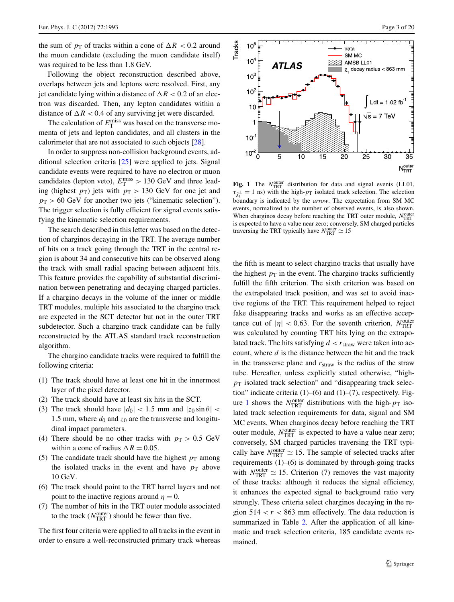the sum of  $p_T$  of tracks within a cone of  $\Delta R < 0.2$  around the muon candidate (excluding the muon candidate itself) was required to be less than 1.8 GeV.

Following the object reconstruction described above, overlaps between jets and leptons were resolved. First, any jet candidate lying within a distance of  $\Delta R < 0.2$  of an electron was discarded. Then, any lepton candidates within a distance of  $\Delta R < 0.4$  of any surviving jet were discarded.

The calculation of  $E_{\rm T}^{\rm miss}$  was based on the transverse momenta of jets and lepton candidates, and all clusters in the calorimeter that are not associated to such objects [\[28](#page-6-19)].

In order to suppress non-collision background events, additional selection criteria [\[25](#page-6-16)] were applied to jets. Signal candidate events were required to have no electron or muon candidates (lepton veto),  $E_{\rm T}^{\rm miss} > 130 \text{ GeV}$  and three leading (highest  $p_T$ ) jets with  $p_T > 130$  GeV for one jet and  $p_T > 60$  GeV for another two jets ("kinematic selection"). The trigger selection is fully efficient for signal events satisfying the kinematic selection requirements.

The search described in this letter was based on the detection of charginos decaying in the TRT. The average number of hits on a track going through the TRT in the central region is about 34 and consecutive hits can be observed along the track with small radial spacing between adjacent hits. This feature provides the capability of substantial discrimination between penetrating and decaying charged particles. If a chargino decays in the volume of the inner or middle TRT modules, multiple hits associated to the chargino track are expected in the SCT detector but not in the outer TRT subdetector. Such a chargino track candidate can be fully reconstructed by the ATLAS standard track reconstruction algorithm.

The chargino candidate tracks were required to fulfill the following criteria:

- (1) The track should have at least one hit in the innermost layer of the pixel detector.
- (2) The track should have at least six hits in the SCT.
- (3) The track should have  $|d_0| < 1.5$  mm and  $|z_0 \sin \theta| <$ 1.5 mm, where  $d_0$  and  $z_0$  are the transverse and longitudinal impact parameters.
- (4) There should be no other tracks with  $p_T > 0.5$  GeV within a cone of radius  $\Delta R = 0.05$ .
- (5) The candidate track should have the highest  $p_T$  among the isolated tracks in the event and have  $p_T$  above 10 GeV.
- (6) The track should point to the TRT barrel layers and not point to the inactive regions around  $\eta = 0$ .
- (7) The number of hits in the TRT outer module associated to the track  $(N_{\text{TRT}}^{\text{outer}})$  should be fewer than five.

The first four criteria were applied to all tracks in the event in order to ensure a well-reconstructed primary track whereas



<span id="page-2-0"></span>Fig. 1 The *N*<sup>outer</sup> distribution for data and signal events (LL01,  $\tau_{\tilde{\chi}_1^{\pm}} = 1$  ns) with the high- $p_T$  isolated track selection. The selection boundary is indicated by the *arrow*. The expectation from SM MC events, normalized to the number of observed events, is also shown. When charginos decay before reaching the TRT outer module,  $N_{\text{TRT}}^{\text{outer}}$ is expected to have a value near zero; conversely, SM charged particles traversing the TRT typically have  $N_{\text{TRT}}^{\text{outer}} \simeq 15$ 

the fifth is meant to select chargino tracks that usually have the highest  $p_T$  in the event. The chargino tracks sufficiently fulfill the fifth criterion. The sixth criterion was based on the extrapolated track position, and was set to avoid inactive regions of the TRT. This requirement helped to reject fake disappearing tracks and works as an effective acceptance cut of  $|\eta| < 0.63$ . For the seventh criterion,  $N_{\text{TRT}}^{\text{outer}}$ was calculated by counting TRT hits lying on the extrapolated track. The hits satisfying  $d < r_{\text{straw}}$  were taken into account, where *d* is the distance between the hit and the track in the transverse plane and  $r_{\text{straw}}$  is the radius of the straw tube. Hereafter, unless explicitly stated otherwise, "high $p<sub>T</sub>$  isolated track selection" and "disappearing track selection" indicate criteria (1)–(6) and (1)–(7), respectively. Fig-ure [1](#page-2-0) shows the  $N_{\text{TRT}}^{\text{outer}}$  distributions with the high- $p_{\text{T}}$  isolated track selection requirements for data, signal and SM MC events. When charginos decay before reaching the TRT outer module,  $N_{\text{TRT}}^{\text{outer}}$  is expected to have a value near zero; conversely, SM charged particles traversing the TRT typically have  $N_{\text{TRT}}^{\text{outer}} \simeq 15$ . The sample of selected tracks after requirements  $(1)$ – $(6)$  is dominated by through-going tracks with  $N_{\text{TRT}}^{\text{outer}} \simeq 15$ . Criterion (7) removes the vast majority of these tracks: although it reduces the signal efficiency, it enhances the expected signal to background ratio very strongly. These criteria select charginos decaying in the region  $514 < r < 863$  mm effectively. The data reduction is summarized in Table [2](#page-3-0). After the application of all kinematic and track selection criteria, 185 candidate events remained.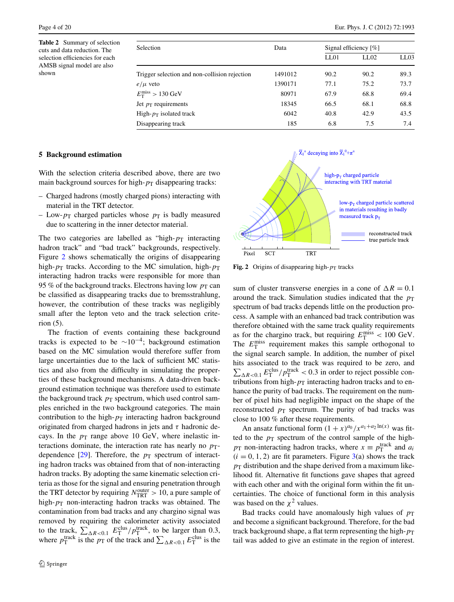<span id="page-3-0"></span>**Table 2** Summary of selection cuts and data reduction. The selection efficiencies for each AMSB signal model are also shown

| <b>Selection</b>                              | Data    | Signal efficiency $[\%]$ |      |      |  |  |  |
|-----------------------------------------------|---------|--------------------------|------|------|--|--|--|
|                                               |         | LL01                     | LL02 | LL03 |  |  |  |
| Trigger selection and non-collision rejection | 1491012 | 90.2                     | 90.2 | 89.3 |  |  |  |
| $e/\mu$ veto                                  | 1390171 | 77.1                     | 75.2 | 73.7 |  |  |  |
| $E_{\rm T}^{\rm miss} > 130~{\rm GeV}$        | 80971   | 67.9                     | 68.8 | 69.4 |  |  |  |
| Jet $p_T$ requirements                        | 18345   | 66.5                     | 68.1 | 68.8 |  |  |  |
| High- $p_T$ isolated track                    | 6042    | 40.8                     | 42.9 | 43.5 |  |  |  |
| Disappearing track                            | 185     | 6.8                      | 7.5  | 7.4  |  |  |  |

# **5 Background estimation**

With the selection criteria described above, there are two main background sources for high- $p<sub>T</sub>$  disappearing tracks:

- Charged hadrons (mostly charged pions) interacting with material in the TRT detector.
- Low- $p_T$  charged particles whose  $p_T$  is badly measured due to scattering in the inner detector material.

The two categories are labelled as "high- $p<sub>T</sub>$  interacting hadron track" and "bad track" backgrounds, respectively. Figure [2](#page-3-1) shows schematically the origins of disappearing high- $p_T$  tracks. According to the MC simulation, high- $p_T$ interacting hadron tracks were responsible for more than 95 % of the background tracks. Electrons having low  $p_T$  can be classified as disappearing tracks due to bremsstrahlung, however, the contribution of these tracks was negligibly small after the lepton veto and the track selection criterion (5).

The fraction of events containing these background tracks is expected to be  $\sim 10^{-4}$ ; background estimation based on the MC simulation would therefore suffer from large uncertainties due to the lack of sufficient MC statistics and also from the difficulty in simulating the properties of these background mechanisms. A data-driven background estimation technique was therefore used to estimate the background track  $p_T$  spectrum, which used control samples enriched in the two background categories. The main contribution to the high- $p<sub>T</sub>$  interacting hadron background originated from charged hadrons in jets and *τ* hadronic decays. In the  $p_T$  range above 10 GeV, where inelastic interactions dominate, the interaction rate has nearly no  $p_T$ dependence  $[29]$  $[29]$ . Therefore, the  $p_T$  spectrum of interacting hadron tracks was obtained from that of non-interacting hadron tracks. By adopting the same kinematic selection criteria as those for the signal and ensuring penetration through the TRT detector by requiring  $N_{\text{TRT}}^{\text{outer}} > 10$ , a pure sample of high- $p_T$  non-interacting hadron tracks was obtained. The contamination from bad tracks and any chargino signal was removed by requiring the calorimeter activity associated to the track,  $\sum_{\Delta R < 0.1} E_{\text{T}}^{\text{clus}} / p_{\text{T}}^{\text{track}}$ , to be larger than 0.3, where  $p_{\text{T}}^{\text{track}}$  is the  $p_{\text{T}}$  of the track and  $\sum_{\Delta R < 0.1} E_{\text{T}}^{\text{clus}}$  is the

<span id="page-3-1"></span>

**Fig. 2** Origins of disappearing high- $p_T$  tracks

sum of cluster transverse energies in a cone of  $\Delta R = 0.1$ around the track. Simulation studies indicated that the  $p<sub>T</sub>$ spectrum of bad tracks depends little on the production process. A sample with an enhanced bad track contribution was therefore obtained with the same track quality requirements as for the chargino track, but requiring  $E_{\rm T}^{\rm miss}$  < 100 GeV. The  $E_{\rm T}^{\rm miss}$  requirement makes this sample orthogonal to the signal search sample. In addition, the number of pixel hits associated to the track was required to be zero, and  $\sum_{\Delta R < 0.1} E_{\rm T}^{\rm clus} / p_{\rm T}^{\rm track} < 0.3$  in order to reject possible contributions from high- $p_T$  interacting hadron tracks and to enhance the purity of bad tracks. The requirement on the number of pixel hits had negligible impact on the shape of the reconstructed  $p_T$  spectrum. The purity of bad tracks was close to 100 % after these requirements.

An ansatz functional form  $(1 + x)^{a_0} / x^{a_1 + a_2 \ln(x)}$  was fitted to the  $p_T$  spectrum of the control sample of the high $p_T$  non-interacting hadron tracks, where  $x \equiv p_T^{\text{track}}$  and  $a_i$  $(i = 0, 1, 2)$  are fit parameters. Figure  $3(a)$  $3(a)$  shows the track  $p<sub>T</sub>$  distribution and the shape derived from a maximum likelihood fit. Alternative fit functions gave shapes that agreed with each other and with the original form within the fit uncertainties. The choice of functional form in this analysis was based on the  $\chi^2$  values.

Bad tracks could have anomalously high values of  $p<sub>T</sub>$ and become a significant background. Therefore, for the bad track background shape, a flat term representing the high- $p<sub>T</sub>$ tail was added to give an estimate in the region of interest.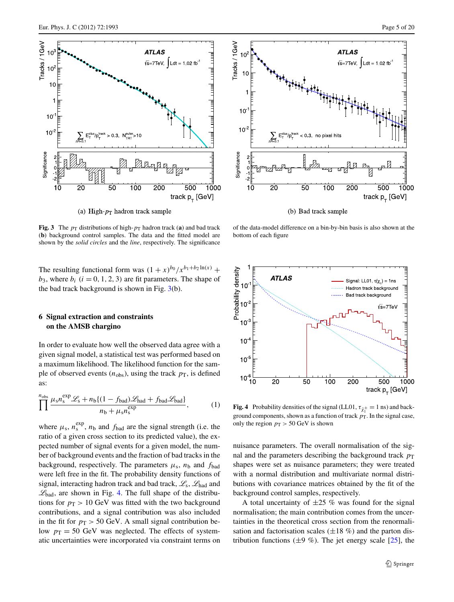

(a) High- $p_T$  hadron track sample

<span id="page-4-0"></span>**Fig. 3** The  $p_T$  distributions of high- $p_T$  hadron track (**a**) and bad track (**b**) background control samples. The data and the fitted model are shown by the *solid circles* and the *line*, respectively. The significance

The resulting functional form was  $(1 + x)^{b_0} / x^{b_1 + b_2 \ln(x)} +$  $b_3$ , where  $b_i$  ( $i = 0, 1, 2, 3$ ) are fit parameters. The shape of the bad track background is shown in Fig.  $3(b)$  $3(b)$ .

# **6 Signal extraction and constraints on the AMSB chargino**

In order to evaluate how well the observed data agree with a given signal model, a statistical test was performed based on a maximum likelihood. The likelihood function for the sample of observed events  $(n_{obs})$ , using the track  $p_{\text{T}}$ , is defined as:

$$
\prod_{n_{\text{obs}}}^{n_{\text{obs}}} \frac{\mu_{\text{s}} n_{\text{s}}^{\text{exp}} \mathcal{L}_{\text{s}} + n_{\text{b}} \{ (1 - f_{\text{bad}}) \mathcal{L}_{\text{had}} + f_{\text{bad}} \mathcal{L}_{\text{bad}} \}}{n_{\text{b}} + \mu_{\text{s}} n_{\text{s}}^{\text{exp}}},\tag{1}
$$

where  $\mu_s$ ,  $n_s^{exp}$ ,  $n_b$  and  $f_{bad}$  are the signal strength (i.e. the ratio of a given cross section to its predicted value), the expected number of signal events for a given model, the number of background events and the fraction of bad tracks in the background, respectively. The parameters  $\mu_s$ ,  $n_b$  and  $f_{bad}$ were left free in the fit. The probability density functions of signal, interacting hadron track and bad track,  $\mathcal{L}_s$ ,  $\mathcal{L}_{had}$  and  $\mathcal{L}_{bad}$ , are shown in Fig. [4](#page-4-1). The full shape of the distributions for  $p_T > 10$  GeV was fitted with the two background contributions, and a signal contribution was also included in the fit for  $p_T > 50$  GeV. A small signal contribution below  $p_T = 50$  GeV was neglected. The effects of systematic uncertainties were incorporated via constraint terms on



(b) Bad track sample

of the data-model difference on a bin-by-bin basis is also shown at the bottom of each figure



<span id="page-4-1"></span>**Fig. 4** Probability densities of the signal (LL01,  $\tau_{\tilde{\chi}_1^{\pm}} = 1$  ns) and background components, shown as a function of track  $p<sub>T</sub>$ . In the signal case, only the region  $p_T > 50$  GeV is shown

nuisance parameters. The overall normalisation of the signal and the parameters describing the background track  $p<sub>T</sub>$ shapes were set as nuisance parameters; they were treated with a normal distribution and multivariate normal distributions with covariance matrices obtained by the fit of the background control samples, respectively.

A total uncertainty of  $\pm 25$  % was found for the signal normalisation; the main contribution comes from the uncertainties in the theoretical cross section from the renormalisation and factorisation scales  $(\pm 18\%)$  and the parton distribution functions ( $\pm$ 9 %). The jet energy scale [\[25](#page-6-16)], the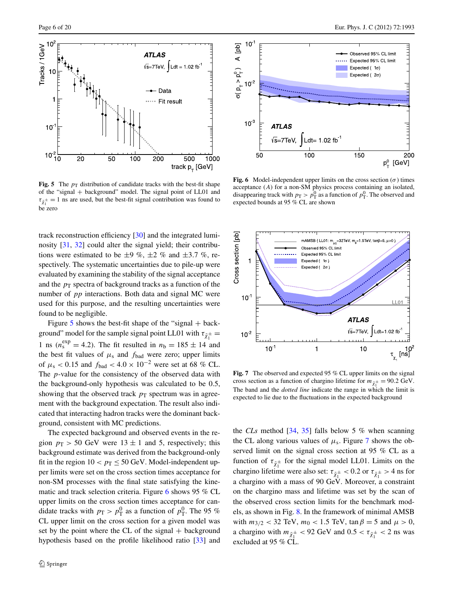

<span id="page-5-0"></span>**Fig. 5** The  $p_T$  distribution of candidate tracks with the best-fit shape of the "signal + background" model. The signal point of LL01 and  $\tau_{\tilde{\chi}_1^{\pm}} = 1$  ns are used, but the best-fit signal contribution was found to be zero

track reconstruction efficiency [[30\]](#page-6-21) and the integrated luminosity [\[31,](#page-6-22) [32\]](#page-6-23) could alter the signal yield; their contributions were estimated to be  $\pm 9$  %,  $\pm 2$  % and  $\pm 3.7$  %, respectively. The systematic uncertainties due to pile-up were evaluated by examining the stability of the signal acceptance and the  $p<sub>T</sub>$  spectra of background tracks as a function of the number of *pp* interactions. Both data and signal MC were used for this purpose, and the resulting uncertainties were found to be negligible.

Figure  $5$  shows the best-fit shape of the "signal  $+$  background" model for the sample signal point LL01 with  $\tau_{\tilde{\chi}_1^{\pm}} =$ 1 ns ( $n_s^{\text{exp}} = 4.2$ ). The fit resulted in  $n_b = 185 \pm 14$  and the best fit values of  $\mu_s$  and  $f_{bad}$  were zero; upper limits of  $\mu_s$  < 0.15 and  $f_{bad}$  < 4.0 × 10<sup>-2</sup> were set at 68 % CL. The *p*-value for the consistency of the observed data with the background-only hypothesis was calculated to be 0.5, showing that the observed track  $p_T$  spectrum was in agreement with the background expectation. The result also indicated that interacting hadron tracks were the dominant background, consistent with MC predictions.

The expected background and observed events in the region  $p_T > 50$  GeV were  $13 \pm 1$  and 5, respectively; this background estimate was derived from the background-only fit in the region  $10 < p_T \le 50$  GeV. Model-independent upper limits were set on the cross section times acceptance for non-SM processes with the final state satisfying the kinematic and track selection criteria. Figure [6](#page-5-1) shows 95 % CL upper limits on the cross section times acceptance for candidate tracks with  $p_T > p_T^0$  as a function of  $p_T^0$ . The 95 % CL upper limit on the cross section for a given model was set by the point where the CL of the signal  $+$  background hypothesis based on the profile likelihood ratio [[33\]](#page-6-24) and



<span id="page-5-1"></span>**Fig. 6** Model-independent upper limits on the cross section  $(\sigma)$  times acceptance (*A*) for a non-SM physics process containing an isolated, disappearing track with  $p_T > p_T^0$  as a function of  $p_T^0$ . The observed and expected bounds at 95 % CL are shown



<span id="page-5-2"></span>**Fig. 7** The observed and expected 95 % CL upper limits on the signal cross section as a function of chargino lifetime for  $m_{\tilde{\chi}_1^{\pm}} = 90.2 \text{ GeV}$ . The band and the *dotted line* indicate the range in which the limit is expected to lie due to the fluctuations in the expected background

the *CLs* method [\[34](#page-6-25), [35\]](#page-6-26) falls below 5 % when scanning the CL along various values of  $\mu_s$ . Figure [7](#page-5-2) shows the observed limit on the signal cross section at 95 % CL as a function of  $\tau_{\tilde{\chi}_1^{\pm}}$  for the signal model LL01. Limits on the chargino lifetime were also set:  $\tau_{\tilde{\chi}_1^{\pm}} < 0.2$  or  $\tau_{\tilde{\chi}_1^{\pm}} > 4$  ns for a chargino with a mass of 90 GeV. Moreover, a constraint on the chargino mass and lifetime was set by the scan of the observed cross section limits for the benchmark models, as shown in Fig. [8.](#page-6-27) In the framework of minimal AMSB with  $m_{3/2}$  < 32 TeV,  $m_0$  < 1.5 TeV,  $\tan \beta = 5$  and  $\mu > 0$ , a chargino with  $m_{\tilde{\chi}_1^{\pm}} < 92$  GeV and  $0.5 < \tau_{\tilde{\chi}_1^{\pm}} < 2$  ns was excluded at 95 % CL.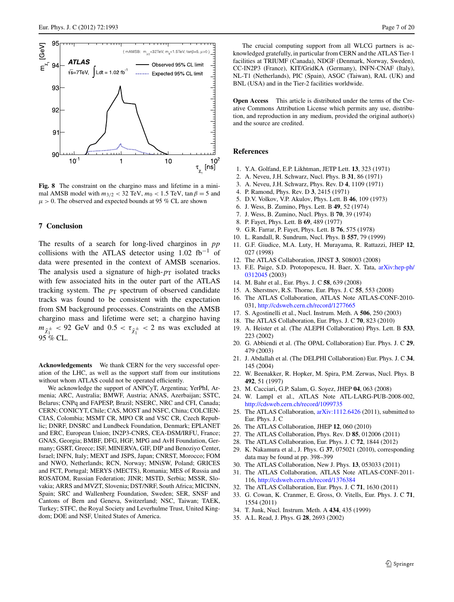

<span id="page-6-27"></span>**Fig. 8** The constraint on the chargino mass and lifetime in a minimal AMSB model with  $m_{3/2}$  < 32 TeV,  $m_0$  < 1.5 TeV,  $\tan \beta = 5$  and  $\mu > 0$ . The observed and expected bounds at 95 % CL are shown

#### **7 Conclusion**

The results of a search for long-lived charginos in *pp* collisions with the ATLAS detector using  $1.02 \text{ fb}^{-1}$  of data were presented in the context of AMSB scenarios. The analysis used a signature of high- $p<sub>T</sub>$  isolated tracks with few associated hits in the outer part of the ATLAS tracking system. The  $p<sub>T</sub>$  spectrum of observed candidate tracks was found to be consistent with the expectation from SM background processes. Constraints on the AMSB chargino mass and lifetime were set; a chargino having  $m_{\tilde{\chi}^{\pm}} < 92$  GeV and  $0.5 < \tau_{\tilde{\chi}^{\pm}} < 2$  ns was excluded at 95 % CL.

**Acknowledgements** We thank CERN for the very successful operation of the LHC, as well as the support staff from our institutions without whom ATLAS could not be operated efficiently.

We acknowledge the support of ANPCyT, Argentina; YerPhI, Armenia; ARC, Australia; BMWF, Austria; ANAS, Azerbaijan; SSTC, Belarus; CNPq and FAPESP, Brazil; NSERC, NRC and CFI, Canada; CERN; CONICYT, Chile; CAS, MOST and NSFC, China; COLCIEN-CIAS, Colombia; MSMT CR, MPO CR and VSC CR, Czech Republic; DNRF, DNSRC and Lundbeck Foundation, Denmark; EPLANET and ERC, European Union; IN2P3-CNRS, CEA-DSM/IRFU, France; GNAS, Georgia; BMBF, DFG, HGF, MPG and AvH Foundation, Germany; GSRT, Greece; ISF, MINERVA, GIF, DIP and Benoziyo Center, Israel; INFN, Italy; MEXT and JSPS, Japan; CNRST, Morocco; FOM and NWO, Netherlands; RCN, Norway; MNiSW, Poland; GRICES and FCT, Portugal; MERYS (MECTS), Romania; MES of Russia and ROSATOM, Russian Federation; JINR; MSTD, Serbia; MSSR, Slovakia; ARRS and MVZT, Slovenia; DST/NRF, South Africa; MICINN, Spain; SRC and Wallenberg Foundation, Sweden; SER, SNSF and Cantons of Bern and Geneva, Switzerland; NSC, Taiwan; TAEK, Turkey; STFC, the Royal Society and Leverhulme Trust, United Kingdom; DOE and NSF, United States of America.

The crucial computing support from all WLCG partners is acknowledged gratefully, in particular from CERN and the ATLAS Tier-1 facilities at TRIUMF (Canada), NDGF (Denmark, Norway, Sweden), CC-IN2P3 (France), KIT/GridKA (Germany), INFN-CNAF (Italy), NL-T1 (Netherlands), PIC (Spain), ASGC (Taiwan), RAL (UK) and BNL (USA) and in the Tier-2 facilities worldwide.

<span id="page-6-0"></span>**Open Access** This article is distributed under the terms of the Creative Commons Attribution License which permits any use, distribution, and reproduction in any medium, provided the original author(s) and the source are credited.

#### <span id="page-6-2"></span><span id="page-6-1"></span>**References**

- 1. Y.A. Golfand, E.P. Likhtman, JETP Lett. **13**, 323 (1971)
- 2. A. Neveu, J.H. Schwarz, Nucl. Phys. B **31**, 86 (1971)
- <span id="page-6-4"></span><span id="page-6-3"></span>3. A. Neveu, J.H. Schwarz, Phys. Rev. D **4**, 1109 (1971)
- 4. P. Ramond, Phys. Rev. D **3**, 2415 (1971)
- 5. D.V. Volkov, V.P. Akulov, Phys. Lett. B **46**, 109 (1973)
- <span id="page-6-5"></span>6. J. Wess, B. Zumino, Phys. Lett. B **49**, 52 (1974)
- <span id="page-6-7"></span><span id="page-6-6"></span>7. J. Wess, B. Zumino, Nucl. Phys. B **70**, 39 (1974)
- 8. P. Fayet, Phys. Lett. B **69**, 489 (1977)
- 9. G.R. Farrar, P. Fayet, Phys. Lett. B **76**, 575 (1978)
- <span id="page-6-8"></span>10. L. Randall, R. Sundrum, Nucl. Phys. B **557**, 79 (1999)
- <span id="page-6-10"></span><span id="page-6-9"></span>11. G.F. Giudice, M.A. Luty, H. Murayama, R. Rattazzi, JHEP **12**, 027 (1998)
- <span id="page-6-11"></span>12. The ATLAS Collaboration, JINST **3**, S08003 (2008)
- 13. F.E. Paige, S.D. Protopopescu, H. Baer, X. Tata, [arXiv:hep-ph/](http://arxiv.org/abs/arXiv:hep-ph/0312045) [0312045](http://arxiv.org/abs/arXiv:hep-ph/0312045) (2003)
- <span id="page-6-12"></span>14. M. Bahr et al., Eur. Phys. J. C **58**, 639 (2008)
- 15. A. Sherstnev, R.S. Thorne, Eur. Phys. J. C **55**, 553 (2008)
- <span id="page-6-13"></span>16. The ATLAS Collaboration, ATLAS Note ATLAS-CONF-2010- 031, <http://cdsweb.cern.ch/record/1277665>
- <span id="page-6-14"></span>17. S. Agostinelli et al., Nucl. Instrum. Meth. A **506**, 250 (2003)
- 18. The ATLAS Collaboration, Eur. Phys. J. C **70**, 823 (2010)
- <span id="page-6-15"></span>19. A. Heister et al. (The ALEPH Collaboration) Phys. Lett. B **533**, 223 (2002)
- <span id="page-6-16"></span>20. G. Abbiendi et al. (The OPAL Collaboration) Eur. Phys. J. C **29**, 479 (2003)
- <span id="page-6-18"></span><span id="page-6-17"></span>21. J. Abdallah et al. (The DELPHI Collaboration) Eur. Phys. J. C **34**, 145 (2004)
- <span id="page-6-20"></span><span id="page-6-19"></span>22. W. Beenakker, R. Hopker, M. Spira, P.M. Zerwas, Nucl. Phys. B **492**, 51 (1997)
- 23. M. Cacciari, G.P. Salam, G. Soyez, JHEP **04**, 063 (2008)
- <span id="page-6-22"></span><span id="page-6-21"></span>24. W. Lampl et al., ATLAS Note ATL-LARG-PUB-2008-002, <http://cdsweb.cern.ch/record/1099735>
- <span id="page-6-23"></span>25. The ATLAS Collaboration, [arXiv:1112.6426](http://arxiv.org/abs/arXiv:1112.6426) (2011), submitted to Eur. Phys. J. C
- 26. The ATLAS Collaboration, JHEP **12**, 060 (2010)
- <span id="page-6-25"></span><span id="page-6-24"></span>27. The ATLAS Collaboration, Phys. Rev. D **85**, 012006 (2011)
- 28. The ATLAS Collaboration, Eur. Phys. J. C **72**, 1844 (2012)
- <span id="page-6-26"></span>29. K. Nakamura et al., J. Phys. G **37**, 075021 (2010), corresponding data may be found at pp. 398–399
- 30. The ATLAS Collaboration, New J. Phys. **13**, 053033 (2011)
- 31. The ATLAS Collaboration, ATLAS Note ATLAS-CONF-2011- 116, <http://cdsweb.cern.ch/record/1376384>
- 32. The ATLAS Collaboration, Eur. Phys. J. C **71**, 1630 (2011)
- 33. G. Cowan, K. Cranmer, E. Gross, O. Vitells, Eur. Phys. J. C **71**, 1554 (2011)
- 34. T. Junk, Nucl. Instrum. Meth. A **434**, 435 (1999)
- 35. A.L. Read, J. Phys. G **28**, 2693 (2002)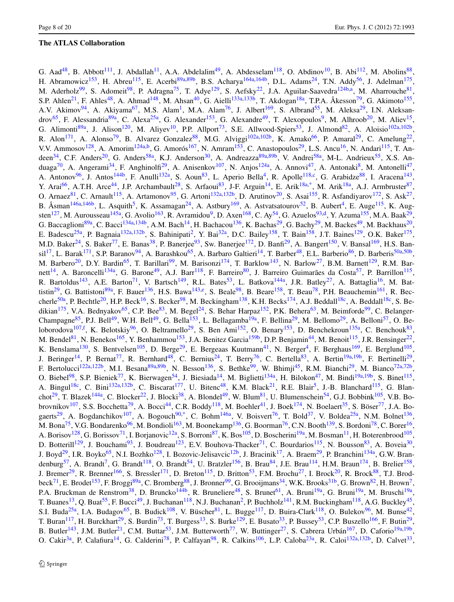# **The ATLAS Collaboration**

G. Aad<sup>[48](#page-15-0)</sup>, B. Abbott<sup>[111](#page-16-0)</sup>, J. Abdallah<sup>[11](#page-14-0)</sup>, A.A. Abdelalim<sup>[49](#page-15-1)</sup>, A. Abdesselam<sup>[118](#page-17-0)</sup>, O. Abdinov<sup>[10](#page-14-1)</sup>, B. Abi<sup>112</sup>, M. Abolins<sup>88</sup>, H. Abramowicz<sup>153</sup>, H. Abreu<sup>[115](#page-17-2)</sup>, E. Acerbi<sup>89a[,89b](#page-16-4)</sup>, B.S. Acharya<sup>[164a](#page-18-0)[,164b](#page-18-1)</sup>, D.L. Adams<sup>[24](#page-15-2)</sup>, T.N. Addy<sup>[56](#page-15-3)</sup>, J. Adelman<sup>[175](#page-18-2)</sup>, M. Aderholz<sup>[99](#page-16-5)</sup>, S. Adomeit<sup>[98](#page-16-6)</sup>, P. Adragna<sup>[75](#page-16-7)</sup>, T. Adye<sup>[129](#page-17-3)</sup>, S. Aefsky<sup>[22](#page-15-4)</sup>, J.A. Aguilar-Saavedra<sup>124b[,a](#page-18-3)</sup>, M. Aharrouche<sup>81</sup>, S.P. Ahlen<sup>[21](#page-14-2)</sup>, F. Ahles<sup>[48](#page-15-0)</sup>, A. Ahmad<sup>[148](#page-17-5)</sup>, M. Ahsan<sup>40</sup>, G. Aielli<sup>133a,[133b](#page-17-7)</sup>, T. Akdogan<sup>[18a](#page-14-3)</sup>, T.P.A. Åkesson<sup>[79](#page-16-9)</sup>, G. Akimoto<sup>[155](#page-17-8)</sup>, A.V. Akimov<sup>[94](#page-16-10)</sup>, A. Akiyama<sup>67</sup>, M.S. Alam<sup>1</sup>, M.A. Alam<sup>76</sup>, J. Albert<sup>169</sup>, S. Albrand<sup>55</sup>, M. Aleksa<sup>29</sup>, I.N. Aleksan-drov<sup>[65](#page-16-13)</sup>, F. Alessandria<sup>8[9](#page-14-5)a</sup>, C. Alexa<sup>25a</sup>, G. Alexander<sup>153</sup>, G. Alexandre<sup>49</sup>, T. Alexopoulos<sup>9</sup>, M. Alhroob<sup>20</sup>, M. Aliev<sup>15</sup>, G. Alimonti<sup>[89a](#page-16-3)</sup>, J. Alison<sup>[120](#page-17-9)</sup>, M. Aliyev<sup>10</sup>, P.P. Allport<sup>73</sup>, S.E. Allwood-Spiers<sup>53</sup>, J. Almond<sup>[82](#page-16-15)</sup>, A. Aloisio<sup>102a,[102b](#page-16-17)</sup>, R. Alon<sup>[171](#page-18-5)</sup>, A. Alonso<sup>79</sup>, B. Alvarez Gonzalez<sup>88</sup>, M.G. Alviggi<sup>[102a](#page-16-16)[,102b](#page-16-17)</sup>, K. Amako<sup>[66](#page-16-18)</sup>, P. Amaral<sup>29</sup>, C. Amelung<sup>22</sup>, V.V. Ammosov<sup>[128](#page-17-10)</sup>, A. Amorim<sup>[124a](#page-17-11)[,b](#page-18-6)</sup>, G. Amorós<sup>[167](#page-18-7)</sup>, N. Amram<sup>153</sup>, C. Anastopoulos<sup>[29](#page-15-7)</sup>, L.S. Ancu<sup>16</sup>, N. Andari<sup>115</sup>, T. An-deen<sup>[34](#page-15-10)</sup>, C.F. Anders<sup>[20](#page-14-6)</sup>, G. Anders<sup>58a</sup>, K.J. Anderson<sup>30</sup>, A. Andreazza<sup>[89a](#page-16-3)[,89b](#page-16-4)</sup>, V. Andrei<sup>58a</sup>, M-L. Andrieux<sup>[55](#page-15-6)</sup>, X.S. An-duaga<sup>[70](#page-16-19)</sup>, A. Angerami<sup>[34](#page-15-10)</sup>, F. Anghinolfi<sup>[29](#page-15-7)</sup>, A. Anisenkov<sup>107</sup>, N. Anjos<sup>[124a](#page-17-11)</sup>, A. Annovi<sup>47</sup>, A. Antonaki<sup>[8](#page-14-9)</sup>, M. Antonelli<sup>47</sup>, A. Antonov<sup>[96](#page-16-21)</sup>, J. Antos<sup>[144b](#page-17-12)</sup>, F. Anulli<sup>132a</sup>, S. Aoun<sup>[83](#page-16-22)</sup>, L. Aperio Bella<sup>4</sup>, R. Apolle<sup>118[,c](#page-18-8)</sup>, G. Arabidze<sup>[88](#page-16-2)</sup>, I. Aracena<sup>[143](#page-17-14)</sup>, Y. Arai<sup>[66](#page-16-18)</sup>, A.T.H. Arce<sup>[44](#page-15-14)</sup>, J.P. Archambault<sup>28</sup>, S. Arfaoui<sup>[83](#page-16-22)</sup>, J-F. Arguin<sup>[14](#page-14-11)</sup>, E. Arik<sup>[18a,](#page-14-3)[\\*](#page-19-0)</sup>, M. Arik<sup>[18a](#page-14-3)</sup>, A.J. Armbruster<sup>87</sup>, O. Arnaez<sup>[81](#page-16-8)</sup>, C. Arnault<sup>[115](#page-17-2)</sup>, A. Artamonov<sup>[95](#page-16-24)</sup>, G. Artoni<sup>132a,[132b](#page-17-15)</sup>, D. Arutinov<sup>20</sup>, S. Asai<sup>155</sup>, R. Asfandiyarov<sup>[172](#page-18-9)</sup>, S. Ask<sup>27</sup>, B. Åsman<sup>[146a](#page-17-16)[,146b](#page-17-17)</sup>, L. Asquith<sup>[5](#page-14-12)</sup>, K. Assamagan<sup>24</sup>, A. Astbury<sup>[169](#page-18-4)</sup>, A. Astvatsatourov<sup>[52](#page-15-17)</sup>, B. Aubert<sup>4</sup>, E. Auge<sup>115</sup>, K. Aug-sten<sup>[127](#page-17-18)</sup>, M. Aurousseau<sup>145a</sup>, G. Avolio<sup>[163](#page-18-10)</sup>, R. Avramidou<sup>[9](#page-14-5)</sup>, D. Axen<sup>168</sup>, C. Ay<sup>54</sup>, G. Azuelos<sup>[93,](#page-16-25)[d](#page-18-12)</sup>, Y. Azuma<sup>[155](#page-17-8)</sup>, M.A. Baak<sup>29</sup>, G. Baccaglioni<sup>89a</sup>, C. Bacci<sup>[134a](#page-17-20)[,134b](#page-17-21)</sup>, A.M. Bach<sup>14</sup>, H. Bachacou<sup>[136](#page-17-22)</sup>, K. Bachas<sup>[29](#page-15-7)</sup>, G. Bachy<sup>29</sup>, M. Backes<sup>49</sup>, M. Backhaus<sup>20</sup>, E. Badescu<sup>[25a](#page-15-8)</sup>, P. Bagnaia<sup>132a,[132b](#page-17-15)</sup>, S. Bahinipati<sup>[2](#page-14-13)</sup>, Y. Bai<sup>[32a](#page-15-19)</sup>, D.C. Bailey<sup>[158](#page-17-23)</sup>, T. Bain<sup>158</sup>, J.T. Baines<sup>[129](#page-17-3)</sup>, O.K. Baker<sup>[175](#page-18-2)</sup>, M.D. Baker<sup>[24](#page-15-2)</sup>, S. Baker<sup>[77](#page-16-26)</sup>, E. Banas<sup>38</sup>, P. Banerjee<sup>93</sup>, Sw. Banerjee<sup>[172](#page-18-9)</sup>, D. Banfi<sup>29</sup>, A. Bangert<sup>[150](#page-17-24)</sup>, V. Bansal<sup>[169](#page-18-4)</sup>, H.S. Ban-sil<sup>[17](#page-14-14)</sup>, L. Barak<sup>[171](#page-18-5)</sup>, S.P. Baranov<sup>[94](#page-16-10)</sup>, A. Barashkou<sup>65</sup>, A. Barbaro Galtieri<sup>14</sup>, T. Barber<sup>[48](#page-15-0)</sup>, E.L. Barberio<sup>86</sup>, D. Barberis<sup>[50a,](#page-15-21)[50b](#page-15-22)</sup>, M. Barbero<sup>[20](#page-14-6)</sup>, D.Y. Bardin<sup>65</sup>, T. Barillari<sup>[99](#page-16-5)</sup>, M. Barisonzi<sup>[174](#page-18-13)</sup>, T. Barklow<sup>143</sup>, N. Barlow<sup>27</sup>, B.M. Barnett<sup>[129](#page-17-3)</sup>, R.M. Bar-nett<sup>[14](#page-14-11)</sup>, A. Baroncelli<sup>[134a](#page-17-20)</sup>, G. Barone<sup>[49](#page-15-1)</sup>, A.J. Barr<sup>118</sup>, F. Barreiro<sup>80</sup>, J. Barreiro Guimarães da Costa<sup>57</sup>, P. Barrillon<sup>[115](#page-17-2)</sup>, R. Bartoldus<sup>[143](#page-17-14)</sup>, A.E. Barton<sup>[71](#page-16-29)</sup>, V. Bartsch<sup>149</sup>, R.L. Bates<sup>53</sup>, L. Batkova<sup>144a</sup>, J.R. Batley<sup>[27](#page-15-16)</sup>, A. Battaglia<sup>[16](#page-14-8)</sup>, M. Bat-tistin<sup>[29](#page-15-7)</sup>, G. Battistoni<sup>89a</sup>, F. Bauer<sup>[136](#page-17-22)</sup>, H.S. Bawa<sup>[143,](#page-17-14)[e](#page-18-14)</sup>, S. Beale<sup>98</sup>, B. Beare<sup>[158](#page-17-23)</sup>, T. Beau<sup>[78](#page-16-30)</sup>, P.H. Beauchemin<sup>161</sup>, R. Bec-cherle<sup>[50a](#page-15-21)</sup>, P. Bechtle<sup>[20](#page-14-6)</sup>, H.P. Beck<sup>16</sup>, S. Becker<sup>98</sup>, M. Beckingham<sup>138</sup>, K.H. Becks<sup>174</sup>, A.J. Beddall<sup>[18c](#page-14-15)</sup>, A. Beddall<sup>18c</sup>, S. Be-dikian<sup>[175](#page-18-2)</sup>, V.A. Bednyakov<sup>[65](#page-16-13)</sup>, C.P. Bee<sup>[83](#page-16-22)</sup>, M. Begel<sup>24</sup>, S. Behar Harpaz<sup>152</sup>, P.K. Behera<sup>63</sup>, M. Beimforde<sup>[99](#page-16-5)</sup>, C. Belanger-Champagne<sup>[85](#page-16-31)</sup>, P.J. Bell<sup>[49](#page-15-1)</sup>, W.H. Bell<sup>49</sup>, G. Bella<sup>[153](#page-17-1)</sup>, L. Bellagamba<sup>19a</sup>, F. Bellina<sup>[29](#page-15-7)</sup>, M. Bellomo<sup>29</sup>, A. Belloni<sup>57</sup>, O. Be-loborodova<sup>[107](#page-16-20)[,f](#page-18-16)</sup>, K. Belotskiy<sup>[96](#page-16-21)</sup>, O. Beltramello<sup>29</sup>, S. Ben Ami<sup>152</sup>, O. Benary<sup>153</sup>, D. Benchekroun<sup>[135a](#page-17-29)</sup>, C. Benchouk<sup>83</sup>, M. Bendel<sup>[81](#page-16-8)</sup>, N. Benekos<sup>165</sup>, Y. Benhammou<sup>153</sup>, J.A. Benitez Garcia<sup>159b</sup>, D.P. Benjamin<sup>[44](#page-15-14)</sup>, M. Benoit<sup>115</sup>, J.R. Bensinger<sup>22</sup>, K. Benslama<sup>130</sup>, S. Bentvelsen<sup>105</sup>, D. Berge<sup>29</sup>, E. Bergeaas Kuutmann<sup>[41](#page-15-25)</sup>, N. Berger<sup>4</sup>, F. Berghaus<sup>169</sup>, E. Berglund<sup>[105](#page-16-32)</sup>, J. Beringer<sup>14</sup>, P. Bernat<sup>77</sup>, R. Bernhard<sup>[48](#page-15-0)</sup>, C. Bernius<sup>24</sup>, T. Berry<sup>[76](#page-16-12)</sup>, C. Bertella<sup>[83](#page-16-22)</sup>, A. Bertin<sup>[19a](#page-14-16)[,19b](#page-14-17)</sup>, F. Bertinelli<sup>29</sup>, F. Bertolucci<sup>122a,[122b](#page-17-32)</sup>, M.I. Besana<sup>[89a,](#page-16-3)[89b](#page-16-4)</sup>, N. Besson<sup>[136](#page-17-22)</sup>, S. Bethke<sup>99</sup>, W. Bhimji<sup>45</sup>, R.M. Bianchi<sup>[29](#page-15-7)</sup>, M. Bianco<sup>[72a,](#page-16-33)[72b](#page-16-34)</sup>, O. Biebel<sup>98</sup>, S.P. Bieniek<sup>77</sup>, K. Bierwagen<sup>54</sup>, J. Biesiada<sup>14</sup>, M. Biglietti<sup>[134a](#page-17-20)</sup>, H. Bilokon<sup>[47](#page-15-13)</sup>, M. Bindi<sup>19a[,19b](#page-14-17)</sup>, S. Binet<sup>[115](#page-17-2)</sup>, A. Bingul<sup>[18c](#page-14-15)</sup>, C. Bini<sup>[132a](#page-17-13)[,132b](#page-17-15)</sup>, C. Biscarat<sup>[177](#page-18-19)</sup>, U. Bitenc<sup>[48](#page-15-0)</sup>, K.M. Black<sup>[21](#page-14-2)</sup>, R.E. Blair<sup>[5](#page-14-12)</sup>, J.-B. Blanchard<sup>[115](#page-17-2)</sup>, G. Blan-chot<sup>29</sup>, T. Blazek<sup>144a</sup>, C. Blocker<sup>22</sup>, J. Blocki<sup>[38](#page-15-20)</sup>, A. Blondel<sup>49</sup>, W. Blum<sup>81</sup>, U. Blumenschein<sup>54</sup>, G.J. Bobbink<sup>105</sup>, V.B. Bo-brovnikov<sup>[107](#page-16-20)</sup>, S.S. Bocchetta<sup>[79](#page-16-9)</sup>, A. Bocci<sup>[44](#page-15-14)</sup>, C.R. Boddy<sup>118</sup>, M. Boehler<sup>41</sup>, J. Boek<sup>174</sup>, N. Boelaert<sup>[35](#page-15-27)</sup>, S. Böser<sup>[77](#page-16-26)</sup>, J.A. Bo-gaerts<sup>[29](#page-15-7)</sup>, A. Bogdanchikov<sup>107</sup>, A. Bogouch<sup>90,[\\*](#page-19-0)</sup>, C. Bohm<sup>[146a](#page-17-16)</sup>, V. Boisvert<sup>76</sup>, T. Bold<sup>[37](#page-15-28)</sup>, V. Boldea<sup>25a</sup>, N.M. Bolnet<sup>[136](#page-17-22)</sup>, M. Bona<sup>[75](#page-16-7)</sup>, V.G. Bondarenko<sup>96</sup>, M. Bondioli<sup>163</sup>, M. Boonekamp<sup>136</sup>, G. Boorman<sup>76</sup>, C.N. Booth<sup>[139](#page-17-33)</sup>, S. Bordoni<sup>78</sup>, C. Borer<sup>16</sup>, A. Borisov<sup>[128](#page-17-10)</sup>, G. Borissov<sup>71</sup>, I. Borjanovic<sup>12a</sup>, S. Borroni<sup>87</sup>, K. Bos<sup>[105](#page-16-32)</sup>, D. Boscherini<sup>[19a](#page-14-16)</sup>, M. Bosman<sup>[11](#page-14-0)</sup>, H. Boterenbrood<sup>105</sup>, D. Botterill<sup>[129](#page-17-3)</sup>, J. Bouchami<sup>[93](#page-16-25)</sup>, J. Boudreau<sup>[123](#page-17-34)</sup>, E.V. Bouhova-Thacker<sup>71</sup>, C. Bourdarios<sup>[115](#page-17-2)</sup>, N. Bousson<sup>[83](#page-16-22)</sup>, A. Boveia<sup>30</sup>, J. Boyd<sup>[29](#page-15-7)</sup>, I.R. Boyko<sup>[65](#page-16-13)</sup>, N.I. Bozhko<sup>128</sup>, I. Bozovic-Jelisavcic<sup>12b</sup>, J. Bracinik<sup>[17](#page-14-14)</sup>, A. Braem<sup>29</sup>, P. Branchini<sup>134a</sup>, G.W. Bran-denburg<sup>[57](#page-15-23)</sup>, A. Brandt<sup>7</sup>, G. Brandt<sup>118</sup>, O. Brandt<sup>54</sup>, U. Bratzler<sup>156</sup>, B. Brau<sup>[84](#page-16-36)</sup>, J.E. Brau<sup>114</sup>, H.M. Braun<sup>[174](#page-18-13)</sup>, B. Brelier<sup>[158](#page-17-23)</sup>, J. Bremer<sup>29</sup>, R. Brenner<sup>[166](#page-18-20)</sup>, S. Bressler<sup>171</sup>, D. Breton<sup>[115](#page-17-2)</sup>, D. Britton<sup>[53](#page-15-9)</sup>, F.M. Brochu<sup>[27](#page-15-16)</sup>, I. Brock<sup>[20](#page-14-6)</sup>, R. Brock<sup>88</sup>, T.J. Brod-beck<sup>[71](#page-16-29)</sup>, E. Brodet<sup>153</sup>, F. Broggi<sup>[89a](#page-16-3)</sup>, C. Bromberg<sup>88</sup>, J. Bronner<sup>99</sup>, G. Brooijmans<sup>34</sup>, W.K. Brooks<sup>[31b](#page-15-29)</sup>, G. Brown<sup>[82](#page-16-15)</sup>, H. Brown<sup>7</sup>, P.A. Bruckman de Renstrom<sup>[38](#page-15-20)</sup>, D. Bruncko<sup>[144b](#page-17-12)</sup>, R. Bruneliere<sup>[48](#page-15-0)</sup>, S. Brunet<sup>61</sup>, A. Bruni<sup>19a</sup>, G. Bruni<sup>19a</sup>, M. Bruschi<sup>19a</sup>, T. Buanes<sup>13</sup>, Q. Buat<sup>[55](#page-15-6)</sup>, F. Bucci<sup>49</sup>, J. Buchanan<sup>[118](#page-17-0)</sup>, N.J. Buchanan<sup>2</sup>, P. Buchholz<sup>[141](#page-17-37)</sup>, R.M. Buckingham<sup>118</sup>, A.G. Buckley<sup>45</sup>, S.I. Buda<sup>[25a](#page-15-8)</sup>, I.A. Budagov<sup>65</sup>, B. Budick<sup>[108](#page-16-37)</sup>, V. Büscher<sup>[81](#page-16-8)</sup>, L. Bugge<sup>117</sup>, D. Buira-Clark<sup>[118](#page-17-0)</sup>, O. Bulekov<sup>[96](#page-16-21)</sup>, M. Bunse<sup>42</sup>, T. Buran<sup>[117](#page-17-38)</sup>, H. Burckhart<sup>[29](#page-15-7)</sup>, S. Burdin<sup>73</sup>, T. Burgess<sup>13</sup>, S. Burke<sup>129</sup>, E. Busato<sup>33</sup>, P. Bussey<sup>[53](#page-15-9)</sup>, C.P. Buszello<sup>166</sup>, F. Butin<sup>29</sup>, B. Butler<sup>[143](#page-17-14)</sup>, J.M. Butler<sup>21</sup>, C.M. Buttar<sup>53</sup>, J.M. Butterworth<sup>77</sup>, W. Buttinger<sup>27</sup>, S. Cabrera Urbán<sup>[167](#page-18-7)</sup>, D. Caforio<sup>[19a,](#page-14-16)[19b](#page-14-17)</sup>, O. Cakir<sup>[3a](#page-14-22)</sup>, P. Calafiura<sup>[14](#page-14-11)</sup>, G. Calderini<sup>[78](#page-16-30)</sup>, P. Calfayan<sup>98</sup>, R. Calkins<sup>106</sup>, L.P. Caloba<sup>[23a](#page-15-33)</sup>, R. Caloi<sup>[132a](#page-17-13)[,132b](#page-17-15)</sup>, D. Calvet<sup>33</sup>,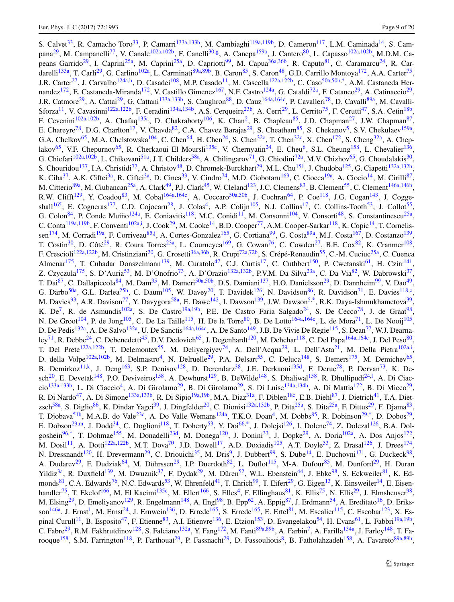S. Calvet<sup>[33](#page-15-32)</sup>, R. Camacho Toro<sup>33</sup>, P. Camarri<sup>[133a,](#page-17-6)[133b](#page-17-7)</sup>, M. Cambiaghi<sup>119a[,119b](#page-17-40)</sup>, D. Cameron<sup>117</sup>, L.M. Caminada<sup>[14](#page-14-11)</sup>, S. Cam-pana<sup>[29](#page-15-7)</sup>, M. Campanelli<sup>[77](#page-16-26)</sup>, V. Canale<sup>[102a](#page-16-16)[,102b](#page-16-17)</sup>, F. Canelli<sup>[30](#page-15-12)[,g](#page-18-21)</sup>, A. Canepa<sup>[159a](#page-18-22)</sup>, J. Cantero<sup>[80](#page-16-28)</sup>, L. Capasso<sup>102a,[102b](#page-16-17)</sup>, M.D.M. Ca-peans Garrido<sup>[29](#page-15-7)</sup>, I. Caprini<sup>[25a](#page-15-8)</sup>, M. Caprini<sup>25a</sup>, D. Capriotti<sup>[99](#page-16-5)</sup>, M. Capua<sup>[36a,](#page-15-34)[36b](#page-15-35)</sup>, R. Caputo<sup>[81](#page-16-8)</sup>, C. Caramarcu<sup>[24](#page-15-2)</sup>, R. Car-darelli<sup>[133a](#page-17-6)</sup>, T. Carli<sup>[29](#page-15-7)</sup>, G. Carlino<sup>[102a](#page-16-16)</sup>, L. Carminati<sup>[89a,](#page-16-3)[89b](#page-16-4)</sup>, B. Caron<sup>85</sup>, S. Caron<sup>[48](#page-15-0)</sup>, G.D. Carrillo Montoya<sup>[172](#page-18-9)</sup>, A.A. Carter<sup>75</sup>, J.R. Carter<sup>27</sup>, J. Carval[h](#page-18-23)o<sup>124a,h</sup>, D. Casadei<sup>[108](#page-16-37)</sup>, M.P. Casado<sup>11</sup>, M. Cascella<sup>[122a,](#page-17-31)[122b](#page-17-32)</sup>, C. Caso<sup>50a[,50b](#page-15-22)[,\\*](#page-19-0)</sup>, A.M. Castaneda Her-nandez<sup>[172](#page-18-9)</sup>, E. Castaneda-Miranda<sup>172</sup>, V. Castillo Gimenez<sup>[167](#page-18-7)</sup>, N.F. Castro<sup>124a</sup>, G. Cataldi<sup>72a</sup>, F. Cataneo<sup>29</sup>, A. Catinaccio<sup>29</sup>, J.R. Catmore<sup>[29](#page-15-7)</sup>, A. Cattai<sup>29</sup>, G. Cattani<sup>[133a](#page-17-6)[,133b](#page-17-7)</sup>, S. Caughron<sup>[88](#page-16-2)</sup>, D. Cauz<sup>164a,[164c](#page-18-24)</sup>, P. Cavalleri<sup>[78](#page-16-30)</sup>, D. Cavalli<sup>89a</sup>, M. Cavalli-Sforza<sup>[11](#page-14-0)</sup>, V. Cavasinni<sup>[122a,](#page-17-31)[122b](#page-17-32)</sup>, F. Ceradini<sup>[134a](#page-17-20)[,134b](#page-17-21)</sup>, A.S. Cerqueira<sup>23b</sup>, A. Cerri<sup>29</sup>, L. Cerrito<sup>75</sup>, F. Cerutti<sup>47</sup>, S.A. Cetin<sup>[18b](#page-14-23)</sup>, F. Cevenini<sup>[102a,](#page-16-16)[102b](#page-16-17)</sup>, A. Chafaq<sup>[135a](#page-17-29)</sup>, D. Chakraborty<sup>106</sup>, K. Chan<sup>2</sup>, B. Chapleau<sup>85</sup>, J.D. Chapman<sup>27</sup>, J.W. Chapman<sup>87</sup>, E. Chareyre<sup>[78](#page-16-30)</sup>, D.G. Charlton<sup>17</sup>, V. Chavda<sup>[82](#page-16-15)</sup>, C.A. Chavez Barajas<sup>[29](#page-15-7)</sup>, S. Cheatham<sup>85</sup>, S. Chekanov<sup>5</sup>, S.V. Chekulaev<sup>159a</sup>, G.A. Chelkov<sup>[65](#page-16-13)</sup>, M.A. Chelstowska<sup>[104](#page-16-39)</sup>, C. Chen<sup>[64](#page-16-40)</sup>, H. Chen<sup>[24](#page-15-2)</sup>, S. Chen<sup>[32c](#page-15-37)</sup>, T. Chen<sup>32c</sup>, X. Chen<sup>172</sup>, S. Cheng<sup>32a</sup>, A. Chep-lakov<sup>[65](#page-16-13)</sup>, V.F. Chepurnov<sup>65</sup>, R. Cherkaoui El Moursli<sup>[135e](#page-17-41)</sup>, V. Chernyatin<sup>[24](#page-15-2)</sup>, E. Cheu<sup>6</sup>, S.L. Cheung<sup>158</sup>, L. Chevalier<sup>[136](#page-17-22)</sup>, G. Chiefari<sup>[102a](#page-16-16)[,102b](#page-16-17)</sup>, L. Chikovani<sup>51a</sup>, J.T. Childers<sup>58a</sup>, A. Chilingarov<sup>[71](#page-16-29)</sup>, G. Chiodini<sup>[72a](#page-16-33)</sup>, M.V. Chizhov<sup>[65](#page-16-13)</sup>, G. Choudalakis<sup>30</sup>, S. Chouridou<sup>[137](#page-17-42)</sup>, I.A. Christidi<sup>[77](#page-16-26)</sup>, A. Christov<sup>[48](#page-15-0)</sup>, D. Chromek-Burckhart<sup>[29](#page-15-7)</sup>, M.L. Chu<sup>151</sup>, J. Chudoba<sup>125</sup>, G. Ciapetti<sup>132a,[132b](#page-17-15)</sup>, K. Ciba<sup>37</sup>, A.K. Ciftci<sup>3a</sup>, R. Ciftci<sup>3a</sup>, D. Cinca<sup>33</sup>, V. Cindro<sup>[74](#page-16-41)</sup>, M.D. Ciobotaru<sup>163</sup>, C. Ciocca<sup>19a</sup>, A. Ciocio<sup>[14](#page-14-11)</sup>, M. Cirilli<sup>87</sup>, M. Citterio<sup>[89a](#page-16-3)</sup>, M. Ciubancan<sup>25a</sup>, A. Clark<sup>49</sup>, P.J. Clark<sup>[45](#page-15-26)</sup>, W. Cleland<sup>123</sup>, J.C. Clemens<sup>[83](#page-16-22)</sup>, B. Clement<sup>55</sup>, C. Clement<sup>146a,[146b](#page-17-17)</sup>, R.W. Clifft<sup>[129](#page-17-3)</sup>, Y. Coadou<sup>[83](#page-16-22)</sup>, M. Cobal<sup>164a,[164c](#page-18-24)</sup>, A. Coccaro<sup>[50a,](#page-15-21)[50b](#page-15-22)</sup>, J. Cochran<sup>[64](#page-16-40)</sup>, P. Coe<sup>118</sup>, J.G. Cogan<sup>[143](#page-17-14)</sup>, J. Cogge-shall<sup>[165](#page-18-17)</sup>, E. Cogneras<sup>177</sup>, C.D. Cojocaru<sup>[28](#page-15-15)</sup>, J. Colas<sup>4</sup>, A.P. Colijn<sup>[105](#page-16-32)</sup>, N.J. Collins<sup>[17](#page-14-14)</sup>, C. Collins-Tooth<sup>[53](#page-15-9)</sup>, J. Collot<sup>55</sup>, G. Colon<sup>84</sup>, P. Conde Muiño<sup>124a</sup>, E. Coniavitis<sup>118</sup>, M.C. Conidi<sup>11</sup>, M. Consonni<sup>104</sup>, V. Consorti<sup>[48](#page-15-0)</sup>, S. Constantinescu<sup>25a</sup>, C. Conta<sup>[119a,](#page-17-39)[119b](#page-17-40)</sup>, F. Convent[i](#page-18-25)<sup>102a,i</sup>, J. Cook<sup>[29](#page-15-7)</sup>, M. Cooke<sup>14</sup>, B.D. Cooper<sup>[77](#page-16-26)</sup>, A.M. Cooper-Sarkar<sup>[118](#page-17-0)</sup>, K. Copic<sup>14</sup>, T. Cornelis-sen<sup>[174](#page-18-13)</sup>, M. Corradi<sup>19a</sup>, F. Corriveau<sup>[85](#page-16-31),[j](#page-18-26)</sup>, A. Cortes-Gonzalez<sup>[165](#page-18-17)</sup>, G. Cortiana<sup>[99](#page-16-5)</sup>, G. Costa<sup>[89a](#page-16-3)</sup>, M.J. Costa<sup>[167](#page-18-7)</sup>, D. Costanzo<sup>[139](#page-17-33)</sup>, T. Costin<sup>[30](#page-15-12)</sup>, D. Côté<sup>29</sup>, R. Coura Torres<sup>[23a](#page-15-33)</sup>, L. Courneyea<sup>[169](#page-18-4)</sup>, G. Cowan<sup>76</sup>, C. Cowden<sup>27</sup>, B.E. Cox<sup>82</sup>, K. Cranmer<sup>[108](#page-16-37)</sup>, F. Crescioli<sup>122a,[122b](#page-17-32)</sup>, M. Cristinziani<sup>[20](#page-14-6)</sup>, G. Crosetti<sup>36a,[36b](#page-15-35)</sup>, R. Crupi<sup>[72a,](#page-16-33)[72b](#page-16-34)</sup>, S. Crépé-Renaudin<sup>55</sup>, C.-M. Cuciuc<sup>25a</sup>, C. Cuenca Almenar<sup>[175](#page-18-2)</sup>, T. Cuhadar Donszelmann<sup>139</sup>, M. Curatolo<sup>47</sup>, C.J. Curtis<sup>[17](#page-14-14)</sup>, C. Cuthbert<sup>150</sup>, P. Cwetanski<sup>61</sup>, H. Czirr<sup>[141](#page-17-37)</sup>, Z. Czyczula<sup>[175](#page-18-2)</sup>, S. D'Auria<sup>[53](#page-15-9)</sup>, M. D'Onofrio<sup>[73](#page-16-14)</sup>, A. D'Orazio<sup>[132a](#page-17-13)[,132b](#page-17-15)</sup>, P.V.M. Da Silva<sup>23a</sup>, C. Da Via<sup>82</sup>, W. Dabrowski<sup>37</sup>, T. Dai<sup>[87](#page-16-23)</sup>, C. Dallapiccola<sup>[84](#page-16-36)</sup>, M. Dam<sup>[35](#page-15-27)</sup>, M. Dameri<sup>50a,[50b](#page-15-22)</sup>, D.S. Damiani<sup>137</sup>, H.O. Danielsson<sup>[29](#page-15-7)</sup>, D. Dannheim<sup>99</sup>, V. Dao<sup>49</sup>, G. Darbo<sup>[50a](#page-15-21)</sup>, G.L. Darlea<sup>[25b](#page-15-39)</sup>, C. Daum<sup>105</sup>, W. Davey<sup>20</sup>, T. Davidek<sup>[126](#page-17-45)</sup>, N. Davidson<sup>86</sup>, R. Davidson<sup>71</sup>, E. Davies<sup>118,[c](#page-18-8)</sup>, M. Davies<sup>[93](#page-16-25)</sup>, A.R. Davison<sup>[77](#page-16-26)</sup>, Y. Davygora<sup>58a</sup>, E. Dawe<sup>[142](#page-17-46)</sup>, I. Dawson<sup>139</sup>, J.W. Dawson<sup>[5,](#page-14-12)[\\*](#page-19-0)</sup>, R.K. Daya-Ishmukhametova<sup>39</sup>, K.  $De^7$  $De^7$ , R. de Asmundis<sup>102a</sup>, S. De Castro<sup>[19a](#page-14-16)[,19b](#page-14-17)</sup>, P.E. De Castro Faria Salgado<sup>[24](#page-15-2)</sup>, S. De Cecco<sup>[78](#page-16-30)</sup>, J. de Graat<sup>98</sup>, N. De Groot<sup>[104](#page-16-39)</sup>, P. de Jong<sup>105</sup>, C. De La Taille<sup>[115](#page-17-2)</sup>, H. De la Torre<sup>[80](#page-16-28)</sup>, B. De Lotto<sup>[164a](#page-18-0)[,164c](#page-18-24)</sup>, L. de Mora<sup>71</sup>, L. De Nooij<sup>[105](#page-16-32)</sup>, D. De Pedis<sup>[132a](#page-17-13)</sup>, A. De Salvo<sup>132a</sup>, U. De Sanctis<sup>[164a](#page-18-0)[,164c](#page-18-24)</sup>, A. De Santo<sup>149</sup>, J.B. De Vivie De Regie<sup>115</sup>, S. Dean<sup>[77](#page-16-26)</sup>, W.J. Dearna-ley<sup>[71](#page-16-29)</sup>, R. Debbe<sup>24</sup>, C. Debenedetti<sup>45</sup>, D.V. Dedovich<sup>65</sup>, J. Degenhardt<sup>[120](#page-17-9)</sup>, M. Dehchar<sup>[118](#page-17-0)</sup>, C. Del Papa<sup>[164a](#page-18-0)[,164c](#page-18-24)</sup>, J. Del Peso<sup>80</sup>, T. Del Prete<sup>[122a](#page-17-31)[,122b](#page-17-32)</sup>, T. Delemontex<sup>55</sup>, M. Deliyergiyev<sup>[74](#page-16-41)</sup>, A. Dell'Acqua<sup>[29](#page-15-7)</sup>, L. Dell'Asta<sup>[21](#page-14-2)</sup>, M. Della P[i](#page-18-25)etra<sup>102a,i</sup>, D. della Volpe<sup>[102a](#page-16-16),[102b](#page-16-17)</sup>, M. Delmastro<sup>4</sup>, N. Delruelle<sup>29</sup>, P.A. Delsart<sup>[55](#page-15-6)</sup>, C. Deluca<sup>[148](#page-17-5)</sup>, S. Demers<sup>[175](#page-18-2)</sup>, M. Demichev<sup>65</sup>, B. Demirkoz<sup>[11](#page-14-0)[,k](#page-18-27)</sup>, J. Deng<sup>[163](#page-18-10)</sup>, S.P. Denisov<sup>128</sup>, D. Derendarz<sup>38</sup>, J.E. Derkaoui<sup>135d</sup>, F. Derue<sup>78</sup>, P. Dervan<sup>73</sup>, K. De-sch<sup>[20](#page-14-6)</sup>, E. Devetak<sup>[148](#page-17-5)</sup>, P.O. Deviveiros<sup>[158](#page-17-23)</sup>, A. Dewhurst<sup>129</sup>, B. DeWi[l](#page-18-28)de<sup>148</sup>, S. Dhaliwal<sup>158</sup>, R. Dhullipudi<sup>24,1</sup>, A. Di Ciac-cio<sup>[133a,](#page-17-6)[133b](#page-17-7)</sup>, L. Di Ciaccio<sup>4</sup>, A. Di Girolamo<sup>[29](#page-15-7)</sup>, B. Di Girolamo<sup>29</sup>, S. Di Luise<sup>[134a](#page-17-20)[,134b](#page-17-21)</sup>, A. Di Mattia<sup>[172](#page-18-9)</sup>, B. Di Micco<sup>29</sup>, R. Di Nardo<sup>[47](#page-15-13)</sup>, A. Di Simone<sup>133a,[133b](#page-17-7)</sup>, R. Di Sipio<sup>19a,[19b](#page-14-17)</sup>, M.A. Diaz<sup>31a</sup>, F. Diblen<sup>[18c](#page-14-15)</sup>, E.B. Diehl<sup>[87](#page-16-23)</sup>, J. Dietrich<sup>41</sup>, T.A. Diet-zsch<sup>[58a](#page-15-11)</sup>, S. Diglio<sup>[86](#page-16-27)</sup>, K. Dindar Yagci<sup>39</sup>, J. Dingfelder<sup>20</sup>, C. Dionisi<sup>132a,[132b](#page-17-15)</sup>, P. Dita<sup>[25a](#page-15-8)</sup>, S. Dita<sup>25a</sup>, F. Dittus<sup>29</sup>, F. Djama<sup>83</sup>, T. Djobava<sup>[51b](#page-15-42)</sup>, M.A.B. do Vale<sup>[23c](#page-15-43)</sup>, A. Do Valle Wemans<sup>124a</sup>, T.K.O. Doan<sup>4</sup>, M. Dobbs<sup>[85](#page-16-31)</sup>, R. Dobinson<sup>29,[\\*](#page-19-0)</sup>, D. Dobos<sup>29</sup>, E. Dobson<sup>[29,](#page-15-7)[m](#page-18-29)</sup>, J. Dodd<sup>34</sup>, C. Doglioni<sup>118</sup>, T. Doherty<sup>53</sup>, Y. Doi<sup>66,[\\*](#page-19-0)</sup>, J. Dolejsi<sup>[126](#page-17-45)</sup>, I. Dolenc<sup>74</sup>, Z. Dolezal<sup>126</sup>, B.A. Dol-goshein<sup>[96](#page-16-21)[,\\*](#page-19-0)</sup>, T. Dohmae<sup>[155](#page-17-8)</sup>, M. Donadelli<sup>23d</sup>, M. Donega<sup>[120](#page-17-9)</sup>, J. Donini<sup>33</sup>, J. Dopke<sup>29</sup>, A. Doria<sup>102a</sup>, A. Dos Anjos<sup>[172](#page-18-9)</sup>, M. Dosil<sup>[11](#page-14-0)</sup>, A. Dotti<sup>122a,[122b](#page-17-32)</sup>, M.T. Dova<sup>[70](#page-16-19)</sup>, J.D. Dowell<sup>[17](#page-14-14)</sup>, A.D. Doxiadis<sup>105</sup>, A.T. Doyle<sup>[53](#page-15-9)</sup>, Z. Drasal<sup>126</sup>, J. Drees<sup>[174](#page-18-13)</sup>, N. Dressnandt<sup>[120](#page-17-9)</sup>, H. Drevermann<sup>[29](#page-15-7)</sup>, C. Driouichi<sup>[35](#page-15-27)</sup>, M. Dris<sup>[9](#page-14-5)</sup>, J. Dubbert<sup>[99](#page-16-5)</sup>, S. Dube<sup>14</sup>, E. Duchovni<sup>[171](#page-18-5)</sup>, G. Duckeck<sup>98</sup>, A. Dudarev<sup>[29](#page-15-7)</sup>, F. Dudziak<sup>[64](#page-16-40)</sup>, M. Dührssen<sup>29</sup>, I.P. Duerdoth<sup>[82](#page-16-15)</sup>, L. Duflot<sup>115</sup>, M-A. Dufour<sup>85</sup>, M. Dunford<sup>29</sup>, H. Duran Yildiz<sup>[3a](#page-14-22)</sup>, R. Duxfield<sup>[139](#page-17-33)</sup>, M. Dwuznik<sup>[37](#page-15-28)</sup>, F. Dydak<sup>[29](#page-15-7)</sup>, M. Düren<sup>52</sup>, W.L. Ebenstein<sup>44</sup>, J. Ebke<sup>98</sup>, S. Eckweiler<sup>[81](#page-16-8)</sup>, K. Ed-monds<sup>81</sup>, C.A. Edwards<sup>[76](#page-16-12)</sup>, N.C. Edwards<sup>[53](#page-15-9)</sup>, W. Ehrenfeld<sup>[41](#page-15-25)</sup>, T. Ehrich<sup>[99](#page-16-5)</sup>, T. Eifert<sup>[29](#page-15-7)</sup>, G. Eigen<sup>13</sup>, K. Einsweiler<sup>14</sup>, E. Eisen-handler<sup>[75](#page-16-7)</sup>, T. Ekelof<sup>[166](#page-18-20)</sup>, M. El Kacimi<sup>135c</sup>, M. Ellert<sup>166</sup>, S. Elles<sup>4</sup>, F. Ellinghaus<sup>81</sup>, K. Ellis<sup>75</sup>, N. Ellis<sup>[29](#page-15-7)</sup>, J. Elmsheuser<sup>98</sup>, M. Elsing<sup>29</sup>, D. Emeliyanov<sup>129</sup>, R. Engelmann<sup>148</sup>, A. Engl<sup>[98](#page-16-6)</sup>, B. Epp<sup>62</sup>, A. Eppig<sup>87</sup>, J. Erdmann<sup>[54](#page-15-18)</sup>, A. Ereditato<sup>16</sup>, D. Eriks-son<sup>[146a](#page-17-16)</sup>, J. Ernst<sup>[1](#page-14-4)</sup>, M. Ernst<sup>24</sup>, J. Ernwein<sup>136</sup>, D. Errede<sup>[165](#page-18-17)</sup>, S. Errede<sup>165</sup>, E. Ertel<sup>[81](#page-16-8)</sup>, M. Escalier<sup>[115](#page-17-2)</sup>, C. Escobar<sup>123</sup>, X. Es-pinal Curull<sup>[11](#page-14-0)</sup>, B. Esposito<sup>47</sup>, F. Etienne<sup>83</sup>, A.I. Etienvre<sup>[136](#page-17-22)</sup>, E. Etzion<sup>[153](#page-17-1)</sup>, D. Evangelakou<sup>54</sup>, H. Evans<sup>[61](#page-15-30)</sup>, L. Fabbri<sup>[19a,](#page-14-16)[19b](#page-14-17)</sup>, C. Fabre<sup>[29](#page-15-7)</sup>, R.M. Fakhrutdinov<sup>[128](#page-17-10)</sup>, S. Falciano<sup>[132a](#page-17-13)</sup>, Y. Fang<sup>172</sup>, M. Fanti<sup>89a,[89b](#page-16-4)</sup>, A. Farbin<sup>7</sup>, A. Farilla<sup>134a</sup>, J. Farley<sup>148</sup>, T. Fa-rooque<sup>[158](#page-17-23)</sup>, S.M. Farrington<sup>[118](#page-17-0)</sup>, P. Farthouat<sup>[29](#page-15-7)</sup>, P. Fassnacht<sup>29</sup>, D. Fassouliotis<sup>8</sup>, B. Fatholahzadeh<sup>158</sup>, A. Favareto<sup>[89a,](#page-16-3)[89b](#page-16-4)</sup>,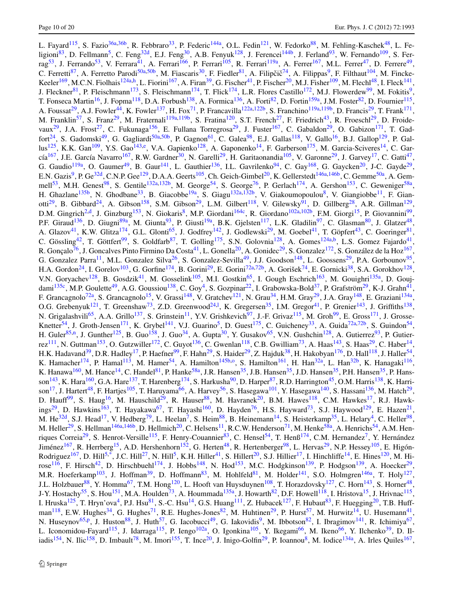L. Fayard<sup>[115](#page-17-2)</sup>, S. Fazio<sup>36a,[36b](#page-15-35)</sup>, R. Febbraro<sup>33</sup>, P. Federic<sup>[144a](#page-17-26)</sup>, O.L. Fedin<sup>[121](#page-17-49)</sup>, W. Fedorko<sup>88</sup>, M. Fehling-Kaschek<sup>48</sup>, L. Fe-ligioni<sup>[83](#page-16-22)</sup>, D. Fellmann<sup>[5](#page-14-12)</sup>, C. Feng<sup>[32d](#page-15-46)</sup>, E.J. Feng<sup>30</sup>, A.B. Fenyuk<sup>[128](#page-17-10)</sup>, J. Ferencei<sup>[144b](#page-17-12)</sup>, J. Ferland<sup>[93](#page-16-25)</sup>, W. Fernando<sup>109</sup>, S. Fer-rag<sup>[53](#page-15-9)</sup>, J. Ferrando<sup>53</sup>, V. Ferrara<sup>41</sup>, A. Ferrari<sup>166</sup>, P. Ferrari<sup>[105](#page-16-32)</sup>, R. Ferrari<sup>119a</sup>, A. Ferrer<sup>[167](#page-18-7)</sup>, M.L. Ferrer<sup>47</sup>, D. Ferrere<sup>49</sup>, C. Ferretti<sup>[87](#page-16-23)</sup>, A. Ferretto Parodi<sup>50a[,50b](#page-15-22)</sup>, M. Fiascaris<sup>[30](#page-15-12)</sup>, F. Fiedler<sup>81</sup>, A. Filipčič<sup>[74](#page-16-41)</sup>, A. Filippas<sup>[9](#page-14-5)</sup>, F. Filthaut<sup>104</sup>, M. Fincke-Keeler<sup>169</sup>, M.C.N. Fiolhais<sup>[124a](#page-17-11)[,h](#page-18-23)</sup>, L. Fiorini<sup>167</sup>, A. Firan<sup>39</sup>, G. Fischer<sup>41</sup>, P. Fischer<sup>[20](#page-14-6)</sup>, M.J. Fisher<sup>109</sup>, M. Flechl<sup>48</sup>, I. Fleck<sup>[141](#page-17-37)</sup>, J. Fleckner<sup>81</sup>, P. Fleischmann<sup>[173](#page-18-30)</sup>, S. Fleischmann<sup>[174](#page-18-13)</sup>, T. Flick<sup>174</sup>, L.R. Flores Castillo<sup>[172](#page-18-9)</sup>, M.J. Flowerdew<sup>99</sup>, M. Fokitis<sup>9</sup>, T. Fonseca Martin<sup>16</sup>, J. Fopma<sup>118</sup>, D.A. Forbush<sup>138</sup>, A. Formica<sup>[136](#page-17-22)</sup>, A. Forti<sup>82</sup>, D. Fortin<sup>[159a](#page-18-22)</sup>, J.M. Foster<sup>82</sup>, D. Fournier<sup>[115](#page-17-2)</sup>, A. Foussat<sup>29</sup>, A.J. Fowler<sup>[44](#page-15-14)</sup>, K. Fowler<sup>137</sup>, H. Fox<sup>[71](#page-16-29)</sup>, P. Francavilla<sup>[122a](#page-17-31)[,122b](#page-17-32)</sup>, S. Franchino<sup>[119a](#page-17-39)[,119b](#page-17-40)</sup>, D. Francis<sup>29</sup>, T. Frank<sup>[171](#page-18-5)</sup>, M. Franklin<sup>[57](#page-15-23)</sup>, S. Franz<sup>29</sup>, M. Fraternali<sup>[119a](#page-17-39)[,119b](#page-17-40)</sup>, S. Fratina<sup>[120](#page-17-9)</sup>, S.T. French<sup>27</sup>, F. Friedrich<sup>[43](#page-15-47)</sup>, R. Froeschl<sup>[29](#page-15-7)</sup>, D. Froide-vaux<sup>[29](#page-15-7)</sup>, J.A. Frost<sup>[27](#page-15-16)</sup>, C. Fukunaga<sup>156</sup>, E. Fullana Torregrosa<sup>29</sup>, J. Fuster<sup>[167](#page-18-7)</sup>, C. Gabaldon<sup>29</sup>, O. Gabizon<sup>171</sup>, T. Gad-fort<sup>[24](#page-15-2)</sup>, S. Gadomski<sup>[49](#page-15-1)</sup>, G. Gagliardi<sup>[50a,](#page-15-21)[50b](#page-15-22)</sup>, P. Gagnon<sup>[61](#page-15-30)</sup>, C. Galea<sup>[98](#page-16-6)</sup>, E.J. Gallas<sup>[118](#page-17-0)</sup>, V. Gallo<sup>[16](#page-14-8)</sup>, B.J. Gallop<sup>[129](#page-17-3)</sup>, P. Gal-lus<sup>125</sup>, K.K. Gan<sup>109</sup>, Y.S. Gao<sup>[143](#page-17-14)[,e](#page-18-14)</sup>, V.A. Gapienko<sup>[128](#page-17-10)</sup>, A. Gaponenko<sup>[14](#page-14-11)</sup>, F. Garberson<sup>[175](#page-18-2)</sup>, M. Garcia-Sciveres<sup>14</sup>, C. Gar-cía<sup>[167](#page-18-7)</sup>, J.E. García Navarro<sup>167</sup>, R.W. Gardner<sup>[30](#page-15-12)</sup>, N. Garelli<sup>[29](#page-15-7)</sup>, H. Garitaonandia<sup>105</sup>, V. Garonne<sup>29</sup>, J. Garvey<sup>17</sup>, C. Gatti<sup>47</sup>, G. Gaudio<sup>[119a](#page-17-39)</sup>, O. Gaumer<sup>49</sup>, B. Gaur<sup>[141](#page-17-37)</sup>, L. Gauthier<sup>136</sup>, I.L. Gavrilenko<sup>94</sup>, C. Gay<sup>[168](#page-18-11)</sup>, G. Gaycken<sup>[20](#page-14-6)</sup>, J-C. Gayde<sup>29</sup>, E.N. Gazis<sup>[9](#page-14-5)</sup>, P. Ge<sup>32d</sup>, C.N.P. Gee<sup>129</sup>, D.A.A. Geerts<sup>[105](#page-16-32)</sup>, Ch. Geich-Gimbel<sup>20</sup>, K. Gellerstedt<sup>146a,[146b](#page-17-17)</sup>, C. Gemme<sup>[50a](#page-15-21)</sup>, A. Gem-mell<sup>[53](#page-15-9)</sup>, M.H. Genest<sup>98</sup>, S. Gentile<sup>132a,[132b](#page-17-15)</sup>, M. George<sup>[54](#page-15-18)</sup>, S. George<sup>[76](#page-16-12)</sup>, P. Gerlach<sup>[174](#page-18-13)</sup>, A. Gershon<sup>[153](#page-17-1)</sup>, C. Geweniger<sup>58a</sup>, H. Ghazlane<sup>[135b](#page-17-50)</sup>, N. Ghodbane<sup>33</sup>, B. Giacobbe<sup>19a</sup>, S. Giagu<sup>132a,[132b](#page-17-15)</sup>, V. Giakoumopoulou<sup>8</sup>, V. Giangiobbe<sup>[11](#page-14-0)</sup>, F. Gian-otti<sup>[29](#page-15-7)</sup>, B. Gibbard<sup>24</sup>, A. Gibson<sup>[158](#page-17-23)</sup>, S.M. Gibson<sup>29</sup>, L.M. Gilbert<sup>118</sup>, V. Gilewsky<sup>91</sup>, D. Gillberg<sup>28</sup>, A.R. Gillman<sup>[129](#page-17-3)</sup>, D.M. Gingrich<sup>[2](#page-14-13)[,d](#page-18-12)</sup>, J. Ginzburg<sup>[153](#page-17-1)</sup>, N. Giokaris<sup>8</sup>, M.P. Giordani<sup>[164c](#page-18-24)</sup>, R. Giordano<sup>102a,[102b](#page-16-17)</sup>, F.M. Giorgi<sup>15</sup>, P. Giovannini<sup>99</sup>, P.F. Giraud<sup>[136](#page-17-22)</sup>, D. Giugni<sup>[89a](#page-16-3)</sup>, M. Giunta<sup>[93](#page-16-25)</sup>, P. Giusti<sup>[19a](#page-14-16)</sup>, B.K. Gjelsten<sup>[117](#page-17-38)</sup>, L.K. Gladilin<sup>97</sup>, C. Glasman<sup>[80](#page-16-28)</sup>, J. Glatzer<sup>48</sup>, A. Glazov<sup>41</sup>, K.W. Glitza<sup>174</sup>, G.L. Glonti<sup>[65](#page-16-13)</sup>, J. Godfrey<sup>142</sup>, J. Godlewski<sup>[29](#page-15-7)</sup>, M. Goebel<sup>[41](#page-15-25)</sup>, T. Göpfert<sup>[43](#page-15-47)</sup>, C. Goeringer<sup>81</sup>, C. Gössling<sup>[42](#page-15-31)</sup>, T. Göttfert<sup>99</sup>, S. Goldfarb<sup>[87](#page-16-23)</sup>, T. Golling<sup>[175](#page-18-2)</sup>, S.N. Golovnia<sup>128</sup>, A. Gomes<sup>[124a](#page-17-11)[,b](#page-18-6)</sup>, L.S. Gomez Fajardo<sup>41</sup>, R. Gonçalo<sup>[76](#page-16-12)</sup>, J. Goncalves Pinto Firmino Da Costa<sup>[41](#page-15-25)</sup>, L. Gonella<sup>20</sup>, A. Gonidec<sup>29</sup>, S. Gonzalez<sup>[172](#page-18-9)</sup>, S. González de la Hoz<sup>[167](#page-18-7)</sup>, G. Gonzalez Parra<sup>[11](#page-14-0)</sup>, M.L. Gonzalez Silva<sup>26</sup>, S. Gonzalez-Sevilla<sup>49</sup>, J.J. Goodson<sup>[148](#page-17-5)</sup>, L. Goossens<sup>[29](#page-15-7)</sup>, P.A. Gorbounov<sup>95</sup>, H.A. Gordon<sup>24</sup>, I. Gorelov<sup>103</sup>, G. Gorfine<sup>174</sup>, B. Gorini<sup>[29](#page-15-7)</sup>, E. Gorini<sup>72a[,72b](#page-16-34)</sup>, A. Gorišek<sup>74</sup>, E. Gornicki<sup>[38](#page-15-20)</sup>, S.A. Gorokhov<sup>[128](#page-17-10)</sup>, V.N. Goryachev<sup>[128](#page-17-10)</sup>, B. Gosdzik<sup>[41](#page-15-25)</sup>, M. Gosselink<sup>105</sup>, M.I. Gostkin<sup>[65](#page-16-13)</sup>, I. Gough Eschrich<sup>[163](#page-18-10)</sup>, M. Gouighri<sup>[135a](#page-17-29)</sup>, D. Gouj-dami<sup>[135c](#page-17-48)</sup>, M.P. Goulette<sup>49</sup>, A.G. Goussiou<sup>138</sup>, C. Goy<sup>4</sup>, S. Gozpinar<sup>22</sup>, I. Grabowska-Bold<sup>[37](#page-15-28)</sup>, P. Grafström<sup>[29](#page-15-7)</sup>, K-J. Grahn<sup>41</sup>, F. Grancagnolo<sup>72a</sup>, S. Grancagnolo<sup>15</sup>, V. Grassi<sup>[148](#page-17-5)</sup>, V. Gratchev<sup>121</sup>, N. Grau<sup>[34](#page-15-10)</sup>, H.M. Gray<sup>[29](#page-15-7)</sup>, J.A. Gray<sup>148</sup>, E. Graziani<sup>134a</sup>, O.G. Grebenyuk<sup>121</sup>, T. Greenshaw<sup>[73](#page-16-14)</sup>, Z.D. Greenwood<sup>[24](#page-15-2),1</sup>, K. Gregersen<sup>[35](#page-15-27)</sup>, I.M. Gregor<sup>41</sup>, P. Grenier<sup>[143](#page-17-14)</sup>, J. Griffiths<sup>[138](#page-17-27)</sup>, N. Grigalashvili<sup>[65](#page-16-13)</sup>, A.A. Grillo<sup>[137](#page-17-42)</sup>, S. Grinstein<sup>[11](#page-14-0)</sup>, Y.V. Grishkevich<sup>[97](#page-16-44)</sup>, J.-F. Grivaz<sup>115</sup>, M. Groh<sup>99</sup>, E. Gross<sup>[171](#page-18-5)</sup>, J. Grosse-Knetter<sup>[54](#page-15-18)</sup>, J. Groth-Jensen<sup>[171](#page-18-5)</sup>, K. Grybel<sup>141</sup>, V.J. Guarino<sup>[5](#page-14-12)</sup>, D. Guest<sup>[175](#page-18-2)</sup>, C. Guicheney<sup>[33](#page-15-32)</sup>, A. Guida<sup>72a[,72b](#page-16-34)</sup>, S. Guindon<sup>54</sup>, H. Guler<sup>85,[n](#page-18-31)</sup>, J. Gunther<sup>[125](#page-17-44)</sup>, B. Guo<sup>[158](#page-17-23)</sup>, J. Guo<sup>34</sup>, A. Gupta<sup>30</sup>, Y. Gusakov<sup>65</sup>, V.N. Gushchin<sup>[128](#page-17-10)</sup>, A. Gutierrez<sup>[93](#page-16-25)</sup>, P. Gutier-rez<sup>[111](#page-16-0)</sup>, N. Guttman<sup>[153](#page-17-1)</sup>, O. Gutzwiller<sup>[172](#page-18-9)</sup>, C. Guyot<sup>136</sup>, C. Gwenlan<sup>[118](#page-17-0)</sup>, C.B. Gwilliam<sup>[73](#page-16-14)</sup>, A. Haas<sup>143</sup>, S. Haas<sup>29</sup>, C. Haber<sup>14</sup>, H.K. Hadavand<sup>39</sup>, D.R. Hadley<sup>17</sup>, P. Haefner<sup>[99](#page-16-5)</sup>, F. Hahn<sup>[29](#page-15-7)</sup>, S. Haider<sup>29</sup>, Z. Hajduk<sup>38</sup>, H. Hakobyan<sup>[176](#page-18-32)</sup>, D. Hall<sup>[118](#page-17-0)</sup>, J. Haller<sup>54</sup>, K. Hamacher<sup>174</sup>, P. Hamal<sup>[113](#page-16-46)</sup>, M. Hamer<sup>[54](#page-15-18)</sup>, A. Hamilton<sup>145b[,o](#page-18-33)</sup>, S. Hamilton<sup>161</sup>, H. Han<sup>[32a](#page-15-19)</sup>, L. Han<sup>[32b](#page-15-49)</sup>, K. Hanagaki<sup>[116](#page-17-52)</sup>, K. Hanawa<sup>160</sup>, M. Hance<sup>[14](#page-14-11)</sup>, C. Handel<sup>[81](#page-16-8)</sup>, P. Hanke<sup>[58a](#page-15-11)</sup>, J.R. Hansen<sup>[35](#page-15-27)</sup>, J.B. Hansen<sup>35</sup>, J.D. Hansen<sup>35</sup>, P.H. Hansen<sup>35</sup>, P. Hans-son<sup>[143](#page-17-14)</sup>, K. Hara<sup>160</sup>, G.A. Hare<sup>137</sup>, T. Harenberg<sup>174</sup>, S. Harkusha<sup>90</sup>, D. Harper<sup>[87](#page-16-23)</sup>, R.D. Harrington<sup>45</sup>, O.M. Harris<sup>[138](#page-17-27)</sup>, K. Harri-son<sup>[17](#page-14-14)</sup>, J. Hartert<sup>[48](#page-15-0)</sup>, F. Hartjes<sup>[105](#page-16-32)</sup>, T. Haruyama<sup>66</sup>, A. Harvey<sup>[56](#page-15-3)</sup>, S. Hasegawa<sup>101</sup>, Y. Hasegawa<sup>140</sup>, S. Hassani<sup>136</sup>, M. Hatch<sup>29</sup>, D. Hauff<sup>99</sup>, S. Haug<sup>16</sup>, M. Hauschild<sup>[29](#page-15-7)</sup>, R. Hauser<sup>88</sup>, M. Havranek<sup>[20](#page-14-6)</sup>, B.M. Hawes<sup>118</sup>, C.M. Hawkes<sup>17</sup>, R.J. Hawk-ings<sup>29</sup>, D. Hawkins<sup>163</sup>, T. Hayakawa<sup>67</sup>, T. Hayashi<sup>160</sup>, D. Hayden<sup>76</sup>, H.S. Hayward<sup>73</sup>, S.J. Haywood<sup>[129](#page-17-3)</sup>, E. Hazen<sup>21</sup>, M.  $He^{32d}$  $He^{32d}$  $He^{32d}$ , S.J. Head<sup>17</sup>, V. Hedberg<sup>79</sup>, L. Heelan<sup>7</sup>, S. Heim<sup>[88](#page-16-2)</sup>, B. Heinemann<sup>14</sup>, S. Heisterkamp<sup>[35](#page-15-27)</sup>, L. Helary<sup>[4](#page-14-10)</sup>, C. Heller<sup>98</sup>, M. Heller<sup>29</sup>, S. Hellman<sup>[146a](#page-17-16)[,146b](#page-17-17)</sup>, D. Hellmich<sup>20</sup>, C. Helsens<sup>11</sup>, R.C.W. Henderson<sup>71</sup>, M. Henke<sup>58a</sup>, A. Henrichs<sup>[54](#page-15-18)</sup>, A.M. Hen-riques Correia<sup>[29](#page-15-7)</sup>, S. Henrot-Versille<sup>115</sup>, F. Henry-Couannier<sup>83</sup>, C. Hensel<sup>54</sup>, T. Henß<sup>1[7](#page-14-20)4</sup>, C.M. Hernandez<sup>7</sup>, Y. Hernández Jiménez<sup>167</sup>, R. Herrberg<sup>[15](#page-14-7)</sup>, A.D. Hershenhorn<sup>152</sup>, G. Herten<sup>[48](#page-15-0)</sup>, R. Hertenberger<sup>[98](#page-16-6)</sup>, L. Hervas<sup>[29](#page-15-7)</sup>, N.P. Hessey<sup>[105](#page-16-32)</sup>, E. Higón-Rodriguez<sup>167</sup>, D. Hill<sup>5[,\\*](#page-19-0)</sup>, J.C. Hill<sup>27</sup>, N. Hill<sup>[5](#page-14-12)</sup>, K.H. Hiller<sup>41</sup>, S. Hiller<sup>[20](#page-14-6)</sup>, S.J. Hillier<sup>17</sup>, I. Hinchliffe<sup>[14](#page-14-11)</sup>, E. Hines<sup>[120](#page-17-9)</sup>, M. Hi-rose<sup>[116](#page-17-52)</sup>, F. Hirsch<sup>[42](#page-15-31)</sup>, D. Hirschbuehl<sup>174</sup>, J. Hobbs<sup>[148](#page-17-5)</sup>, N. Hod<sup>153</sup>, M.C. Hodgkinson<sup>[139](#page-17-33)</sup>, P. Hodgson<sup>139</sup>, A. Hoecker<sup>29</sup>, M.R. Hoeferkamp<sup>[103](#page-16-45)</sup>, J. Hoffman<sup>[39](#page-15-40)</sup>, D. Hoffmann<sup>83</sup>, M. Hohlfeld<sup>[81](#page-16-8)</sup>, M. Holder<sup>141</sup>, S.O. Holmgren<sup>[146a](#page-17-16)</sup>, T. Holy<sup>[127](#page-17-18)</sup>, J.L. Holzbauer<sup>88</sup>, Y. Homma<sup>67</sup>, T.M. Hong<sup>[120](#page-17-9)</sup>, L. Hooft van Huysduynen<sup>[108](#page-16-37)</sup>, T. Horazdovsky<sup>127</sup>, C. Horn<sup>143</sup>, S. Horner<sup>48</sup>, J-Y. Hostachy<sup>[55](#page-15-6)</sup>, S. Hou<sup>[151](#page-17-43)</sup>, M.A. Houlden<sup>73</sup>, A. Hoummada<sup>[135a](#page-17-29)</sup>, J. Howarth<sup>82</sup>, D.F. Howell<sup>118</sup>, I. Hristova<sup>15</sup>, J. Hrivnac<sup>[115](#page-17-2)</sup>, I. Hruska<sup>[125](#page-17-44)</sup>, T. Hryn'ova<sup>4</sup>, P.J. Hsu<sup>[81](#page-16-8)</sup>, S.-C. Hsu<sup>14</sup>, G.S. Huang<sup>111</sup>, Z. Hubacek<sup>[127](#page-17-18)</sup>, F. Hubaut<sup>83</sup>, F. Huegging<sup>20</sup>, T.B. Huff-man<sup>[118](#page-17-0)</sup>, E.W. Hughes<sup>[34](#page-15-10)</sup>, G. Hughes<sup>71</sup>, R.E. Hughes-Jones<sup>[82](#page-16-15)</sup>, M. Huhtinen<sup>[29](#page-15-7)</sup>, P. Hurst<sup>[57](#page-15-23)</sup>, M. Hurwitz<sup>14</sup>, U. Husemann<sup>41</sup>, N. Huseynov<sup>[65](#page-16-13)[,p](#page-18-35)</sup>, J. Huston<sup>[88](#page-16-2)</sup>, J. Huth<sup>[57](#page-15-23)</sup>, G. Iacobucci<sup>49</sup>, G. Iakovidis<sup>9</sup>, M. Ibbotson<sup>82</sup>, I. Ibragimov<sup>[141](#page-17-37)</sup>, R. Ichimiya<sup>67</sup>, L. Iconomidou-Fayard<sup>[115](#page-17-2)</sup>, J. Idarraga<sup>115</sup>, P. Iengo<sup>[102a](#page-16-16)</sup>, O. Igonkina<sup>[105](#page-16-32)</sup>, Y. Ikegami<sup>66</sup>, M. Ikeno<sup>66</sup>, Y. Ilchenko<sup>39</sup>, D. Il-iadis<sup>[154](#page-17-54)</sup>, N. Ilic<sup>158</sup>, D. Imbault<sup>[78](#page-16-30)</sup>, M. Imori<sup>[155](#page-17-8)</sup>, T. Ince<sup>20</sup>, J. Inigo-Golfin<sup>29</sup>, P. Ioannou<sup>[8](#page-14-9)</sup>, M. Iodice<sup>134a</sup>, A. Irles Quiles<sup>[167](#page-18-7)</sup>,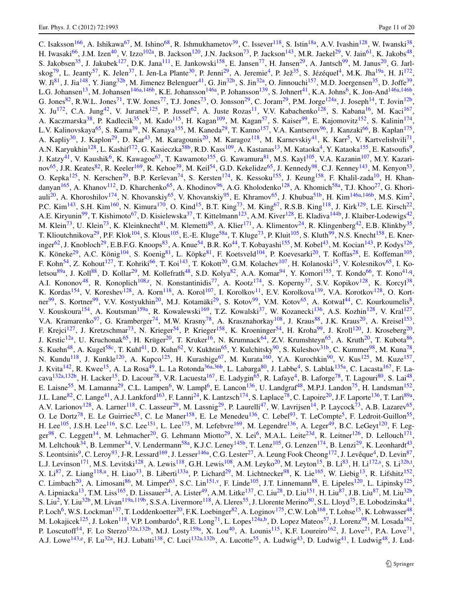C. Isaksson<sup>[166](#page-18-20)</sup>, A. Ishikawa<sup>[67](#page-16-11)</sup>, M. Ishino<sup>68</sup>, R. Ishmukhametov<sup>[39](#page-15-40)</sup>, C. Issever<sup>118</sup>, S. Istin<sup>[18a](#page-14-3)</sup>, A.V. Ivashin<sup>[128](#page-17-10)</sup>, W. Iwanski<sup>38</sup>, H. Iwasaki<sup>66</sup>, J.M. Izen<sup>[40](#page-15-5)</sup>, V. Izzo<sup>102a</sup>, B. Jackson<sup>[120](#page-17-9)</sup>, J.N. Jackson<sup>73</sup>, P. Jackson<sup>143</sup>, M.R. Jaekel<sup>[29](#page-15-7)</sup>, V. Jain<sup>61</sup>, K. Jakobs<sup>48</sup>, S. Jakobsen<sup>[35](#page-15-27)</sup>, J. Jakubek<sup>[127](#page-17-18)</sup>, D.K. Jana<sup>[111](#page-16-0)</sup>, E. Jankowski<sup>[158](#page-17-23)</sup>, E. Jansen<sup>[77](#page-16-26)</sup>, H. Jansen<sup>[29](#page-15-7)</sup>, A. Jantsch<sup>99</sup>, M. Janus<sup>[20](#page-14-6)</sup>, G. Jarl-skog<sup>[79](#page-16-9)</sup>, L. Jeanty<sup>57</sup>, K. Jelen<sup>[37](#page-15-28)</sup>, I. Jen-La Plante<sup>[30](#page-15-12)</sup>, P. Jenni<sup>29</sup>, A. Jeremie<sup>4</sup>, P. Jež<sup>[35](#page-15-27)</sup>, S. Jézéquel<sup>4</sup>, M.K. Jha<sup>19a</sup>, H. Ji<sup>[172](#page-18-9)</sup>, W. Ji<sup>81</sup>, J. Jia<sup>148</sup>, Y. Jiang<sup>32b</sup>, M. Jimenez Belenguer<sup>41</sup>, G. Jin<sup>32b</sup>, S. Jin<sup>32a</sup>, O. Jinnouchi<sup>[157](#page-17-55)</sup>, M.D. Joergensen<sup>35</sup>, D. Joffe<sup>39</sup>, L.G. Johansen<sup>[13](#page-14-21)</sup>, M. Johansen<sup>146a,[146b](#page-17-17)</sup>, K.E. Johansson<sup>[146a](#page-17-16)</sup>, P. Johansson<sup>139</sup>, S. Johnert<sup>41</sup>, K.A. Johns<sup>[6](#page-14-24)</sup>, K. Jon-And<sup>146a,146b</sup>, G. Jones<sup>[82](#page-16-15)</sup>, R.W.L. Jones<sup>[71](#page-16-29)</sup>, T.W. Jones<sup>77</sup>, T.J. Jones<sup>73</sup>, O. Jonsson<sup>[29](#page-15-7)</sup>, C. Joram<sup>29</sup>, P.M. Jorge<sup>[124a](#page-17-11)</sup>, J. Joseph<sup>[14](#page-14-11)</sup>, T. Jovin<sup>[12b](#page-14-19)</sup> X. Ju<sup>[172](#page-18-9)</sup>, C.A. Jung<sup>42</sup>, V. Juranek<sup>[125](#page-17-44)</sup>, P. Jussel<sup>[62](#page-15-45)</sup>, A. Juste Rozas<sup>[11](#page-14-0)</sup>, V.V. Kabachenko<sup>[128](#page-17-10)</sup>, S. Kabana<sup>16</sup>, M. Kaci<sup>[167](#page-18-7)</sup>, A. Kaczmarska<sup>[38](#page-15-20)</sup>, P. Kadlecik<sup>[35](#page-15-27)</sup>, M. Kado<sup>115</sup>, H. Kagan<sup>[109](#page-16-42)</sup>, M. Kagan<sup>57</sup>, S. Kaiser<sup>[99](#page-16-5)</sup>, E. Kajomovitz<sup>[152](#page-17-28)</sup>, S. Kalinin<sup>[174](#page-18-13)</sup>, L.V. Kalinovskaya<sup>[65](#page-16-13)</sup>, S. Kama<sup>39</sup>, N. Kanaya<sup>155</sup>, M. Kaneda<sup>[29](#page-15-7)</sup>, T. Kanno<sup>157</sup>, V.A. Kantserov<sup>96</sup>, J. Kanzaki<sup>[66](#page-16-18)</sup>, B. Kaplan<sup>[175](#page-18-2)</sup>, A. Kapliy<sup>[30](#page-15-12)</sup>, J. Kaplon<sup>29</sup>, D. Kar<sup>43</sup>, M. Karagounis<sup>20</sup>, M. Karagoz<sup>118</sup>, M. Karnevskiy<sup>[41](#page-15-25)</sup>, K. Karr<sup>5</sup>, V. Kartvelishvili<sup>71</sup>, A.N. Karyukhin<sup>128</sup>, L. Kashif<sup>[172](#page-18-9)</sup>, G. Kasieczka<sup>58b</sup>, R.D. Kass<sup>109</sup>, A. Kastanas<sup>[13](#page-14-21)</sup>, M. Kataoka<sup>4</sup>, Y. Kataoka<sup>155</sup>, E. Katsoufis<sup>9</sup>, J. Katzy<sup>[41](#page-15-25)</sup>, V. Kaushik<sup>[6](#page-14-24)</sup>, K. Kawagoe<sup>67</sup>, T. Kawamoto<sup>[155](#page-17-8)</sup>, G. Kawamura<sup>[81](#page-16-8)</sup>, M.S. Kayl<sup>105</sup>, V.A. Kazanin<sup>[107](#page-16-20)</sup>, M.Y. Kazari-nov<sup>[65](#page-16-13)</sup>, J.R. Keates<sup>82</sup>, R. Keeler<sup>[169](#page-18-4)</sup>, R. Kehoe<sup>[39](#page-15-40)</sup>, M. Keil<sup>[54](#page-15-18)</sup>, G.D. Kekelidze<sup>65</sup>, J. Kennedy<sup>[98](#page-16-6)</sup>, C.J. Kenney<sup>143</sup>, M. Kenyon<sup>53</sup>, O. Kepka<sup>[125](#page-17-44)</sup>, N. Kerschen<sup>[29](#page-15-7)</sup>, B.P. Kerševan<sup>[74](#page-16-41)</sup>, S. Kersten<sup>[174](#page-18-13)</sup>, K. Kessoku<sup>[155](#page-17-8)</sup>, J. Keung<sup>158</sup>, F. Khalil-zada<sup>10</sup>, H. Khan-danyan<sup>[165](#page-18-17)</sup>, A. Khanov<sup>[112](#page-16-1)</sup>, D. Kharchenko<sup>[65](#page-16-13)</sup>, A. Khodinov<sup>96</sup>, A.G. Kholodenko<sup>[128](#page-17-10)</sup>, A. Khomich<sup>[58a](#page-15-11)</sup>, T.J. Khoo<sup>[27](#page-15-16)</sup>, G. Khori-auli<sup>[20](#page-14-6)</sup>, A. Khoroshilov<sup>174</sup>, N. Khovanskiy<sup>65</sup>, V. Khovanskiy<sup>95</sup>, E. Khramov<sup>65</sup>, J. Khubua<sup>[51b](#page-15-42)</sup>, H. Kim<sup>146a,[146b](#page-17-17)</sup>, M.S. Kim<sup>2</sup>, P.C. Kim<sup>[143](#page-17-14)</sup>, S.H. Kim<sup>[160](#page-18-34)</sup>, N. Kimura<sup>[170](#page-18-36)</sup>, O. Kind<sup>15</sup>, B.T. King<sup>[73](#page-16-14)</sup>, M. King<sup>67</sup>, R.S.B. King<sup>[118](#page-17-0)</sup>, J. Kirk<sup>[129](#page-17-3)</sup>, L.E. Kirsch<sup>22</sup>, A.E. Kiryunin<sup>[99](#page-16-5)</sup>, T. Kishimoto<sup>[67](#page-16-11)</sup>, D. Kisielewska<sup>37</sup>, T. Kittelmann<sup>123</sup>, A.M. Kiver<sup>128</sup>, E. Kladiva<sup>[144b](#page-17-12)</sup>, J. Klaiber-Lodewigs<sup>42</sup>, M. Klein<sup>[73](#page-16-14)</sup>, U. Klein<sup>73</sup>, K. Kleinknecht<sup>81</sup>, M. Klemetti<sup>[85](#page-16-31)</sup>, A. Klier<sup>171</sup>, A. Klimentov<sup>[24](#page-15-2)</sup>, R. Klingenberg<sup>[42](#page-15-31)</sup>, E.B. Klinkby<sup>35</sup>, T. Klioutchnikova<sup>[29](#page-15-7)</sup>, P.F. Klok<sup>104</sup>, S. Klous<sup>105</sup>, E.-E. Kluge<sup>58a</sup>, T. Kluge<sup>73</sup>, P. Kluit<sup>105</sup>, S. Kluth<sup>99</sup>, N.S. Knecht<sup>158</sup>, E. Kner-inger<sup>62</sup>, J. Knobloch<sup>29</sup>, E.B.F.G. Knoops<sup>[83](#page-16-22)</sup>, A. Knue<sup>[54](#page-15-18)</sup>, B.R. Ko<sup>44</sup>, T. Kobayashi<sup>155</sup>, M. Kobel<sup>43</sup>, M. Kocian<sup>143</sup>, P. Kodys<sup>[126](#page-17-45)</sup>, K. Köneke<sup>[29](#page-15-7)</sup>, A.C. König<sup>[104](#page-16-39)</sup>, S. Koenig<sup>[81](#page-16-8)</sup>, L. Köpke<sup>81</sup>, F. Koetsveld<sup>104</sup>, P. Koevesarki<sup>20</sup>, T. Koffas<sup>[28](#page-15-15)</sup>, E. Koffeman<sup>[105](#page-16-32)</sup>, F. Kohn<sup>[54](#page-15-18)</sup>, Z. Kohout<sup>127</sup>, T. Kohriki<sup>66</sup>, T. Koi<sup>143</sup>, T. Kokott<sup>[20](#page-14-6)</sup>, G.M. Kolachev<sup>[107](#page-16-20)</sup>, H. Kolanoski<sup>15</sup>, V. Kolesnikov<sup>[65](#page-16-13)</sup>, I. Ko-letsou<sup>[89a](#page-16-3)</sup>, J. Koll<sup>[88](#page-16-2)</sup>, D. Kollar<sup>29</sup>, M. Kollefrath<sup>48</sup>, S.D. Kolya<sup>82</sup>, A.A. Komar<sup>[94](#page-16-10)</sup>, Y. Komori<sup>[155](#page-17-8)</sup>, T. Kondo<sup>66</sup>, T. Kono<sup>[41](#page-15-25)[,q](#page-18-37)</sup>, A.I. Kononov<sup>[48](#page-15-0)</sup>, R. Konoplich<sup>108,[r](#page-18-38)</sup>, N. Konstantinidis<sup>77</sup>, A. Kootz<sup>174</sup>, S. Koperny<sup>[37](#page-15-28)</sup>, S.V. Kopikov<sup>[128](#page-17-10)</sup>, K. Korcyl<sup>38</sup>, K. Kordas<sup>154</sup>, V. Koreshev<sup>[128](#page-17-10)</sup>, A. Korn<sup>[118](#page-17-0)</sup>, A. Korol<sup>[107](#page-16-20)</sup>, I. Korolkov<sup>[11](#page-14-0)</sup>, E.V. Korolkova<sup>139</sup>, V.A. Korotkov<sup>128</sup>, O. Kortner  $^{99}$  $^{99}$  $^{99}$ , S. Kortner<sup>99</sup>, V.V. Kostyukhin<sup>[20](#page-14-6)</sup>, M.J. Kotamäki<sup>[29](#page-15-7)</sup>, S. Kotov<sup>99</sup>, V.M. Kotov<sup>[65](#page-16-13)</sup>, A. Kotwal<sup>44</sup>, C. Kourkoumelis<sup>8</sup>, V. Kouskoura<sup>[154](#page-17-54)</sup>, A. Koutsman<sup>159a</sup>, R. Kowalewski<sup>169</sup>, T.Z. Kowalski<sup>[37](#page-15-28)</sup>, W. Kozanecki<sup>[136](#page-17-22)</sup>, A.S. Kozhin<sup>128</sup>, V. Kral<sup>[127](#page-17-18)</sup>, V.A. Kramarenko<sup>[97](#page-16-44)</sup>, G. Kramberger<sup>74</sup>, M.W. Krasny<sup>78</sup>, A. Krasznahorkay<sup>108</sup>, J. Kraus<sup>[88](#page-16-2)</sup>, J.K. Kraus<sup>[20](#page-14-6)</sup>, A. Kreisel<sup>[153](#page-17-1)</sup>, F. Krejci<sup>127</sup>, J. Kretzschmar<sup>[73](#page-16-14)</sup>, N. Krieger<sup>54</sup>, P. Krieger<sup>[158](#page-17-23)</sup>, K. Kroeninger<sup>[54](#page-15-18)</sup>, H. Kroha<sup>[99](#page-16-5)</sup>, J. Kroll<sup>[120](#page-17-9)</sup>, J. Kroseberg<sup>20</sup>, J. Krstic<sup>[12a](#page-14-18)</sup>, U. Kruchonak<sup>65</sup>, H. Krüger<sup>[20](#page-14-6)</sup>, T. Kruker<sup>[16](#page-14-8)</sup>, N. Krumnack<sup>64</sup>, Z.V. Krumshteyn<sup>[65](#page-16-13)</sup>, A. Kruth<sup>20</sup>, T. Kubota<sup>86</sup>, S. Kuehn<sup>[48](#page-15-0)</sup>, A. Kugel<sup>58c</sup>, T. Kuhl<sup>41</sup>, D. Kuhn<sup>62</sup>, V. Kukhtin<sup>65</sup>, Y. Kulchitsky<sup>90</sup>, S. Kuleshov<sup>31b</sup>, C. Kummer<sup>[98](#page-16-6)</sup>, M. Kuna<sup>78</sup>, N. Kundu<sup>118</sup>, J. Kunkle<sup>[120](#page-17-9)</sup>, A. Kupco<sup>[125](#page-17-44)</sup>, H. Kurashige<sup>67</sup>, M. Kurata<sup>[160](#page-18-34)</sup>, Y.A. Kurochkin<sup>90</sup>, V. Kus<sup>125</sup>, M. Kuze<sup>[157](#page-17-55)</sup>, J. Kvita<sup>[142](#page-17-46)</sup>, R. Kwee<sup>15</sup>, A. La Rosa<sup>49</sup>, L. La Rotonda<sup>[36a,](#page-15-34)[36b](#page-15-35)</sup>, L. Labarga<sup>80</sup>, J. Labbe<sup>4</sup>, S. Lablak<sup>[135a](#page-17-29)</sup>, C. Lacasta<sup>167</sup>, F. La-cava<sup>[132a](#page-17-13)[,132b](#page-17-15)</sup>, H. Lacker<sup>[15](#page-14-7)</sup>, D. Lacour<sup>78</sup>, V.R. Lacuesta<sup>[167](#page-18-7)</sup>, E. Ladygin<sup>[65](#page-16-13)</sup>, R. Lafaye<sup>4</sup>, B. Laforge<sup>[78](#page-16-30)</sup>, T. Lagouri<sup>[80](#page-16-28)</sup>, S. Lai<sup>48</sup>, E. Laisne<sup>[55](#page-15-6)</sup>, M. Lamanna<sup>29</sup>, C.L. Lampen<sup>[6](#page-14-24)</sup>, W. Lampl<sup>6</sup>, E. Lancon<sup>[136](#page-17-22)</sup>, U. Landgraf<sup>[48](#page-15-0)</sup>, M.P.J. Landon<sup>[75](#page-16-7)</sup>, H. Landsman<sup>[152](#page-17-28)</sup>, J.L. Lane<sup>[82](#page-16-15)</sup>, C. Lange<sup>[41](#page-15-25)</sup>, A.J. Lankford<sup>[163](#page-18-10)</sup>, F. Lanni<sup>[24](#page-15-2)</sup>, K. Lantzsch<sup>174</sup>, S. Laplace<sup>[78](#page-16-30)</sup>, C. Lapoire<sup>[20](#page-14-6)</sup>, J.F. Laporte<sup>[136](#page-17-22)</sup>, T. Lari<sup>89a</sup>, A.V. Larionov<sup>[128](#page-17-10)</sup>, A. Larner<sup>[118](#page-17-0)</sup>, C. Lasseur<sup>[29](#page-15-7)</sup>, M. Lassnig<sup>29</sup>, P. Laurelli<sup>[47](#page-15-13)</sup>, W. Lavrijsen<sup>14</sup>, P. Laycock<sup>[73](#page-16-14)</sup>, A.B. Lazarev<sup>65</sup>, O. Le Dortz<sup>[78](#page-16-30)</sup>, E. Le Guirriec<sup>83</sup>, C. Le Maner<sup>1[5](#page-14-12)8</sup>, E. Le Menedeu<sup>136</sup>, C. Lebel<sup>93</sup>, T. LeCompte<sup>5</sup>, F. Ledroit-Guillon<sup>55</sup>, H. Lee<sup>105</sup>, J.S.H. Lee<sup>116</sup>, S.C. Lee<sup>[151](#page-17-43)</sup>, L. Lee<sup>[175](#page-18-2)</sup>, M. Lefebvre<sup>[169](#page-18-4)</sup>, M. Legendre<sup>[136](#page-17-22)</sup>, A. Leger<sup>49</sup>, B.C. LeGeyt<sup>[120](#page-17-9)</sup>, F. Leg-ger<sup>[98](#page-16-6)</sup>, C. Leggett<sup>[14](#page-14-11)</sup>, M. Lehmacher<sup>[20](#page-14-6)</sup>, G. Lehmann Miotto<sup>29</sup>, X. Lei<sup>6</sup>, M.A.L. Leite<sup>23d</sup>, R. Leitner<sup>[126](#page-17-45)</sup>, D. Lellouch<sup>[171](#page-18-5)</sup>, M. Leltchouk<sup>34</sup>, B. Lemmer<sup>[54](#page-15-18)</sup>, V. Lendermann<sup>[58a](#page-15-11)</sup>, K.J.C. Leney<sup>[145b](#page-17-51)</sup>, T. Lenz<sup>[105](#page-16-32)</sup>, G. Lenzen<sup>174</sup>, B. Lenzi<sup>29</sup>, K. Leonhardt<sup>43</sup>, S. Leontsinis<sup>[9](#page-14-5)</sup>, C. Leroy<sup>93</sup>, J-R. Lessard<sup>169</sup>, J. Lesser<sup>146a</sup>, C.G. Lester<sup>27</sup>, A. Leung Fook Cheong<sup>[172](#page-18-9)</sup>, J. Levêque<sup>4</sup>, D. Levin<sup>87</sup>, L.J. Levinson<sup>[171](#page-18-5)</sup>, M.S. Levitski<sup>[128](#page-17-10)</sup>, A. Lewis<sup>[118](#page-17-0)</sup>, G.H. Lewis<sup>[108](#page-16-37)</sup>, A.M. Leyko<sup>[20](#page-14-6)</sup>, M. Leyton<sup>15</sup>, B. Li<sup>83</sup>, H. Li<sup>172[,s](#page-18-39)</sup>, S. Li<sup>[32b,](#page-15-49)[t](#page-18-40)</sup>, X. Li<sup>[87](#page-16-23)</sup>, Z. Liang<sup>[118](#page-17-0)[,u](#page-18-41)</sup>, H. Liao<sup>33</sup>, B. Liberti<sup>133a</sup>, P. Lichard<sup>29</sup>, M. Lichtnecker<sup>98</sup>, K. Lie<sup>[165](#page-18-17)</sup>, W. Liebig<sup>[13](#page-14-21)</sup>, R. Lifshitz<sup>[152](#page-17-28)</sup>, C. Limbach<sup>[20](#page-14-6)</sup>, A. Limosani<sup>[86](#page-16-27)</sup>, M. Limper<sup>[63](#page-15-24)</sup>, S.C. Lin<sup>[151,](#page-17-43)[v](#page-18-42)</sup>, F. Linde<sup>105</sup>, J.T. Linnemann<sup>88</sup>, E. Lipeles<sup>120</sup>, L. Lipinsky<sup>[125](#page-17-44)</sup>, A. Lipniacka<sup>[13](#page-14-21)</sup>, T.M. Liss<sup>[165](#page-18-17)</sup>, D. Lissauer<sup>24</sup>, A. Lister<sup>49</sup>, A.M. Litke<sup>137</sup>, C. Liu<sup>28</sup>, D. Liu<sup>151</sup>, H. Liu<sup>[87](#page-16-23)</sup>, J.B. Liu<sup>87</sup>, M. Liu<sup>[32b](#page-15-49)</sup>, S. Liu<sup>[2](#page-14-13)</sup>, Y. Liu<sup>32b</sup>, M. Livan<sup>[119a](#page-17-39)[,119b](#page-17-40)</sup>, S.S.A. Livermore<sup>[118](#page-17-0)</sup>, A. Lleres<sup>55</sup>, J. Llorente Merino<sup>80</sup>, S.L. Lloyd<sup>[75](#page-16-7)</sup>, E. Lobodzinska<sup>41</sup>, P. Loch<sup>6</sup>, W.S. Lockman<sup>137</sup>, T. Loddenkoetter<sup>[20](#page-14-6)</sup>, F.K. Loebinger<sup>[82](#page-16-15)</sup>, A. Loginov<sup>[175](#page-18-2)</sup>, C.W. Loh<sup>[168](#page-18-11)</sup>, T. Lohse<sup>15</sup>, K. Lohwasser<sup>48</sup>, M. Lokajicek<sup>[125](#page-17-44)</sup>, J. Loken<sup>118</sup>, V.P. Lombardo<sup>4</sup>, R.E. Long<sup>[71](#page-16-29)</sup>, L. Lopes<sup>[124a](#page-17-11)[,b](#page-18-6)</sup>, D. Lopez Mateos<sup>57</sup>, J. Lorenz<sup>98</sup>, M. Losada<sup>[162](#page-18-43)</sup>, P. Loscutoff<sup>14</sup>, F. Lo Sterzo<sup>132a,[132b](#page-17-15)</sup>, M.J. Losty<sup>[159a](#page-18-22)</sup>, X. Lou<sup>40</sup>, A. Lounis<sup>[115](#page-17-2)</sup>, K.F. Loureiro<sup>[162](#page-18-43)</sup>, J. Love<sup>21</sup>, P.A. Love<sup>71</sup>, A.J. Lowe<sup>[143,](#page-17-14)[e](#page-18-14)</sup>, F. Lu<sup>[32a](#page-15-19)</sup>, H.J. Lubatti<sup>138</sup>, C. Luci<sup>132a[,132b](#page-17-15)</sup>, A. Lucotte<sup>[55](#page-15-6)</sup>, A. Ludwig<sup>[43](#page-15-47)</sup>, D. Ludwig<sup>41</sup>, I. Ludwig<sup>48</sup>, J. Lud-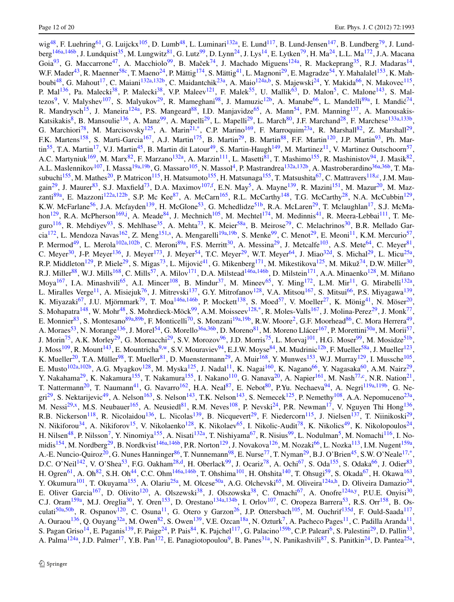wig<sup>[48](#page-15-0)</sup>, F. Luehring<sup>[61](#page-15-30)</sup>, G. Luijckx<sup>105</sup>, D. Lumb<sup>48</sup>, L. Luminari<sup>132a</sup>, E. Lund<sup>[117](#page-17-38)</sup>, B. Lund-Jensen<sup>[147](#page-17-56)</sup>, B. Lundberg<sup>79</sup>, J. Lund-berg<sup>[146a](#page-17-16),[146b](#page-17-17)</sup>, J. Lundquist<sup>35</sup>, M. Lungwitz<sup>81</sup>, G. Lutz<sup>[99](#page-16-5)</sup>, D. Lynn<sup>24</sup>, J. Lys<sup>[14](#page-14-11)</sup>, E. Lytken<sup>79</sup>, H. Ma<sup>24</sup>, L.L. Ma<sup>[172](#page-18-9)</sup>, J.A. Macana Goia<sup>[93](#page-16-25)</sup>, G. Maccarrone<sup>47</sup>, A. Macchiolo<sup>99</sup>, B. Maček<sup>[74](#page-16-41)</sup>, J. Machado Miguens<sup>124a</sup>, R. Mackeprang<sup>[35](#page-15-27)</sup>, R.J. Madaras<sup>14</sup>, W.F. Mader<sup>[43](#page-15-47)</sup>, R. Maenner<sup>[58c](#page-15-51)</sup>, T. Maeno<sup>24</sup>, P. Mättig<sup>174</sup>, S. Mättig<sup>41</sup>, L. Magnoni<sup>29</sup>, E. Magradze<sup>[54](#page-15-18)</sup>, Y. Mahalalel<sup>[153](#page-17-1)</sup>, K. Mah-boubi<sup>[48](#page-15-0)</sup>, G. Mahout<sup>[17](#page-14-14)</sup>, C. Maiani<sup>132a[,132b](#page-17-15)</sup>, C. Maidantchik<sup>[23a](#page-15-33)</sup>, A. Maio<sup>124a,[b](#page-18-6)</sup>, S. Majewski<sup>[24](#page-15-2)</sup>, Y. Makida<sup>[66](#page-16-18)</sup>, N. Makovec<sup>[115](#page-17-2)</sup>, P. Mal<sup>[136](#page-17-22)</sup>, Pa. Malecki<sup>[38](#page-15-20)</sup>, P. Malecki<sup>38</sup>, V.P. Maleev<sup>121</sup>, F. Malek<sup>[55](#page-15-6)</sup>, U. Mallik<sup>63</sup>, D. Malon<sup>[5](#page-14-12)</sup>, C. Malone<sup>143</sup>, S. Mal-tezos<sup>9</sup>, V. Malyshev<sup>107</sup>, S. Malyukov<sup>29</sup>, R. Mameghani<sup>98</sup>, J. Mamuzic<sup>[12b](#page-14-19)</sup>, A. Manabe<sup>[66](#page-16-18)</sup>, L. Mandelli<sup>89a</sup>, I. Mandić<sup>[74](#page-16-41)</sup>, R. Mandrysch<sup>[15](#page-14-7)</sup>, J. Maneira<sup>[124a](#page-17-11)</sup>, P.S. Mangeard<sup>[88](#page-16-2)</sup>, I.D. Manjavidze<sup>[65](#page-16-13)</sup>, A. Mann<sup>54</sup>, P.M. Manning<sup>137</sup>, A. Manousakis-Katsikakis<sup>[8](#page-14-9)</sup>, B. Mansoulie<sup>136</sup>, A. Manz<sup>99</sup>, A. Mapelli<sup>[29](#page-15-7)</sup>, L. Mapelli<sup>29</sup>, L. March<sup>[80](#page-16-28)</sup>, J.F. Marchand<sup>28</sup>, F. Marchese<sup>133a,[133b](#page-17-7)</sup>, G. Marchiori<sup>[78](#page-16-30)</sup>, M. Marcisovsky<sup>[125](#page-17-44)</sup>, A. Marin<sup>[21](#page-14-2)[,\\*](#page-19-0)</sup>, C.P. Marino<sup>169</sup>, F. Marroquim<sup>[23a](#page-15-33)</sup>, R. Marshall<sup>82</sup>, Z. Marshall<sup>29</sup>, F.K. Martens<sup>[158](#page-17-23)</sup>, S. Marti-Garcia<sup>[167](#page-18-7)</sup>, A.J. Martin<sup>[175](#page-18-2)</sup>, B. Martin<sup>[29](#page-15-7)</sup>, B. Martin<sup>88</sup>, F.F. Martin<sup>[120](#page-17-9)</sup>, J.P. Martin<sup>93</sup>, Ph. Mar-tin<sup>[55](#page-15-6)</sup>, T.A. Martin<sup>17</sup>, V.J. Martin<sup>45</sup>, B. Martin dit Latour<sup>49</sup>, S. Martin-Haugh<sup>149</sup>, M. Martinez<sup>[11](#page-14-0)</sup>, V. Martinez Outschoorn<sup>57</sup>, A.C. Martyniuk<sup>[169](#page-18-4)</sup>, M. Marx<sup>82</sup>, F. Marzano<sup>132a</sup>, A. Marzin<sup>[111](#page-16-0)</sup>, L. Masetti<sup>81</sup>, T. Mashimo<sup>[155](#page-17-8)</sup>, R. Mashinistov<sup>94</sup>, J. Masik<sup>82</sup>, A.L. Maslennikov<sup>[107](#page-16-20)</sup>, I. Massa<sup>[19a,](#page-14-16)[19b](#page-14-17)</sup>, G. Massaro<sup>[105](#page-16-32)</sup>, N. Massol<sup>4</sup>, P. Mastrandrea<sup>[132a](#page-17-13)[,132b](#page-17-15)</sup>, A. Mastroberardino<sup>36a,[36b](#page-15-35)</sup>, T. Ma-subuchi<sup>[155](#page-17-8)</sup>, M. Mathes<sup>[20](#page-14-6)</sup>, P. Matricon<sup>[115](#page-17-2)</sup>, H. Matsumoto<sup>155</sup>, H. Matsunaga<sup>155</sup>, T. Matsushita<sup>67</sup>, C. Mattravers<sup>[118](#page-17-0)[,c](#page-18-8)</sup>, J.M. Mau-gain<sup>29</sup>, J. Maurer<sup>83</sup>, S.J. Maxfield<sup>[73](#page-16-14)</sup>, D.A. Maximov<sup>107[,f](#page-18-16)</sup>, E.N. May<sup>[5](#page-14-12)</sup>, A. Mayne<sup>139</sup>, R. Mazini<sup>[151](#page-17-43)</sup>, M. Mazur<sup>20</sup>, M. Mazzanti $^{89a}$  $^{89a}$  $^{89a}$ , E. Mazzoni<sup>[122a](#page-17-31)[,122b](#page-17-32)</sup>, S.P. Mc Kee $^{87}$  $^{87}$  $^{87}$ , A. McCarn<sup>[165](#page-18-17)</sup>, R.L. McCarthy<sup>148</sup>, T.G. McCarthy<sup>[28](#page-15-15)</sup>, N.A. McCubbin<sup>[129](#page-17-3)</sup>, K.W. McFarlane<sup>[56](#page-15-3)</sup>, J.A. Mcfayden<sup>139</sup>, H. McGlone<sup>[53](#page-15-9)</sup>, G. Mchedlidze<sup>[51b](#page-15-42)</sup>, R.A. McLaren<sup>[29](#page-15-7)</sup>, T. Mclaughlan<sup>[17](#page-14-14)</sup>, S.J. McMa-hon<sup>[129](#page-17-3)</sup>, R.A. McPherson<sup>[169,](#page-18-4)[j](#page-18-26)</sup>, A. Meade<sup>[84](#page-16-36)</sup>, J. Mechnich<sup>105</sup>, M. Mechtel<sup>[174](#page-18-13)</sup>, M. Medinnis<sup>41</sup>, R. Meera-Lebbai<sup>[111](#page-16-0)</sup>, T. Me-guro<sup>[116](#page-17-52)</sup>, R. Mehdiyev<sup>[93](#page-16-25)</sup>, S. Mehlhase<sup>[35](#page-15-27)</sup>, A. Mehta<sup>73</sup>, K. Meier<sup>58a</sup>, B. Meirose<sup>[79](#page-16-9)</sup>, C. Melachrinos<sup>30</sup>, B.R. Mellado Gar-cia<sup>[172](#page-18-9)</sup>, L. Mendoza Navas<sup>162</sup>, Z. Meng<sup>151[,s](#page-18-39)</sup>, A. Mengarelli<sup>[19a,](#page-14-16)[19b](#page-14-17)</sup>, S. Menke<sup>[99](#page-16-5)</sup>, C. Menot<sup>29</sup>, E. Meoni<sup>[11](#page-14-0)</sup>, K.M. Mercurio<sup>57</sup>, P. Mermod<sup>[49](#page-15-1)</sup>, L. Merola<sup>[102a](#page-16-16)[,102b](#page-16-17)</sup>, C. Meroni<sup>[89a](#page-16-3)</sup>, F.S. Merritt<sup>30</sup>, A. Messina<sup>29</sup>, J. Metcalfe<sup>[103](#page-16-45)</sup>, A.S. Mete<sup>64</sup>, C. Meyer<sup>81</sup>, P. Meroni<sup>89a</sup>, C. Meyer<sup>81</sup>, C. Meyer<sup>[30](#page-15-12)</sup>, J-P. Meyer<sup>[136](#page-17-22)</sup>, J. Meyer<sup>[173](#page-18-30)</sup>, J. Meyer<sup>[54](#page-15-18)</sup>, T.C. Meyer<sup>29</sup>, W.T. Meyer<sup>64</sup>, J. Miao<sup>32d</sup>, S. Michal<sup>29</sup>, L. Micu<sup>25a</sup>, R.P. Middleton<sup>1[29](#page-15-7)</sup>, P. Miele<sup>29</sup>, S. Migas<sup>[73](#page-16-14)</sup>, L. Mijović<sup>[41](#page-15-25)</sup>, G. Mikenberg<sup>[171](#page-18-5)</sup>, M. Mikestikova<sup>[125](#page-17-44)</sup>, M. Mikuž<sup>[74](#page-16-41)</sup>, D.W. Miller<sup>30</sup>, R.J. Miller<sup>[88](#page-16-2)</sup>, W.J. Mills<sup>[168](#page-18-11)</sup>, C. Mills<sup>57</sup>, A. Milov<sup>[171](#page-18-5)</sup>, D.A. Milstead<sup>146a[,146b](#page-17-17)</sup>, D. Milstein<sup>171</sup>, A.A. Minaenko<sup>128</sup>, M. Miñano Moya<sup>[167](#page-18-7)</sup>, I.A. Minashvili<sup>65</sup>, A.I. Mincer<sup>108</sup>, B. Mindur<sup>37</sup>, M. Mineev<sup>65</sup>, Y. Ming<sup>172</sup>, L.M. Mir<sup>[11](#page-14-0)</sup>, G. Mirabelli<sup>132a</sup>, L. Miralles Verge<sup>[11](#page-14-0)</sup>, A. Misiejuk<sup>76</sup>, J. Mitrevski<sup>[137](#page-17-42)</sup>, G.Y. Mitrofanov<sup>128</sup>, V.A. Mitsou<sup>[167](#page-18-7)</sup>, S. Mitsui<sup>66</sup>, P.S. Miyagawa<sup>[139](#page-17-33)</sup>, K. Miyazaki<sup>67</sup>, J.U. Mjörnmark<sup>[79](#page-16-9)</sup>, T. Moa<sup>[146a](#page-17-16)[,146b](#page-17-17)</sup>, P. Mockett<sup>138</sup>, S. Moed<sup>57</sup>, V. Moeller<sup>27</sup>, K. Mönig<sup>41</sup>, N. Möser<sup>20</sup>, S. Mohapatra<sup>[148](#page-17-5)</sup>, W. Mohr<sup>[48](#page-15-0)</sup>, S. Mohrdieck-Möck<sup>[99](#page-16-5)</sup>, A.M. Moisseev<sup>128,[\\*](#page-19-0)</sup>, R. Moles-Valls<sup>[167](#page-18-7)</sup>, J. Molina-Perez<sup>[29](#page-15-7)</sup>, J. Monk<sup>77</sup>, E. Monnier<sup>83</sup>, S. Montesano<sup>89a[,89b](#page-16-4)</sup>, F. Monticelli<sup>[70](#page-16-19)</sup>, S. Monzani<sup>[19a,](#page-14-16)[19b](#page-14-17)</sup>, R.W. Moore<sup>[2](#page-14-13)</sup>, G.F. Moorhead<sup>[86](#page-16-27)</sup>, C. Mora Herrera<sup>49</sup>, A. Moraes<sup>[53](#page-15-9)</sup>, N. Morange<sup>136</sup>, J. Morel<sup>[54](#page-15-18)</sup>, G. Morello<sup>36a[,36b](#page-15-35)</sup>, D. Moreno<sup>81</sup>, M. Moreno Llácer<sup>[167](#page-18-7)</sup>, P. Morettini<sup>50a</sup>, M. Morii<sup>57</sup>, J. Morin<sup>[75](#page-16-7)</sup>, A.K. Morley<sup>29</sup>, G. Mornacchi<sup>29</sup>, S.V. Morozov<sup>[96](#page-16-21)</sup>, J.D. Morris<sup>75</sup>, L. Morvaj<sup>101</sup>, H.G. Moser<sup>99</sup>, M. Mosidze<sup>[51b](#page-15-42)</sup>, J. Moss<sup>[109](#page-16-42)</sup>, R. Mount<sup>[143](#page-17-14)</sup>, E. Mountricha<sup>9,[w](#page-18-44)</sup>, S.V. Mouraviev<sup>94</sup>, E.J.W. Moyse<sup>[84](#page-16-36)</sup>, M. Mudrinic<sup>[12b](#page-14-19)</sup>, F. Mueller<sup>[58a](#page-15-11)</sup>, J. Mueller<sup>[123](#page-17-34)</sup>, K. Mueller<sup>[20](#page-14-6)</sup>, T.A. Müller<sup>[98](#page-16-6)</sup>, T. Mueller<sup>[81](#page-16-8)</sup>, D. Muenstermann<sup>[29](#page-15-7)</sup>, A. Muir<sup>168</sup>, Y. Munwes<sup>153</sup>, W.J. Murray<sup>[129](#page-17-3)</sup>, I. Mussche<sup>[105](#page-16-32)</sup>, E. Musto<sup>[102a,](#page-16-16)[102b](#page-16-17)</sup>, A.G. Myagkov<sup>[128](#page-17-10)</sup>, M. Myska<sup>125</sup>, J. Nadal<sup>11</sup>, K. Nagai<sup>[160](#page-18-34)</sup>, K. Nagano<sup>66</sup>, Y. Nagasaka<sup>60</sup>, A.M. Nairz<sup>29</sup>, Y. Nakahama<sup>[29](#page-15-7)</sup>, K. Nakamura<sup>[155](#page-17-8)</sup>, T. Nakamura<sup>155</sup>, I. Nakano<sup>[110](#page-16-49)</sup>, G. Nanava<sup>[20](#page-14-6)</sup>, A. Napier<sup>161</sup>, M. Nash<sup>[77](#page-16-26)[,c](#page-18-8)</sup>, N.R. Nation<sup>21</sup>, T. Nattermann<sup>[20](#page-14-6)</sup>, T. Naumann<sup>41</sup>, G. Navarro<sup>[162](#page-18-43)</sup>, H.A. Neal<sup>87</sup>, E. Nebot<sup>[80](#page-16-28)</sup>, P.Yu. Nechaeva<sup>[94](#page-16-10)</sup>, A. Negri<sup>[119a](#page-17-39)[,119b](#page-17-40)</sup>, G. Ne-gri<sup>[29](#page-15-7)</sup>, S. Nektarijevic<sup>[49](#page-15-1)</sup>, A. Nelson<sup>163</sup>, S. Nelson<sup>[143](#page-17-14)</sup>, T.K. Nelson<sup>143</sup>, S. Nemecek<sup>[125](#page-17-44)</sup>, P. Nemethy<sup>[108](#page-16-37)</sup>, A.A. Nepomuceno<sup>23a</sup>, M. Nessi<sup>[29,](#page-15-7)[x](#page-18-45)</sup>, M.S. Neubauer<sup>165</sup>, A. Neusiedl<sup>81</sup>, R.M. Neves<sup>[108](#page-16-37)</sup>, P. Nevski<sup>[24](#page-15-2)</sup>, P.R. Newman<sup>[17](#page-14-14)</sup>, V. Nguyen Thi Hong<sup>[136](#page-17-22)</sup>, R.B. Nickerson<sup>[118](#page-17-0)</sup>, R. Nicolaidou<sup>[136](#page-17-22)</sup>, L. Nicolas<sup>139</sup>, B. Nicquevert<sup>29</sup>, F. Niedercorn<sup>[115](#page-17-2)</sup>, J. Nielsen<sup>137</sup>, T. Niinikoski<sup>29</sup>, N. Nikiforou<sup>[34](#page-15-10)</sup>, A. Nikiforov<sup>15</sup>, V. Nikolaenko<sup>128</sup>, K. Nikolaev<sup>[65](#page-16-13)</sup>, I. Nikolic-Audit<sup>78</sup>, K. Nikolics<sup>[49](#page-15-1)</sup>, K. Nikolopoulos<sup>24</sup>, H. Nilsen<sup>[48](#page-15-0)</sup>, P. Nilsson<sup>[7](#page-14-20)</sup>, Y. Ninomiya<sup>[155](#page-17-8)</sup>, A. Nisati<sup>132a</sup>, T. Nishiyama<sup>[67](#page-16-11)</sup>, R. Nisius<sup>[99](#page-16-5)</sup>, L. Nodulman<sup>[5](#page-14-12)</sup>, M. Nomachi<sup>[116](#page-17-52)</sup>, I. No-midis<sup>[154](#page-17-54)</sup>, M. Nordberg<sup>[29](#page-15-7)</sup>, B. Nordkvist<sup>[146a](#page-17-16)[,146b](#page-17-17)</sup>, P.R. Norton<sup>129</sup>, J. Novakova<sup>126</sup>, M. Nozaki<sup>[66](#page-16-18)</sup>, L. Nozka<sup>113</sup>, I.M. Nugent<sup>159a</sup>, A.-E. Nuncio-Quiroz<sup>[20](#page-14-6)</sup>, G. Nunes Hanninger<sup>86</sup>, T. Nunnemann<sup>98</sup>, E. Nurse<sup>77</sup>, T. Nyman<sup>[29](#page-15-7)</sup>, B.J. O'Brien<sup>[45](#page-15-26)</sup>, S.W. O'Neale<sup>[17](#page-14-14)[,\\*](#page-19-0)</sup>, D.C. O'Neil<sup>[142](#page-17-46)</sup>, V. O'Shea<sup>53</sup>, F.G. Oakham<sup>[28,](#page-15-15)[d](#page-18-12)</sup>, H. Oberlack<sup>[99](#page-16-5)</sup>, J. Ocariz<sup>78</sup>, A. Ochi<sup>67</sup>, S. Oda<sup>[155](#page-17-8)</sup>, S. Odaka<sup>[66](#page-16-18)</sup>, J. Odier<sup>83</sup>, H. Ogren<sup>[61](#page-15-30)</sup>, A. Oh<sup>[82](#page-16-15)</sup>, S.H. Oh<sup>[44](#page-15-14)</sup>, C.C. Ohm<sup>[146a](#page-17-16)[,146b](#page-17-17)</sup>, T. Ohshima<sup>[101](#page-16-47)</sup>, H. Ohshita<sup>[140](#page-17-53)</sup>, T. Ohsugi<sup>59</sup>, S. Okada<sup>67</sup>, H. Okawa<sup>[163](#page-18-10)</sup>, Y. Okumura<sup>[101](#page-16-47)</sup>, T. Okuyama<sup>155</sup>, A. Olariu<sup>25a</sup>, M. Olcese<sup>50a</sup>, A.G. Olchevski<sup>[65](#page-16-13)</sup>, M. Oliveira<sup>[124a](#page-17-11)[,h](#page-18-23)</sup>, D. Oliveira Damazio<sup>24</sup>, E. Oliver Garcia<sup>[167](#page-18-7)</sup>, D. Olivito<sup>120</sup>, A. Olszewski<sup>[38](#page-15-20)</sup>, J. Olszowska<sup>38</sup>, C. Omachi<sup>[67](#page-16-11)</sup>, A. Onofre<sup>124a[,y](#page-18-46)</sup>, P.U.E. Onyisi<sup>30</sup>, C.J. Oram<sup>[159a](#page-18-22)</sup>, M.J. Oreglia<sup>[30](#page-15-12)</sup>, Y. Oren<sup>153</sup>, D. Orestano<sup>[134a](#page-17-20)[,134b](#page-17-21)</sup>, I. Orlov<sup>[107](#page-16-20)</sup>, C. Oropeza Barrera<sup>53</sup>, R.S. Orr<sup>[158](#page-17-23)</sup>, B. Os-culati<sup>[50a,](#page-15-21)[50b](#page-15-22)</sup>, R. Ospanov<sup>[120](#page-17-9)</sup>, C. Osuna<sup>11</sup>, G. Otero y Garzon<sup>[26](#page-15-48)</sup>, J.P. Ottersbach<sup>[105](#page-16-32)</sup>, M. Ouchrif<sup>135d</sup>, F. Ould-Saada<sup>[117](#page-17-38)</sup>, A. Ouraou<sup>[136](#page-17-22)</sup>, Q. Ouyang<sup>[32a](#page-15-19)</sup>, M. Owen<sup>82</sup>, S. Owen<sup>139</sup>, V.E. Ozcan<sup>[18a](#page-14-3)</sup>, N. Ozturk<sup>[7](#page-14-20)</sup>, A. Pacheco Pages<sup>11</sup>, C. Padilla Aranda<sup>11</sup>, S. Pagan Griso<sup>[14](#page-14-11)</sup>, E. Paganis<sup>[139](#page-17-33)</sup>, F. Paige<sup>[24](#page-15-2)</sup>, P. Pais<sup>84</sup>, K. Pajchel<sup>[117](#page-17-38)</sup>, G. Palacino<sup>159b</sup>, C.P. Paleari<sup>6</sup>, S. Palestini<sup>[29](#page-15-7)</sup>, D. Pallin<sup>33</sup>, A. Palma<sup>[124a](#page-17-11)</sup>, J.D. Palmer<sup>17</sup>, Y.B. Pan<sup>172</sup>, E. Panagiotopoulou<sup>[9](#page-14-5)</sup>, B. Panes<sup>31a</sup>, N. Panikashvili<sup>87</sup>, S. Panitkin<sup>24</sup>, D. Pantea<sup>25a</sup>,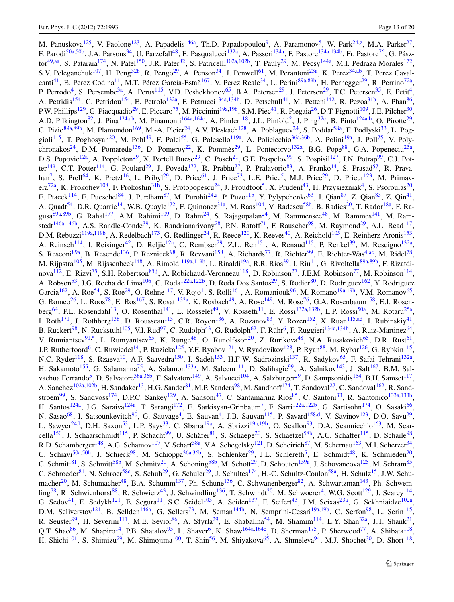M. Panuskova<sup>[125](#page-17-44)</sup>, V. Paolone<sup>[123](#page-17-34)</sup>, A. Papadelis<sup>146a</sup>, Th.D. Papadopoulou<sup>9</sup>, A. Paramonov<sup>5</sup>, W. Park<sup>[24](#page-15-2), [z](#page-18-47)</sup>, M.A. Parker<sup>27</sup>, F. Parodi<sup>50a[,50b](#page-15-22)</sup>, J.A. Parsons<sup>[34](#page-15-10)</sup>, U. Parzefall<sup>48</sup>, E. Pasqualucci<sup>[132a](#page-17-13)</sup>, A. Passeri<sup>134a</sup>, F. Pastore<sup>134a,[134b](#page-17-21)</sup>, Fr. Pastore<sup>76</sup>, G. Pász-tor<sup>[49](#page-15-1)[,aa](#page-18-48)</sup>, S. Pataraia<sup>[174](#page-18-13)</sup>, N. Patel<sup>150</sup>, J.R. Pater<sup>82</sup>, S. Patricelli<sup>[102a](#page-16-16)[,102b](#page-16-17)</sup>, T. Pauly<sup>[29](#page-15-7)</sup>, M. Pecsy<sup>144a</sup>, M.I. Pedraza Morales<sup>[172](#page-18-9)</sup>, S.V. Peleganchuk<sup>107</sup>, H. Peng<sup>32b</sup>, R. Pengo<sup>29</sup>, A. Penson<sup>34</sup>, J. Penwell<sup>[61](#page-15-30)</sup>, M. Perantoni<sup>[23a](#page-15-33)</sup>, K. Perez<sup>34,[ab](#page-18-49)</sup>, T. Perez Caval-canti<sup>[41](#page-15-25)</sup>, E. Perez Codina<sup>11</sup>, M.T. Pérez García-Estañ<sup>[167](#page-18-7)</sup>, V. Perez Reale<sup>34</sup>, L. Perini<sup>[89a,](#page-16-3)[89b](#page-16-4)</sup>, H. Pernegger<sup>29</sup>, R. Perrino<sup>72a</sup>, P. Perrodo<sup>[4](#page-14-10)</sup>, S. Persembe<sup>[3a](#page-14-22)</sup>, A. Perus<sup>[115](#page-17-2)</sup>, V.D. Peshekhonov<sup>[65](#page-16-13)</sup>, B.A. Petersen<sup>[29](#page-15-7)</sup>, J. Petersen<sup>29</sup>, T.C. Petersen<sup>[35](#page-15-27)</sup>, E. Petit<sup>4</sup>, A. Petridis<sup>[154](#page-17-54)</sup>, C. Petridou<sup>154</sup>, E. Petrolo<sup>[132a](#page-17-13)</sup>, F. Petrucci<sup>[134a](#page-17-20)[,134b](#page-17-21)</sup>, D. Petschull<sup>[41](#page-15-25)</sup>, M. Petteni<sup>[142](#page-17-46)</sup>, R. Pezoa<sup>31b</sup>, A. Phan<sup>86</sup>, P.W. Phillips<sup>129</sup>, G. Piacquadio<sup>29</sup>, E. Piccaro<sup>75</sup>, M. Piccinini<sup>[19a,](#page-14-16)[19b](#page-14-17)</sup>, S.M. Piec<sup>41</sup>, R. Piegaia<sup>26</sup>, D.T. Pignotti<sup>[109](#page-16-42)</sup>, J.E. Pilcher<sup>30</sup>, A.D. Pilkington<sup>[82](#page-16-15)</sup>, J. Pina<sup>[124a](#page-17-11)[,b](#page-18-6)</sup>, M. Pinamonti<sup>[164a,](#page-18-0)[164c](#page-18-24)</sup>, A. Pinder<sup>118</sup>, J.L. Pinfold<sup>2</sup>, J. Ping<sup>[32c](#page-15-37)</sup>, B. Pinto<sup>124a,b</sup>, O. Pirotte<sup>29</sup>, C. Pizio $89a,89b$  $89a,89b$ , M. Plamondon<sup>[169](#page-18-4)</sup>, M.-A. Pleier<sup>[24](#page-15-2)</sup>, A.V. Pleskach<sup>128</sup>, A. Poblaguev<sup>24</sup>, S. Poddar<sup>58a</sup>, F. Podlyski<sup>[33](#page-15-32)</sup>, L. Pog-gioli<sup>115</sup>, T. Poghosyan<sup>20</sup>, M. Pohl<sup>49</sup>, F. Polci<sup>55</sup>, G. Polesello<sup>119a</sup>, A. Policicchio<sup>36a[,36b](#page-15-35)</sup>, A. Polini<sup>19a</sup>, J. Poll<sup>75</sup>, V. Poly-chronakos<sup>[24](#page-15-2)</sup>, D.M. Pomarede<sup>136</sup>, D. Pomeroy<sup>22</sup>, K. Pommès<sup>[29](#page-15-7)</sup>, L. Pontecorvo<sup>132a</sup>, B.G. Pope<sup>[88](#page-16-2)</sup>, G.A. Popeneciu<sup>25a</sup>, D.S. Popovic<sup>12a</sup>, A. Poppleton<sup>29</sup>, X. Portell Bueso<sup>29</sup>, C. Posch<sup>21</sup>, G.E. Pospelov<sup>[99](#page-16-5)</sup>, S. Pospisil<sup>127</sup>, I.N. Potrap<sup>99</sup>, C.J. Pot-ter<sup>149</sup>, C.T. Potter<sup>114</sup>, G. Poulard<sup>[29](#page-15-7)</sup>, J. Poveda<sup>[172](#page-18-9)</sup>, R. Prabhu<sup>[77](#page-16-26)</sup>, P. Pralavorio<sup>83</sup>, A. Pranko<sup>14</sup>, S. Prasad<sup>57</sup>, R. Prava-han<sup>[7](#page-14-20)</sup>, S. Prell<sup>64</sup>, K. Pretzl<sup>16</sup>, L. Pribyl<sup>29</sup>, D. Price<sup>61</sup>, J. Price<sup>[73](#page-16-14)</sup>, L.E. Price<sup>[5](#page-14-12)</sup>, M.J. Price<sup>[29](#page-15-7)</sup>, D. Prieur<sup>[123](#page-17-34)</sup>, M. Primav-era<sup>[72a](#page-16-33)</sup>, K. Prokofiev<sup>[108](#page-16-37)</sup>, F. Prokoshin<sup>[31b](#page-15-29)</sup>, S. Protopopescu<sup>24</sup>, J. Proudfoot<sup>[5](#page-14-12)</sup>, X. Prudent<sup>43</sup>, H. Przysiezniak<sup>4</sup>, S. Psoroulas<sup>20</sup>, E. Ptacek<sup>[114](#page-17-36)</sup>, E. Pueschel<sup>[84](#page-16-36)</sup>, J. Purdham<sup>[87](#page-16-23)</sup>, M. Purohit<sup>[24](#page-15-2)[,z](#page-18-47)</sup>, P. Puzo<sup>115</sup>, Y. Pylypchenko<sup>[63](#page-15-24)</sup>, J. Qian<sup>87</sup>, Z. Qian<sup>83</sup>, Z. Qin<sup>41</sup>, A. Quadt<sup>[54](#page-15-18)</sup>, D.R. Quarrie<sup>14</sup>, W.B. Quayle<sup>[172](#page-18-9)</sup>, F. Quinonez<sup>[31a](#page-15-41)</sup>, M. Raas<sup>104</sup>, V. Radescu<sup>[58b](#page-15-50)</sup>, B. Radics<sup>20</sup>, T. Rador<sup>[18a](#page-14-3)</sup>, F. Ra-gusa<sup>[89a](#page-16-3),[89b](#page-16-4)</sup>, G. Rahal<sup>[177](#page-18-19)</sup>, A.M. Rahimi<sup>[109](#page-16-42)</sup>, D. Rahm<sup>[24](#page-15-2)</sup>, S. Rajagopalan<sup>24</sup>, M. Rammensee<sup>[48](#page-15-0)</sup>, M. Rammes<sup>[141](#page-17-37)</sup>, M. Ram-stedt<sup>[146a](#page-17-16)[,146b](#page-17-17)</sup>, A.S. Randle-Conde<sup>39</sup>, K. Randrianarivony<sup>[28](#page-15-15)</sup>, P.N. Ratoff<sup>[71](#page-16-29)</sup>, F. Rauscher<sup>98</sup>, M. Raymond<sup>[29](#page-15-7)</sup>, A.L. Read<sup>[117](#page-17-38)</sup>, D.M. Rebuzzi<sup>[119a](#page-17-39)[,119b](#page-17-40)</sup>, A. Redelbach<sup>[173](#page-18-30)</sup>, G. Redlinger<sup>24</sup>, R. Reece<sup>120</sup>, K. Reeves<sup>[40](#page-15-5)</sup>, A. Reichold<sup>105</sup>, E. Reinherz-Aronis<sup>[153](#page-17-1)</sup>, A. Reinsch<sup>114</sup>, I. Reisinger<sup>42</sup>, D. Reljic<sup>12a</sup>, C. Rembser<sup>29</sup>, Z.L. Ren<sup>[151](#page-17-43)</sup>, A. Renaud<sup>115</sup>, P. Renkel<sup>39</sup>, M. Rescigno<sup>132a</sup>, S. Resconi<sup>89a</sup>, B. Resende<sup>[136](#page-17-22)</sup>, P. Reznicek<sup>[98](#page-16-6)</sup>, R. Rezvani<sup>[158](#page-17-23)</sup>, A. Richards<sup>[77](#page-16-26)</sup>, R. Richter<sup>99</sup>, E. Richter-Was<sup>4[,ac](#page-18-50)</sup>, M. Ridel<sup>78</sup>, M. Rijpstra<sup>[105](#page-16-32)</sup>, M. Rijssenbeek<sup>[148](#page-17-5)</sup>, A. Rimoldi<sup>[119a](#page-17-39)[,119b](#page-17-40)</sup>, L. Rinaldi<sup>[19a](#page-14-16)</sup>, R.R. Rios<sup>[39](#page-15-40)</sup>, I. Riu<sup>[11](#page-14-0)</sup>, G. Rivoltella<sup>89a,[89b](#page-16-4)</sup>, F. Rizatdi-nova<sup>[112](#page-16-1)</sup>, E. Rizvi<sup>75</sup>, S.H. Robertson<sup>85,[j](#page-18-26)</sup>, A. Robichaud-Veronneau<sup>[118](#page-17-0)</sup>, D. Robinson<sup>[27](#page-15-16)</sup>, J.E.M. Robinson<sup>[77](#page-16-26)</sup>, M. Robinson<sup>[114](#page-17-36)</sup>, A. Robson<sup>[53](#page-15-9)</sup>, J.G. Rocha de Lima<sup>106</sup>, C. Roda<sup>[122a,](#page-17-31)[122b](#page-17-32)</sup>, D. Roda Dos Santos<sup>[29](#page-15-7)</sup>, S. Rodier<sup>80</sup>, D. Rodriguez<sup>162</sup>, Y. Rodriguez Garcia<sup>[162](#page-18-43)</sup>, A. Roe<sup>54</sup>, S. Roe<sup>[29](#page-15-7)</sup>, O. Røhne<sup>[117](#page-17-38)</sup>, V. Rojo<sup>1</sup>, S. Rolli<sup>161</sup>, A. Romaniouk<sup>[96](#page-16-21)</sup>, M. Romano<sup>19a,[19b](#page-14-17)</sup>, V.M. Romanov<sup>65</sup>, G. Romeo<sup>26</sup>, L. Roos<sup>[78](#page-16-30)</sup>, E. Ros<sup>[167](#page-18-7)</sup>, S. Rosati<sup>132a</sup>, K. Rosbach<sup>49</sup>, A. Rose<sup>149</sup>, M. Rose<sup>76</sup>, G.A. Rosenbaum<sup>158</sup>, E.I. Rosen-berg<sup>[64](#page-16-40)</sup>, P.L. Rosendahl<sup>13</sup>, O. Rosenthal<sup>[141](#page-17-37)</sup>, L. Rosselet<sup>[49](#page-15-1)</sup>, V. Rossetti<sup>11</sup>, E. Rossi<sup>132a,[132b](#page-17-15)</sup>, L.P. Rossi<sup>50a</sup>, M. Rotaru<sup>25a</sup>, I. Roth<sup>[171](#page-18-5)</sup>, J. Rothberg<sup>[138](#page-17-27)</sup>, D. Rousseau<sup>[115](#page-17-2)</sup>, C.R. Royon<sup>[136](#page-17-22)</sup>, A. Rozanov<sup>[83](#page-16-22)</sup>, Y. Rozen<sup>152</sup>, X. Ruan<sup>115,[ad](#page-18-51)</sup>, I. Rubinskiy<sup>41</sup>, B. Ruckert<sup>[98](#page-16-6)</sup>, N. Ruckstuhl<sup>[105](#page-16-32)</sup>, V.I. Rud<sup>97</sup>, C. Rudolph<sup>43</sup>, G. Rudolph<sup>[62](#page-15-45)</sup>, F. Rühr<sup>[6](#page-14-24)</sup>, F. Ruggieri<sup>[134a](#page-17-20)[,134b](#page-17-21)</sup>, A. Ruiz-Martinez<sup>64</sup>, V. Rumiantsev<sup>[91,](#page-16-43)[\\*](#page-19-0)</sup>, L. Rumyantsev<sup>[65](#page-16-13)</sup>, K. Runge<sup>48</sup>, O. Runolfsson<sup>20</sup>, Z. Rurikova<sup>48</sup>, N.A. Rusakovich<sup>65</sup>, D.R. Rust<sup>61</sup>, J.P. Rutherfoord<sup>[6](#page-14-24)</sup>, C. Ruwiedel<sup>[14](#page-14-11)</sup>, P. Ruzicka<sup>[125](#page-17-44)</sup>, Y.F. Ryabov<sup>[121](#page-17-49)</sup>, V. Ryadovikov<sup>128</sup>, P. Ryan<sup>[88](#page-16-2)</sup>, M. Rybar<sup>126</sup>, G. Rybkin<sup>[115](#page-17-2)</sup>, N.C. Ryder<sup>[118](#page-17-0)</sup>, S. Rzaeva<sup>10</sup>, A.F. Saavedra<sup>[150](#page-17-24)</sup>, I. Sadeh<sup>153</sup>, H.F-W. Sadrozinski<sup>[137](#page-17-42)</sup>, R. Sadykov<sup>65</sup>, F. Safai Tehrani<sup>132a</sup>, H. Sakamoto<sup>[155](#page-17-8)</sup>, G. Salamanna<sup>[75](#page-16-7)</sup>, A. Salamon<sup>[133a](#page-17-6)</sup>, M. Saleem<sup>111</sup>, D. Salihagic<sup>[99](#page-16-5)</sup>, A. Salnikov<sup>143</sup>, J. Salt<sup>167</sup>, B.M. Sal-vachua Ferrando<sup>[5](#page-14-12)</sup>, D. Salvatore<sup>[36a,](#page-15-34)[36b](#page-15-35)</sup>, F. Salvatore<sup>149</sup>, A. Salvucci<sup>104</sup>, A. Salzburger<sup>29</sup>, D. Sampsonidis<sup>[154](#page-17-54)</sup>, B.H. Samset<sup>[117](#page-17-38)</sup>, A. Sanchez<sup>[102a](#page-16-16)[,102b](#page-16-17)</sup>, H. Sandaker<sup>13</sup>, H.G. Sander<sup>[81](#page-16-8)</sup>, M.P. Sanders<sup>98</sup>, M. Sandhoff<sup>[174](#page-18-13)</sup>, T. Sandoval<sup>[27](#page-15-16)</sup>, C. Sandoval<sup>162</sup>, R. Sand-stroem<sup>[99](#page-16-5)</sup>, S. Sandvoss<sup>174</sup>, D.P.C. Sankey<sup>129</sup>, A. Sansoni<sup>47</sup>, C. Santamarina Rios<sup>85</sup>, C. Santoni<sup>[33](#page-15-32)</sup>, R. Santonico<sup>133a,[133b](#page-17-7)</sup>, H. Santos<sup>124a</sup>, J.G. Saraiva<sup>124a</sup>, T. Sarangi<sup>[172](#page-18-9)</sup>, E. Sarkisyan-Grinbaum<sup>7</sup>, F. Sarri<sup>122a,[122b](#page-17-32)</sup>, G. Sartisohn<sup>[174](#page-18-13)</sup>, O. Sasaki<sup>66</sup>, N. Sasao<sup>[68](#page-16-48)</sup>, I. Satsounkevitch<sup>[90](#page-16-35)</sup>, G. Sauvage<sup>[4](#page-14-10)</sup>, E. Sauvan<sup>4</sup>, J.B. Sauvan<sup>[115](#page-17-2)</sup>, P. Savard<sup>158[,d](#page-18-12)</sup>, V. Savinov<sup>[123](#page-17-34)</sup>, D.O. Savu<sup>29</sup>, L. Sawyer<sup>24,1</sup>, D.H. Saxon<sup>53</sup>, L.P. Says<sup>33</sup>, C. Sbarra<sup>19a</sup>, A. Sbrizzi<sup>19a,19b</sup>, O. Sca[l](#page-18-28)lon<sup>93</sup>, D.A. Scannicchio<sup>163</sup>, M. Scar-cella<sup>[150](#page-17-24)</sup>, J. Schaarschmidt<sup>[115](#page-17-2)</sup>, P. Schacht<sup>[99](#page-16-5)</sup>, U. Schäfer<sup>[81](#page-16-8)</sup>, S. Schaepe<sup>20</sup>, S. Schaetzel<sup>58b</sup>, A.C. Schaffer<sup>115</sup>, D. Schaile<sup>98</sup>, R.D. Schamberger<sup>148</sup>, A.G. Schamov<sup>107</sup>, V. Scharf<sup>58a</sup>, V.A. Schegelsky<sup>[121](#page-17-49)</sup>, D. Scheirich<sup>[87](#page-16-23)</sup>, M. Schernau<sup>[163](#page-18-10)</sup>, M.I. Scherzer<sup>34</sup>, C. Schiavi<sup>[50a,](#page-15-21)[50b](#page-15-22)</sup>, J. Schieck<sup>[98](#page-16-6)</sup>, M. Schioppa<sup>36a,[36b](#page-15-35)</sup>, S. Schlenker<sup>[29](#page-15-7)</sup>, J.L. Schlereth<sup>5</sup>, E. Schmidt<sup>48</sup>, K. Schmieden<sup>20</sup>, C. Schmitt<sup>[81](#page-16-8)</sup>, S. Schmitt<sup>[58b](#page-15-50)</sup>, M. Schmitz<sup>[20](#page-14-6)</sup>, A. Schöning<sup>58b</sup>, M. Schott<sup>29</sup>, D. Schouten<sup>159a</sup>, J. Schovancova<sup>[125](#page-17-44)</sup>, M. Schram<sup>85</sup>, C. Schroeder<sup>81</sup>, N. Schroer<sup>58c</sup>, S. Schuh<sup>[29](#page-15-7)</sup>, G. Schuler<sup>29</sup>, J. Schultes<sup>[174](#page-18-13)</sup>, H.-C. Schultz-Coulon<sup>58a</sup>, H. Schulz<sup>15</sup>, J.W. Schu-macher<sup>20</sup>, M. Schumacher<sup>48</sup>, B.A. Schumm<sup>137</sup>, Ph. Schune<sup>[136](#page-17-22)</sup>, C. Schwanenberger<sup>[82](#page-16-15)</sup>, A. Schwartzman<sup>[143](#page-17-14)</sup>, Ph. Schwem- $\lim_{n \to \infty}$  R. Schwienhorst<sup>[88](#page-16-2)</sup>, R. Schwierz<sup>43</sup>, J. Schwindling<sup>[136](#page-17-22)</sup>, T. Schwindt<sup>20</sup>, M. Schwoerer<sup>4</sup>, W.G. Scott<sup>129</sup>, J. Searcy<sup>[114](#page-17-36)</sup>, G. Sedov<sup>[41](#page-15-25)</sup>, E. Sedykh<sup>[121](#page-17-49)</sup>, E. Segura<sup>[11](#page-14-0)</sup>, S.C. Seidel<sup>[103](#page-16-45)</sup>, A. Seiden<sup>137</sup>, F. Seifert<sup>[43](#page-15-47)</sup>, J.M. Seixas<sup>[23a](#page-15-33)</sup>, G. Sekhniaidze<sup>102a</sup>, D.M. Seliverstov<sup>[121](#page-17-49)</sup>, B. Sellden<sup>146a</sup>, G. Sellers<sup>73</sup>, M. Seman<sup>[144b](#page-17-12)</sup>, N. Semprini-Cesari<sup>19a,[19b](#page-14-17)</sup>, C. Serfon<sup>98</sup>, L. Serin<sup>[115](#page-17-2)</sup>, R. Seuster<sup>[99](#page-16-5)</sup>, H. Severini<sup>111</sup>, M.E. Sevior<sup>86</sup>, A. Sfyrla<sup>[29](#page-15-7)</sup>, E. Shabalina<sup>[54](#page-15-18)</sup>, M. Shamim<sup>[114](#page-17-36)</sup>, L.Y. Shan<sup>32a</sup>, J.T. Shank<sup>21</sup>, Q.T. Shao<sup>[86](#page-16-27)</sup>, M. Shapiro<sup>14</sup>, P.B. Shatalov<sup>[95](#page-16-24)</sup>, L. Shaver<sup>[6](#page-14-24)</sup>, K. Shaw<sup>164a,[164c](#page-18-24)</sup>, D. Sherman<sup>175</sup>, P. Sherwood<sup>[77](#page-16-26)</sup>, A. Shibata<sup>[108](#page-16-37)</sup>, H. Shichi<sup>[101](#page-16-47)</sup>, S. Shimizu<sup>29</sup>, M. Shimojima<sup>100</sup>, T. Shin<sup>56</sup>, M. Shiyakova<sup>[65](#page-16-13)</sup>, A. Shmeleva<sup>94</sup>, M.J. Shochet<sup>30</sup>, D. Short<sup>[118](#page-17-0)</sup>,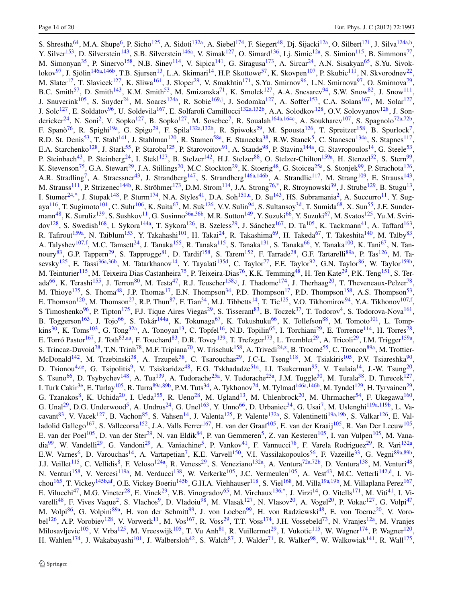S. Shrestha<sup>[64](#page-16-40)</sup>, M.A. Shupe<sup>6</sup>, P. Sicho<sup>[125](#page-17-44)</sup>, A. Sidoti<sup>[132a](#page-17-13)</sup>, A. Siebel<sup>[174](#page-18-13)</sup>, F. Siegert<sup>[48](#page-15-0)</sup>, Dj. Sijacki<sup>12a</sup>, O. Silbert<sup>[171](#page-18-5)</sup>, J. Silva<sup>[124a](#page-17-11)[,b](#page-18-6)</sup>, Y. Silver<sup>[153](#page-17-1)</sup>, D. Silverstein<sup>143</sup>, S.B. Silverstein<sup>146a</sup>, V. Simak<sup>[127](#page-17-18)</sup>, O. Simard<sup>[136](#page-17-22)</sup>, Lj. Simic<sup>[12a](#page-14-18)</sup>, S. Simion<sup>115</sup>, B. Simmons<sup>77</sup>, M. Simonyan<sup>[35](#page-15-27)</sup>, P. Sinervo<sup>[158](#page-17-23)</sup>, N.B. Sinev<sup>114</sup>, V. Sipica<sup>[141](#page-17-37)</sup>, G. Siragusa<sup>173</sup>, A. Sircar<sup>24</sup>, A.N. Sisakyan<sup>[65](#page-16-13)</sup>, S.Yu. Sivok-lokov<sup>[97](#page-16-44)</sup>, J. Sjölin<sup>146a,[146b](#page-17-17)</sup>, T.B. Sjursen<sup>[13](#page-14-21)</sup>, L.A. Skinnari<sup>14</sup>, H.P. Skottowe<sup>[57](#page-15-23)</sup>, K. Skovpen<sup>[107](#page-16-20)</sup>, P. Skubic<sup>[111](#page-16-0)</sup>, N. Skvorodnev<sup>22</sup>, M. Slater<sup>[17](#page-14-14)</sup>, T. Slavicek<sup>[127](#page-17-18)</sup>, K. Sliwa<sup>[161](#page-18-15)</sup>, J. Sloper<sup>29</sup>, V. Smakhtin<sup>[171](#page-18-5)</sup>, S.Yu. Smirnov<sup>[96](#page-16-21)</sup>, L.N. Smirnova<sup>97</sup>, O. Smirnova<sup>79</sup>, B.C. Smith<sup>[57](#page-15-23)</sup>, D. Smith<sup>143</sup>, K.M. Smith<sup>53</sup>, M. Smizanska<sup>[71](#page-16-29)</sup>, K. Smolek<sup>127</sup>, A.A. Snesarev<sup>94</sup>, S.W. Snow<sup>[82](#page-16-15)</sup>, J. Snow<sup>[111](#page-16-0)</sup>, J. Snuverink<sup>[105](#page-16-32)</sup>, S. Snyder<sup>[24](#page-15-2)</sup>, M. Soares<sup>[124a](#page-17-11)</sup>, R. Sobie<sup>169[,j](#page-18-26)</sup>, J. Sodomka<sup>[127](#page-17-18)</sup>, A. Soffer<sup>[153](#page-17-1)</sup>, C.A. Solans<sup>167</sup>, M. Solar<sup>127</sup>, J. Solc<sup>[127](#page-17-18)</sup>, E. Soldatov<sup>[96](#page-16-21)</sup>, U. Soldevila<sup>167</sup>, E. Solfaroli Camillocci<sup>132a,[132b](#page-17-15)</sup>, A.A. Solodkov<sup>[128](#page-17-10)</sup>, O.V. Solovyanov<sup>128</sup>, J. Son-dericker<sup>24</sup>, N. Soni<sup>2</sup>, V. Sopko<sup>[127](#page-17-18)</sup>, B. Sopko<sup>12[7](#page-14-20)</sup>, M. Sosebee<sup>7</sup>, R. Soualah<sup>164a,[164c](#page-18-24)</sup>, A. Soukharev<sup>107</sup>, S. Spagnolo<sup>[72a,](#page-16-33)[72b](#page-16-34)</sup>, F. Spanò<sup>[76](#page-16-12)</sup>, R. Spighi<sup>[19a](#page-14-16)</sup>, G. Spigo<sup>29</sup>, F. Spila<sup>132a[,132b](#page-17-15)</sup>, R. Spiwoks<sup>29</sup>, M. Spousta<sup>[126](#page-17-45)</sup>, T. Spreitzer<sup>[158](#page-17-23)</sup>, B. Spurlock<sup>7</sup>, R.D. St. Denis<sup>53</sup>, T. Stahl<sup>141</sup>, J. Stahlman<sup>120</sup>, R. Stamen<sup>[58a](#page-15-11)</sup>, E. Stanecka<sup>[38](#page-15-20)</sup>, R.W. Stanek<sup>[5](#page-14-12)</sup>, C. Stanescu<sup>[134a](#page-17-20)</sup>, S. Stapnes<sup>[117](#page-17-38)</sup>, E.A. Starchenko<sup>[128](#page-17-10)</sup>, J. Stark<sup>55</sup>, P. Staroba<sup>125</sup>, P. Starovoitov<sup>91</sup>, A. Staude<sup>98</sup>, P. Stavina<sup>144a</sup>, G. Stavropoulos<sup>14</sup>, G. Steele<sup>53</sup>, P. Steinbach<sup>[43](#page-15-47)</sup>, P. Steinberg<sup>24</sup>, I. Stekl<sup>[127](#page-17-18)</sup>, B. Stelzer<sup>142</sup>, H.J. Stelzer<sup>88</sup>, O. Stelzer-Chilton<sup>[159a](#page-18-22)</sup>, H. Stenzel<sup>52</sup>, S. Stern<sup>99</sup>, K. Stevenson<sup>[75](#page-16-7)</sup>, G.A. Stewart<sup>29</sup>, J.A. Stillings<sup>[20](#page-14-6)</sup>, M.C. Stockton<sup>29</sup>, K. Stoerig<sup>48</sup>, G. Stoicea<sup>[25a](#page-15-8)</sup>, S. Stonjek<sup>[99](#page-16-5)</sup>, P. Strachota<sup>[126](#page-17-45)</sup>, A.R. Stradling<sup>[7](#page-14-20)</sup>, A. Straessner<sup>43</sup>, J. Strandberg<sup>[147](#page-17-56)</sup>, S. Strandberg<sup>146a,[146b](#page-17-17)</sup>, A. Strandlie<sup>117</sup>, M. Strang<sup>109</sup>, E. Strauss<sup>[143](#page-17-14)</sup>, M. Strauss<sup>111</sup>, P. Strizenec<sup>[144b](#page-17-12)</sup>, R. Ströhmer<sup>173</sup>, D.M. Strom<sup>114</sup>, J.A. Strong<sup>76,[\\*](#page-19-0)</sup>, R. Stroynowski<sup>[39](#page-15-40)</sup>, J. Strube<sup>[129](#page-17-3)</sup>, B. Stugu<sup>13</sup>, I. Stumer<sup>24,[\\*](#page-19-0)</sup>, J. Stupak<sup>[148](#page-17-5)</sup>, P. Sturm<sup>[174](#page-18-13)</sup>, N.A. Styles<sup>[41](#page-15-25)</sup>, D.A. Soh<sup>151[,u](#page-18-41)</sup>, D. Su<sup>143</sup>, HS. Subramania<sup>[2](#page-14-13)</sup>, A. Succurro<sup>11</sup>, Y. Sug-aya<sup>[116](#page-17-52)</sup>, T. Sugimoto<sup>101</sup>, C. Suhr<sup>106</sup>, K. Suita<sup>[67](#page-16-11)</sup>, M. Suk<sup>[126](#page-17-45)</sup>, V.V. Sulin<sup>[94](#page-16-10)</sup>, S. Sultansoy<sup>3d</sup>, T. Sumida<sup>[68](#page-16-48)</sup>, X. Sun<sup>55</sup>, J.E. Sunder-mann<sup>[48](#page-15-0)</sup>, K. Suruliz<sup>139</sup>, S. Sushkov<sup>[11](#page-14-0)</sup>, G. Susinno<sup>[36a,](#page-15-34)[36b](#page-15-35)</sup>, M.R. Sutton<sup>[149](#page-17-25)</sup>, Y. Suzuki<sup>66</sup>, Y. Suzuki<sup>[67](#page-16-11)</sup>, M. Svatos<sup>125</sup>, Yu.M. Sviri-dov<sup>[128](#page-17-10)</sup>, S. Swedish<sup>[168](#page-18-11)</sup>, I. Sykora<sup>[144a](#page-17-26)</sup>, T. Sykora<sup>126</sup>, B. Szeless<sup>29</sup>, J. Sánchez<sup>167</sup>, D. Ta<sup>[105](#page-16-32)</sup>, K. Tackmann<sup>[41](#page-15-25)</sup>, A. Taffard<sup>[163](#page-18-10)</sup>, R. Tafirout<sup>159a</sup>, N. Taiblum<sup>153</sup>, Y. Takahashi<sup>[101](#page-16-47)</sup>, H. Takai<sup>24</sup>, R. Takashima<sup>69</sup>, H. Takeda<sup>[67](#page-16-11)</sup>, T. Takeshita<sup>[140](#page-17-53)</sup>, M. Talby<sup>83</sup>, A. Talyshev<sup>107[,f](#page-18-16)</sup>, M.C. Tamsett<sup>[24](#page-15-2)</sup>, J. Tanaka<sup>[155](#page-17-8)</sup>, R. Tanaka<sup>[115](#page-17-2)</sup>, S. Tanaka<sup>[131](#page-17-57)</sup>, S. Tanaka<sup>[66](#page-16-18)</sup>, Y. Tanaka<sup>100</sup>, K. Tani<sup>[67](#page-16-11)</sup>, N. Tan-noury<sup>[83](#page-16-22)</sup>, G.P. Tappern<sup>29</sup>, S. Tapprogge<sup>[81](#page-16-8)</sup>, D. Tardif<sup>[158](#page-17-23)</sup>, S. Tarem<sup>[152](#page-17-28)</sup>, F. Tarrade<sup>28</sup>, G.F. Tartarelli<sup>[89a](#page-16-3)</sup>, P. Tas<sup>[126](#page-17-45)</sup>, M. Ta-sevsky<sup>[125](#page-17-44)</sup>, E. Tassi<sup>36a,[36b](#page-15-35)</sup>, M. Tatarkhanov<sup>14</sup>, Y. Tayalati<sup>135d</sup>, C. Taylor<sup>[77](#page-16-26)</sup>, F.E. Taylor<sup>92</sup>, G.N. Taylor<sup>86</sup>, W. Taylor<sup>[159b](#page-18-18)</sup>, M. Teinturier<sup>[115](#page-17-2)</sup>, M. Teixeira Dias Castanheira<sup>75</sup>, P. Teixeira-Dias<sup>[76](#page-16-12)</sup>, K.K. Temming<sup>[48](#page-15-0)</sup>, H. Ten Kate<sup>29</sup>, P.K. Teng<sup>151</sup>, S. Ter-ada<sup>[66](#page-16-18)</sup>, K. Terashi<sup>155</sup>, J. Terron<sup>80</sup>, M. Testa<sup>47</sup>, R.J. Teuscher<sup>[158,](#page-17-23)[j](#page-18-26)</sup>, J. Thadome<sup>[174](#page-18-13)</sup>, J. Therhaag<sup>20</sup>, T. Theveneaux-Pelzer<sup>78</sup>, M. Thioye<sup>[175](#page-18-2)</sup>, S. Thoma<sup>[48](#page-15-0)</sup>, J.P. Thomas<sup>17</sup>, E.N. Thompson<sup>[34](#page-15-10)</sup>, P.D. Thompson<sup>17</sup>, P.D. Thompson<sup>[158](#page-17-23)</sup>, A.S. Thompson<sup>53</sup>, E. Thomson<sup>[120](#page-17-9)</sup>, M. Thomson<sup>27</sup>, R.P. Thun<sup>87</sup>, F. Tian<sup>[34](#page-15-10)</sup>, M.J. Tibbetts<sup>14</sup>, T. Tic<sup>125</sup>, V.O. Tikhomirov<sup>[94](#page-16-10)</sup>, Y.A. Tikhonov<sup>107[,f](#page-18-16)</sup>, S Timoshenko<sup>96</sup>, P. Tipton<sup>175</sup>, F.J. Tique Aires Viegas<sup>[29](#page-15-7)</sup>, S. Tisserant<sup>83</sup>, B. Toczek<sup>[37](#page-15-28)</sup>, T. Todorov<sup>4</sup>, S. Todorova-Nova<sup>[161](#page-18-15)</sup>, B. Toggerson<sup>[163](#page-18-10)</sup>, J. Tojo<sup>[66](#page-16-18)</sup>, S. Tokár<sup>[144a](#page-17-26)</sup>, K. Tokunaga<sup>67</sup>, K. Tokushuku<sup>66</sup>, K. Tollefson<sup>[88](#page-16-2)</sup>, M. Tomoto<sup>101</sup>, L. Tomp- $\kappa$ ins<sup>30</sup>, K. Toms<sup>103</sup>, G. Tong<sup>[32a](#page-15-19)</sup>, A. Tonoyan<sup>13</sup>, C. Topfel<sup>16</sup>, N.D. Topilin<sup>65</sup>, I. Torchiani<sup>[29](#page-15-7)</sup>, E. Torrence<sup>[114](#page-17-36)</sup>, H. Torres<sup>78</sup>, E. Torró Pastor<sup>[167](#page-18-7)</sup>, J. Toth<sup>[83,](#page-16-22)[aa](#page-18-48)</sup>, F. Touchard<sup>83</sup>, D.R. Tovey<sup>[139](#page-17-33)</sup>, T. Trefzger<sup>173</sup>, L. Tremblet<sup>[29](#page-15-7)</sup>, A. Tricoli<sup>29</sup>, I.M. Trigger<sup>159a</sup>, S. Trincaz-Duvoid<sup>78</sup>, T.N. Trinh<sup>78</sup>, M.F. Tripiana<sup>70</sup>, W. Trischuk<sup>158</sup>, A. Trivedi<sup>[24](#page-15-2),[z](#page-18-47)</sup>, B. Trocmé<sup>[55](#page-15-6)</sup>, C. Troncon<sup>89a</sup>, M. Trottier-McDonald<sup>[142](#page-17-46)</sup>, M. Trzebinski<sup>[38](#page-15-20)</sup>, A. Trzupek<sup>38</sup>, C. Tsarouchas<sup>[29](#page-15-7)</sup>, J.C-L. Tseng<sup>[118](#page-17-0)</sup>, M. Tsiakiris<sup>105</sup>, P.V. Tsiareshka<sup>90</sup>, D. Tsionou<sup>4,[ae](#page-19-1)</sup>, G. Tsipolitis<sup>[9](#page-14-5)</sup>, V. Tsiskaridze<sup>48</sup>, E.G. Tskhadadze<sup>[51a](#page-15-38)</sup>, I.I. Tsukerman<sup>[95](#page-16-24)</sup>, V. Tsulaia<sup>14</sup>, J.-W. Tsung<sup>20</sup>, S. Tsuno<sup>66</sup>, D. Tsybychev<sup>148</sup>, A. Tua<sup>139</sup>, A. Tudorache<sup>[25a](#page-15-8)</sup>, V. Tudorache<sup>25a</sup>, J.M. Tuggle<sup>[30](#page-15-12)</sup>, M. Turala<sup>38</sup>, D. Turecek<sup>[127](#page-17-18)</sup>, I. Turk Cakir<sup>[3e](#page-14-26)</sup>, E. Turlay<sup>[105](#page-16-32)</sup>, R. Turra<sup>89a,[89b](#page-16-4)</sup>, P.M. Tuts<sup>[34](#page-15-10)</sup>, A. Tykhonov<sup>74</sup>, M. Tylmad<sup>[146a](#page-17-16)[,146b](#page-17-17)</sup>, M. Tyndel<sup>129</sup>, H. Tyrvainen<sup>29</sup>, G. Tzanakos<sup>[8](#page-14-9)</sup>, K. Uchida<sup>20</sup>, I. Ueda<sup>[155](#page-17-8)</sup>, R. Ueno<sup>28</sup>, M. Ugland<sup>13</sup>, M. Uhlenbrock<sup>[20](#page-14-6)</sup>, M. Uhrmacher<sup>[54](#page-15-18)</sup>, F. Ukegawa<sup>[160](#page-18-34)</sup>, G. Unal<sup>[29](#page-15-7)</sup>, D.G. Underwood<sup>[5](#page-14-12)</sup>, A. Undrus<sup>24</sup>, G. Unel<sup>[163](#page-18-10)</sup>, Y. Unno<sup>[66](#page-16-18)</sup>, D. Urbaniec<sup>34</sup>, G. Usai<sup>[7](#page-14-20)</sup>, M. Uslenghi<sup>[119a](#page-17-39)[,119b](#page-17-40)</sup>, L. Va-cavant<sup>83</sup>, V. Vacek<sup>127</sup>, B. Vachon<sup>85</sup>, S. Vahsen<sup>14</sup>, J. Valenta<sup>[125](#page-17-44)</sup>, P. Valente<sup>[132a](#page-17-13)</sup>, S. Valentinetti<sup>[19a,](#page-14-16)[19b](#page-14-17)</sup>, S. Valkar<sup>[126](#page-17-45)</sup>, E. Val-ladolid Gallego<sup>[167](#page-18-7)</sup>, S. Vallecorsa<sup>152</sup>, J.A. Valls Ferrer<sup>167</sup>, H. van der Graaf<sup>[105](#page-16-32)</sup>, E. van der Kraaij<sup>105</sup>, R. Van Der Leeuw<sup>105</sup>, E. van der Poel<sup>[105](#page-16-32)</sup>, D. van der Ster<sup>[29](#page-15-7)</sup>, N. van Eldik<sup>[84](#page-16-36)</sup>, P. van Gemmeren<sup>[5](#page-14-12)</sup>, Z. van Kesteren<sup>105</sup>, I. van Vulpen<sup>105</sup>, M. Vana-dia<sup>[99](#page-16-5)</sup>, W. Vandelli<sup>29</sup>, G. Vandoni<sup>29</sup>, A. Vaniachine<sup>5</sup>, P. Vankov<sup>41</sup>, F. Vannucci<sup>[78](#page-16-30)</sup>, F. Varela Rodriguez<sup>[29](#page-15-7)</sup>, R. Vari<sup>132a</sup>, E.W. Varnes<sup>[6](#page-14-24)</sup>, D. Varouchas<sup>14</sup>, A. Vartapetian<sup>[7](#page-14-20)</sup>, K.E. Varvell<sup>[150](#page-17-24)</sup>, V.I. Vassilakopoulos<sup>56</sup>, F. Vazeille<sup>[33](#page-15-32)</sup>, G. Vegni<sup>[89a,](#page-16-3)[89b](#page-16-4)</sup>, J.J. Veillet<sup>[115](#page-17-2)</sup>, C. Vellidis<sup>8</sup>, F. Veloso<sup>124a</sup>, R. Veness<sup>[29](#page-15-7)</sup>, S. Veneziano<sup>132a</sup>, A. Ventura<sup>72a[,72b](#page-16-34)</sup>, D. Ventura<sup>138</sup>, M. Venturi<sup>48</sup>, N. Venturi<sup>158</sup>, V. Vercesi<sup>[119a](#page-17-39)</sup>, M. Verducci<sup>[138](#page-17-27)</sup>, W. Verkerke<sup>[105](#page-16-32)</sup>, J.C. Vermeulen<sup>105</sup>, A. Vest<sup>43</sup>, M.C. Vetterli<sup>142[,d](#page-18-12)</sup>, I. Vi-chou<sup>[165](#page-18-17)</sup>, T. Vickey<sup>[145b](#page-17-51)[,af](#page-19-2)</sup>, O.E. Vickey Boeriu<sup>145b</sup>, G.H.A. Viehhauser<sup>[118](#page-17-0)</sup>, S. Viel<sup>168</sup>, M. Villa<sup>19a,[19b](#page-14-17)</sup>, M. Villaplana Perez<sup>[167](#page-18-7)</sup>, E. Vilucchi<sup>47</sup>, M.G. Vincter<sup>28</sup>, E. Vinek<sup>29</sup>, V.B. Vinogradov<sup>65</sup>, M. Virchaux<sup>[136,](#page-17-22)[\\*](#page-19-0)</sup>, J. Virzi<sup>[14](#page-14-11)</sup>, O. Vitells<sup>171</sup>, M. Viti<sup>[41](#page-15-25)</sup>, I. Vi-varelli<sup>48</sup>, F. Vives Vaque<sup>2</sup>, S. Vlachos<sup>9</sup>, D. Vladoiu<sup>98</sup>, M. Vlasak<sup>127</sup>, N. Vlasov<sup>[20](#page-14-6)</sup>, A. Vogel<sup>20</sup>, P. Vokac<sup>[127](#page-17-18)</sup>, G. Volpi<sup>47</sup>, M. Volpi<sup>[86](#page-16-27)</sup>, G. Volpini<sup>[89a](#page-16-3)</sup>, H. von der Schmitt<sup>[99](#page-16-5)</sup>, J. von Loeben<sup>99</sup>, H. von Radziewski<sup>48</sup>, E. von Toerne<sup>20</sup>, V. Voro-bel<sup>126</sup>, A.P. Vorobiev<sup>[128](#page-17-10)</sup>, V. Vorwerk<sup>[11](#page-14-0)</sup>, M. Vos<sup>167</sup>, R. Voss<sup>29</sup>, T.T. Voss<sup>174</sup>, J.H. Vossebeld<sup>[73](#page-16-14)</sup>, N. Vranjes<sup>[12a](#page-14-18)</sup>, M. Vranjes Milosavljevic<sup>[105](#page-16-32)</sup>, V. Vrba<sup>125</sup>, M. Vreeswijk<sup>105</sup>, T. Vu Anh<sup>[81](#page-16-8)</sup>, R. Vuillermet<sup>29</sup>, I. Vukotic<sup>115</sup>, W. Wagner<sup>174</sup>, P. Wagner<sup>[120](#page-17-9)</sup>, H. Wahlen<sup>[174](#page-18-13)</sup>, J. Wakabayashi<sup>101</sup>, J. Walbersloh<sup>42</sup>, S. Walch<sup>87</sup>, J. Walder<sup>[71](#page-16-29)</sup>, R. Walker<sup>[98](#page-16-6)</sup>, W. Walkowiak<sup>141</sup>, R. Wall<sup>[175](#page-18-2)</sup>,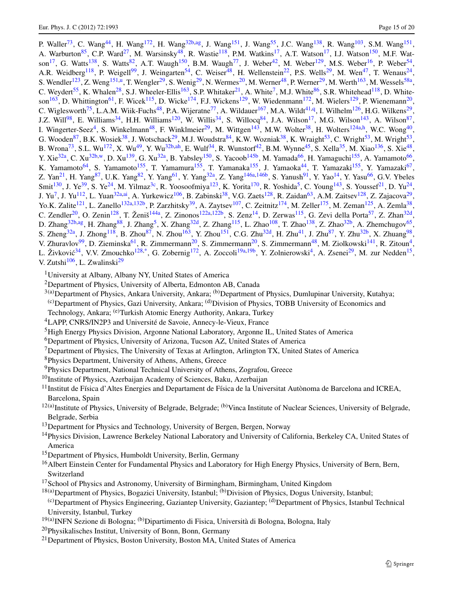P. Waller<sup>[73](#page-16-14)</sup>, C. Wang<sup>44</sup>, H. Wang<sup>[172](#page-18-9)</sup>, H. Wang<sup>32b,[ag](#page-19-3)</sup>, J. Wang<sup>[151](#page-17-43)</sup>, J. Wang<sup>[55](#page-15-6)</sup>, J.C. Wang<sup>138</sup>, R. Wang<sup>103</sup>, S.M. Wang<sup>151</sup>, A. Warburton<sup>[85](#page-16-31)</sup>, C.P. Ward<sup>[27](#page-15-16)</sup>, M. Warsinsky<sup>[48](#page-15-0)</sup>, R. Wastie<sup>[118](#page-17-0)</sup>, P.M. Watkins<sup>[17](#page-14-14)</sup>, A.T. Watson<sup>17</sup>, I.J. Watson<sup>150</sup>, M.F. Wat-son<sup>[17](#page-14-14)</sup>, G. Watts<sup>138</sup>, S. Watts<sup>[82](#page-16-15)</sup>, A.T. Waugh<sup>150</sup>, B.M. Waugh<sup>[77](#page-16-26)</sup>, J. Weber<sup>42</sup>, M. Weber<sup>129</sup>, M.S. Weber<sup>[16](#page-14-8)</sup>, P. Weber<sup>54</sup>, A.R. Weidberg<sup>[118](#page-17-0)</sup>, P. Weigell<sup>[99](#page-16-5)</sup>, J. Weingarten<sup>54</sup>, C. Weiser<sup>48</sup>, H. Wellenstein<sup>22</sup>, P.S. Wells<sup>29</sup>, M. Wen<sup>[47](#page-15-13)</sup>, T. Wenaus<sup>24</sup>, S. Wendler<sup>123</sup>, Z. Weng<sup>[151](#page-17-43)[,u](#page-18-41)</sup>, T. Wengler<sup>29</sup>, S. Wenig<sup>29</sup>, N. Wermes<sup>[20](#page-14-6)</sup>, M. Werner<sup>[48](#page-15-0)</sup>, P. Werner<sup>[29](#page-15-7)</sup>, M. Werth<sup>[163](#page-18-10)</sup>, M. Wessels<sup>58a</sup>, C. Weydert<sup>[55](#page-15-6)</sup>, K. Whalen<sup>[28](#page-15-15)</sup>, S.J. Wheeler-Ellis<sup>[163](#page-18-10)</sup>, S.P. Whitaker<sup>21</sup>, A. White<sup>[7](#page-14-20)</sup>, M.J. White<sup>[86](#page-16-27)</sup>, S.R. Whitehead<sup>118</sup>, D. White-son<sup>[163](#page-18-10)</sup>, D. Whittington<sup>61</sup>, F. Wicek<sup>115</sup>, D. Wicke<sup>174</sup>, F.J. Wickens<sup>[129](#page-17-3)</sup>, W. Wiedenmann<sup>172</sup>, M. Wielers<sup>129</sup>, P. Wienemann<sup>20</sup>, C. Wiglesworth<sup>[75](#page-16-7)</sup>, L.A.M. Wiik-Fuchs<sup>48</sup>, P.A. Wijeratne<sup>77</sup>, A. Wildauer<sup>167</sup>, M.A. Wildt<sup>[41](#page-15-25)[,q](#page-18-37)</sup>, I. Wilhelm<sup>126</sup>, H.G. Wilkens<sup>29</sup>, J.Z. Will<sup>98</sup>, E. Williams<sup>[34](#page-15-10)</sup>, H.H. Williams<sup>120</sup>, W. Willis<sup>34</sup>, S. Willocq<sup>84</sup>, J.A. Wilson<sup>17</sup>, M.G. Wilson<sup>[143](#page-17-14)</sup>, A. Wilson<sup>87</sup>, I. Wingerter-Seez<sup>[4](#page-14-10)</sup>, S. Winkelmann<sup>[48](#page-15-0)</sup>, F. Winklmeier<sup>29</sup>, M. Wittgen<sup>143</sup>, M.W. Wolter<sup>38</sup>, H. Wolters<sup>[124a](#page-17-11)[,h](#page-18-23)</sup>, W.C. Wong<sup>40</sup>, G. Wooden<sup>[87](#page-16-23)</sup>, B.K. Wosiek<sup>[38](#page-15-20)</sup>, J. Wotschack<sup>29</sup>, M.J. Woudstra<sup>84</sup>, K.W. Wozniak<sup>38</sup>, K. Wraight<sup>53</sup>, C. Wright<sup>53</sup>, M. Wright<sup>53</sup>, B. Wrona<sup>[73](#page-16-14)</sup>, S.L. Wu<sup>[172](#page-18-9)</sup>, X. Wu<sup>[49](#page-15-1)</sup>, Y. Wu<sup>[32b](#page-15-49)[,ah](#page-19-4)</sup>, E. Wulf<sup>[34](#page-15-10)</sup>, R. Wunstorf<sup>[42](#page-15-31)</sup>, B.M. Wynne<sup>[45](#page-15-26)</sup>, S. Xella<sup>35</sup>, M. Xiao<sup>[136](#page-17-22)</sup>, S. Xie<sup>48</sup>, Y. Xie<sup>[32a](#page-15-19)</sup>, C. Xu<sup>[32b,](#page-15-49)[w](#page-18-44)</sup>, D. Xu<sup>139</sup>, G. Xu<sup>32a</sup>, B. Yabsley<sup>150</sup>, S. Yacoob<sup>[145b](#page-17-51)</sup>, M. Yamada<sup>[66](#page-16-18)</sup>, H. Yamaguchi<sup>155</sup>, A. Yamamoto<sup>66</sup>, K. Yamamoto<sup>[64](#page-16-40)</sup>, S. Yamamoto<sup>[155](#page-17-8)</sup>, T. Yamamura<sup>155</sup>, T. Yamanaka<sup>155</sup>, J. Yamaoka<sup>[44](#page-15-14)</sup>, T. Yamazaki<sup>155</sup>, Y. Yamazaki<sup>67</sup>, Z. Yan<sup>[21](#page-14-2)</sup>, H. Yang<sup>87</sup>, U.K. Yang<sup>[82](#page-16-15)</sup>, Y. Yang<sup>[61](#page-15-30)</sup>, Y. Yang<sup>32a</sup>, Z. Yang<sup>[146a](#page-17-16)[,146b](#page-17-17)</sup>, S. Yanush<sup>[91](#page-16-43)</sup>, Y. Yao<sup>[14](#page-14-11)</sup>, Y. Yasu<sup>[66](#page-16-18)</sup>, G.V. Ybeles Smit<sup>[130](#page-17-30)</sup>, J. Ye<sup>39</sup>, S. Ye<sup>24</sup>, M. Yilmaz<sup>3c</sup>, R. Yoosoofmiya<sup>123</sup>, K. Yorita<sup>[170](#page-18-36)</sup>, R. Yoshida<sup>[5](#page-14-12)</sup>, C. Young<sup>143</sup>, S. Youssef<sup>[21](#page-14-2)</sup>, D. Yu<sup>24</sup>, J. Yu<sup>[7](#page-14-20)</sup>, J. Yu<sup>112</sup>, L. Yuan<sup>32a,[ai](#page-19-5)</sup>, A. Yurkewicz<sup>[106](#page-16-38)</sup>, B. Zabinski<sup>38</sup>, V.G. Zaets<sup>[128](#page-17-10)</sup>, R. Zaidan<sup>63</sup>, A.M. Zaitsev<sup>128</sup>, Z. Zajacova<sup>29</sup>, Yo.K. Zalite<sup>[121](#page-17-49)</sup>, L. Zanello<sup>[132a](#page-17-13)[,132b](#page-17-15)</sup>, P. Zarzhitsky<sup>39</sup>, A. Zaytsev<sup>107</sup>, C. Zeitnitz<sup>[174](#page-18-13)</sup>, M. Zeller<sup>[175](#page-18-2)</sup>, M. Zeman<sup>[125](#page-17-44)</sup>, A. Zemla<sup>38</sup>, C. Zendler<sup>20</sup>, O. Zenin<sup>[128](#page-17-10)</sup>, T. Ženiš<sup>[144a](#page-17-26)</sup>, Z. Zinonos<sup>122a[,122b](#page-17-32)</sup>, S. Zenz<sup>[14](#page-14-11)</sup>, D. Zerwas<sup>115</sup>, G. Zevi della Porta<sup>57</sup>, Z. Zhan<sup>[32d](#page-15-46)</sup>, D. Zhang<sup>[32b](#page-15-49)[,ag](#page-19-3)</sup>, H. Zhang<sup>88</sup>, J. Zhang<sup>[5](#page-14-12)</sup>, X. Zhang<sup>[32d](#page-15-46)</sup>, Z. Zhang<sup>[115](#page-17-2)</sup>, L. Zhao<sup>108</sup>, T. Zhao<sup>[138](#page-17-27)</sup>, Z. Zhao<sup>32b</sup>, A. Zhemchugov<sup>65</sup>, S. Zheng<sup>[32a](#page-15-19)</sup>, J. Zhong<sup>118</sup>, B. Zhou<sup>87</sup>, N. Zhou<sup>163</sup>, Y. Zhou<sup>151</sup>, C.G. Zhu<sup>[32d](#page-15-46)</sup>, H. Zhu<sup>[41](#page-15-25)</sup>, J. Zhu<sup>87</sup>, Y. Zhu<sup>32b</sup>, X. Zhuang<sup>98</sup>, V. Zhuravlov<sup>[99](#page-16-5)</sup>, D. Zieminska<sup>61</sup>, R. Zimmermann<sup>[20](#page-14-6)</sup>, S. Zimmermann<sup>20</sup>, S. Zimmermann<sup>[48](#page-15-0)</sup>, M. Ziolkowski<sup>141</sup>, R. Zitoun<sup>4</sup>, L. Živković<sup>[34](#page-15-10)</sup>, V.V. Zmouchko<sup>128[,\\*](#page-19-0)</sup>, G. Zobernig<sup>[172](#page-18-9)</sup>, A. Zoccoli<sup>19a,[19b](#page-14-17)</sup>, Y. Zolnierowski<sup>[4](#page-14-10)</sup>, A. Zsenei<sup>29</sup>, M. zur Nedden<sup>15</sup>, V. Zutshi $106$ , L. Zwalinski $^{29}$  $^{29}$  $^{29}$ 

- <span id="page-14-27"></span><span id="page-14-26"></span><span id="page-14-25"></span><span id="page-14-24"></span><span id="page-14-22"></span><span id="page-14-20"></span><span id="page-14-13"></span><span id="page-14-12"></span><span id="page-14-10"></span><span id="page-14-4"></span>1University at Albany, Albany NY, United States of America
- <span id="page-14-9"></span>2Department of Physics, University of Alberta, Edmonton AB, Canada
- <span id="page-14-5"></span> $3^{(a)}$ Department of Physics, Ankara University, Ankara; <sup>(b)</sup>Department of Physics, Dumlupinar University, Kutahya;

(c)Department of Physics, Gazi University, Ankara; (d)Division of Physics, TOBB University of Economics and

- <span id="page-14-1"></span><span id="page-14-0"></span>Technology, Ankara; <sup>(e)</sup>Turkish Atomic Energy Authority, Ankara, Turkey
- 4LAPP, CNRS/IN2P3 and Université de Savoie, Annecy-le-Vieux, France
- 5High Energy Physics Division, Argonne National Laboratory, Argonne IL, United States of America
- <span id="page-14-19"></span><span id="page-14-18"></span><sup>6</sup>Department of Physics, University of Arizona, Tucson AZ, United States of America
- <sup>7</sup>Department of Physics, The University of Texas at Arlington, Arlington TX, United States of America
- <span id="page-14-21"></span>8Physics Department, University of Athens, Athens, Greece
- <span id="page-14-11"></span>9Physics Department, National Technical University of Athens, Zografou, Greece
- $10$ Institute of Physics, Azerbaijan Academy of Sciences, Baku, Azerbaijan
- <span id="page-14-8"></span><span id="page-14-7"></span> $11$ Institut de Física d'Altes Energies and Departament de Física de la Universitat Autònoma de Barcelona and ICREA, Barcelona, Spain
- <span id="page-14-14"></span> $12(a)$ Institute of Physics, University of Belgrade, Belgrade; (b)Vinca Institute of Nuclear Sciences, University of Belgrade, Belgrade, Serbia
- <span id="page-14-23"></span><span id="page-14-3"></span><sup>13</sup>Department for Physics and Technology, University of Bergen, Bergen, Norway
- <span id="page-14-15"></span><sup>14</sup>Physics Division, Lawrence Berkeley National Laboratory and University of California, Berkeley CA, United States of America
- <span id="page-14-17"></span><span id="page-14-16"></span>15Department of Physics, Humboldt University, Berlin, Germany
- <span id="page-14-6"></span><span id="page-14-2"></span><sup>16</sup> Albert Einstein Center for Fundamental Physics and Laboratory for High Energy Physics, University of Bern, Bern, Switzerland
- <sup>17</sup>School of Physics and Astronomy, University of Birmingham, Birmingham, United Kingdom

<sup>18(a)</sup>Department of Physics, Bogazici University, Istanbul; <sup>(b)</sup>Division of Physics, Dogus University, Istanbul;

(c)Department of Physics Engineering, Gaziantep University, Gaziantep; (d)Department of Physics, Istanbul Technical University, Istanbul, Turkey

- <sup>19(a)</sup>INFN Sezione di Bologna; <sup>(b)</sup>Dipartimento di Fisica, Università di Bologna, Bologna, Italy
- 20Physikalisches Institut, University of Bonn, Bonn, Germany
- <sup>21</sup>Department of Physics, Boston University, Boston MA, United States of America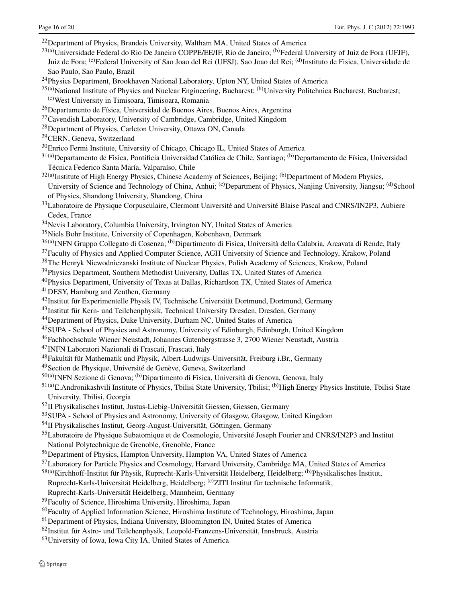<span id="page-15-48"></span><span id="page-15-44"></span><span id="page-15-43"></span><span id="page-15-39"></span><span id="page-15-36"></span><span id="page-15-33"></span><span id="page-15-8"></span><span id="page-15-4"></span><span id="page-15-2"></span><sup>22</sup>Department of Physics, Brandeis University, Waltham MA, United States of America

- <span id="page-15-16"></span><span id="page-15-15"></span> $^{23(a)}$ Universidade Federal do Rio De Janeiro COPPE/EE/IF, Rio de Janeiro; <sup>(b)</sup>Federal University of Juiz de Fora (UFJF), Juiz de Fora; <sup>(c)</sup>Federal University of Sao Joao del Rei (UFSJ), Sao Joao del Rei; <sup>(d)</sup>Instituto de Fisica, Universidade de Sao Paulo, Sao Paulo, Brazil
- <span id="page-15-29"></span><span id="page-15-12"></span><span id="page-15-7"></span><sup>24</sup>Physics Department, Brookhaven National Laboratory, Upton NY, United States of America
- <span id="page-15-41"></span> $^{25(a)}$ National Institute of Physics and Nuclear Engineering, Bucharest;  $^{(b)}$ University Politehnica Bucharest, Bucharest; (c)West University in Timisoara, Timisoara, Romania
- <span id="page-15-49"></span><span id="page-15-19"></span>26Departamento de Física, Universidad de Buenos Aires, Buenos Aires, Argentina
- <span id="page-15-46"></span><span id="page-15-37"></span>27Cavendish Laboratory, University of Cambridge, Cambridge, United Kingdom
- 28Department of Physics, Carleton University, Ottawa ON, Canada
- <span id="page-15-32"></span>29CERN, Geneva, Switzerland
- 30Enrico Fermi Institute, University of Chicago, Chicago IL, United States of America
- <span id="page-15-27"></span><span id="page-15-10"></span>31(a)Departamento de Fisica, Pontificia Universidad Católica de Chile, Santiago; (b)Departamento de Física, Universidad Técnica Federico Santa María, Valparaíso, Chile
- <span id="page-15-35"></span><span id="page-15-34"></span><span id="page-15-28"></span><sup>32(a)</sup>Institute of High Energy Physics, Chinese Academy of Sciences, Beijing; <sup>(b)</sup>Department of Modern Physics, University of Science and Technology of China, Anhui; <sup>(c)</sup>Department of Physics, Nanjing University, Jiangsu: <sup>(d)</sup>School of Physics, Shandong University, Shandong, China
- <span id="page-15-40"></span><span id="page-15-20"></span><span id="page-15-5"></span><sup>33</sup>Laboratoire de Physique Corpusculaire, Clermont Université and Université Blaise Pascal and CNRS/IN2P3, Aubiere Cedex, France
- <span id="page-15-25"></span>34Nevis Laboratory, Columbia University, Irvington NY, United States of America
- <span id="page-15-47"></span><span id="page-15-31"></span>35Niels Bohr Institute, University of Copenhagen, Kobenhavn, Denmark
- <sup>36(a)</sup>INFN Gruppo Collegato di Cosenza; <sup>(b)</sup>Dipartimento di Fisica, Università della Calabria, Arcavata di Rende, Italy
- <span id="page-15-14"></span><sup>37</sup>Faculty of Physics and Applied Computer Science, AGH University of Science and Technology, Krakow, Poland
- <span id="page-15-26"></span>38The Henryk Niewodniczanski Institute of Nuclear Physics, Polish Academy of Sciences, Krakow, Poland
- <sup>39</sup>Physics Department, Southern Methodist University, Dallas TX, United States of America
- <span id="page-15-13"></span>40Physics Department, University of Texas at Dallas, Richardson TX, United States of America
- <span id="page-15-0"></span><sup>41</sup>DESY, Hamburg and Zeuthen, Germany
- <span id="page-15-22"></span><span id="page-15-1"></span>42Institut für Experimentelle Physik IV, Technische Universität Dortmund, Dortmund, Germany
- <span id="page-15-21"></span><sup>43</sup>Institut für Kern- und Teilchenphysik, Technical University Dresden, Dresden, Germany
- <span id="page-15-38"></span>44Department of Physics, Duke University, Durham NC, United States of America
- <span id="page-15-42"></span>45SUPA - School of Physics and Astronomy, University of Edinburgh, Edinburgh, United Kingdom
- <span id="page-15-17"></span>46Fachhochschule Wiener Neustadt, Johannes Gutenbergstrasse 3, 2700 Wiener Neustadt, Austria
- <span id="page-15-9"></span>47INFN Laboratori Nazionali di Frascati, Frascati, Italy
- <span id="page-15-18"></span><span id="page-15-6"></span>48Fakultät für Mathematik und Physik, Albert-Ludwigs-Universität, Freiburg i.Br., Germany
- 49Section de Physique, Université de Genève, Geneva, Switzerland
- 50(a)INFN Sezione di Genova; (b)Dipartimento di Fisica, Università di Genova, Genova, Italy
- <span id="page-15-23"></span><span id="page-15-3"></span> $^{51(a)}$ E.Andronikashvili Institute of Physics, Tbilisi State University, Tbilisi; <sup>(b)</sup>High Energy Physics Institute, Tbilisi State University, Tbilisi, Georgia
- <span id="page-15-11"></span>52II Physikalisches Institut, Justus-Liebig-Universität Giessen, Giessen, Germany
- <span id="page-15-51"></span><span id="page-15-50"></span>53SUPA - School of Physics and Astronomy, University of Glasgow, Glasgow, United Kingdom
- 54II Physikalisches Institut, Georg-August-Universität, Göttingen, Germany
- <span id="page-15-53"></span><span id="page-15-52"></span>55Laboratoire de Physique Subatomique et de Cosmologie, Université Joseph Fourier and CNRS/IN2P3 and Institut National Polytechnique de Grenoble, Grenoble, France
- <span id="page-15-30"></span>56Department of Physics, Hampton University, Hampton VA, United States of America
- <span id="page-15-45"></span><span id="page-15-24"></span><sup>57</sup>Laboratory for Particle Physics and Cosmology, Harvard University, Cambridge MA, United States of America
- 58(a)Kirchhoff-Institut für Physik, Ruprecht-Karls-Universität Heidelberg, Heidelberg; (b)Physikalisches Institut, Ruprecht-Karls-Universität Heidelberg, Heidelberg; <sup>(c)</sup>ZITI Institut für technische Informatik,
- Ruprecht-Karls-Universität Heidelberg, Mannheim, Germany
- 59Faculty of Science, Hiroshima University, Hiroshima, Japan
- 60Faculty of Applied Information Science, Hiroshima Institute of Technology, Hiroshima, Japan
- 61Department of Physics, Indiana University, Bloomington IN, United States of America
- 62Institut für Astro- und Teilchenphysik, Leopold-Franzens-Universität, Innsbruck, Austria
- 63University of Iowa, Iowa City IA, United States of America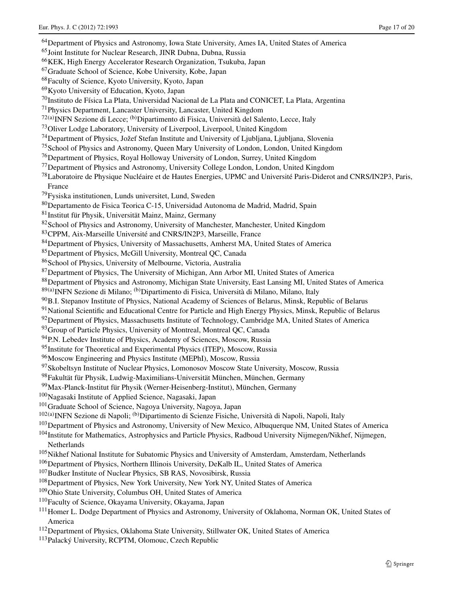<span id="page-16-52"></span><span id="page-16-51"></span><span id="page-16-48"></span><span id="page-16-43"></span><span id="page-16-41"></span><span id="page-16-40"></span><span id="page-16-36"></span><span id="page-16-35"></span><span id="page-16-34"></span><span id="page-16-33"></span><span id="page-16-31"></span><span id="page-16-30"></span><span id="page-16-29"></span><span id="page-16-28"></span><span id="page-16-27"></span><span id="page-16-26"></span><span id="page-16-25"></span><span id="page-16-24"></span><span id="page-16-23"></span><span id="page-16-22"></span><span id="page-16-19"></span><span id="page-16-18"></span><span id="page-16-15"></span><span id="page-16-14"></span><span id="page-16-13"></span><span id="page-16-12"></span><span id="page-16-11"></span><span id="page-16-10"></span><span id="page-16-9"></span><span id="page-16-8"></span><span id="page-16-7"></span><span id="page-16-4"></span><span id="page-16-3"></span><span id="page-16-2"></span><sup>64</sup>Department of Physics and Astronomy, Iowa State University, Ames IA, United States of America 65Joint Institute for Nuclear Research, JINR Dubna, Dubna, Russia 66KEK, High Energy Accelerator Research Organization, Tsukuba, Japan 67Graduate School of Science, Kobe University, Kobe, Japan 68Faculty of Science, Kyoto University, Kyoto, Japan 69Kyoto University of Education, Kyoto, Japan 70Instituto de Física La Plata, Universidad Nacional de La Plata and CONICET, La Plata, Argentina 71Physics Department, Lancaster University, Lancaster, United Kingdom  $72(a)$ INFN Sezione di Lecce;  $(b)$ Dipartimento di Fisica, Università del Salento, Lecce, Italy 73Oliver Lodge Laboratory, University of Liverpool, Liverpool, United Kingdom 74Department of Physics, Jožef Stefan Institute and University of Ljubljana, Ljubljana, Slovenia 75School of Physics and Astronomy, Queen Mary University of London, London, United Kingdom 76Department of Physics, Royal Holloway University of London, Surrey, United Kingdom 77Department of Physics and Astronomy, University College London, London, United Kingdom 78Laboratoire de Physique Nucléaire et de Hautes Energies, UPMC and Université Paris-Diderot and CNRS/IN2P3, Paris, France 79Fysiska institutionen, Lunds universitet, Lund, Sweden 80Departamento de Fisica Teorica C-15, Universidad Autonoma de Madrid, Madrid, Spain 81Institut für Physik, Universität Mainz, Mainz, Germany <sup>82</sup>School of Physics and Astronomy, University of Manchester, Manchester, United Kingdom 83CPPM, Aix-Marseille Université and CNRS/IN2P3, Marseille, France 84Department of Physics, University of Massachusetts, Amherst MA, United States of America 85Department of Physics, McGill University, Montreal QC, Canada 86School of Physics, University of Melbourne, Victoria, Australia <sup>87</sup>Department of Physics, The University of Michigan, Ann Arbor MI, United States of America 88 Department of Physics and Astronomy, Michigan State University, East Lansing MI, United States of America 89(a)INFN Sezione di Milano; <sup>(b)</sup>Dipartimento di Fisica, Università di Milano, Milano, Italy 90B.I. Stepanov Institute of Physics, National Academy of Sciences of Belarus, Minsk, Republic of Belarus <sup>91</sup>National Scientific and Educational Centre for Particle and High Energy Physics, Minsk, Republic of Belarus 92 Department of Physics, Massachusetts Institute of Technology, Cambridge MA, United States of America <sup>93</sup>Group of Particle Physics, University of Montreal, Montreal QC, Canada <sup>94</sup>P.N. Lebedev Institute of Physics, Academy of Sciences, Moscow, Russia <sup>95</sup>Institute for Theoretical and Experimental Physics (ITEP), Moscow, Russia 96Moscow Engineering and Physics Institute (MEPhI), Moscow, Russia 97Skobeltsyn Institute of Nuclear Physics, Lomonosov Moscow State University, Moscow, Russia 98Fakultät für Physik, Ludwig-Maximilians-Universität München, München, Germany 99Max-Planck-Institut für Physik (Werner-Heisenberg-Institut), München, Germany 100Nagasaki Institute of Applied Science, Nagasaki, Japan <sup>101</sup>Graduate School of Science, Nagoya University, Nagoya, Japan <sup>102(a)</sup>INFN Sezione di Napoli; <sup>(b)</sup>Dipartimento di Scienze Fisiche, Università di Napoli, Napoli, Italy <sup>103</sup>Department of Physics and Astronomy, University of New Mexico, Albuquerque NM, United States of America 104Institute for Mathematics, Astrophysics and Particle Physics, Radboud University Nijmegen/Nikhef, Nijmegen, Netherlands <sup>105</sup>Nikhef National Institute for Subatomic Physics and University of Amsterdam, Amsterdam, Netherlands <sup>106</sup>Department of Physics, Northern Illinois University, DeKalb IL, United States of America <sup>107</sup>Budker Institute of Nuclear Physics, SB RAS, Novosibirsk, Russia <sup>108</sup>Department of Physics, New York University, New York NY, United States of America <sup>109</sup>Ohio State University, Columbus OH, United States of America <sup>110</sup>Faculty of Science, Okayama University, Okayama, Japan <sup>111</sup>Homer L. Dodge Department of Physics and Astronomy, University of Oklahoma, Norman OK, United States of America

<span id="page-16-50"></span><span id="page-16-49"></span><span id="page-16-47"></span><span id="page-16-46"></span><span id="page-16-45"></span><span id="page-16-44"></span><span id="page-16-42"></span><span id="page-16-39"></span><span id="page-16-38"></span><span id="page-16-37"></span><span id="page-16-32"></span><span id="page-16-21"></span><span id="page-16-20"></span><span id="page-16-17"></span><span id="page-16-16"></span><span id="page-16-6"></span><span id="page-16-5"></span><span id="page-16-1"></span><span id="page-16-0"></span><sup>112</sup>Department of Physics, Oklahoma State University, Stillwater OK, United States of America

113Palacký University, RCPTM, Olomouc, Czech Republic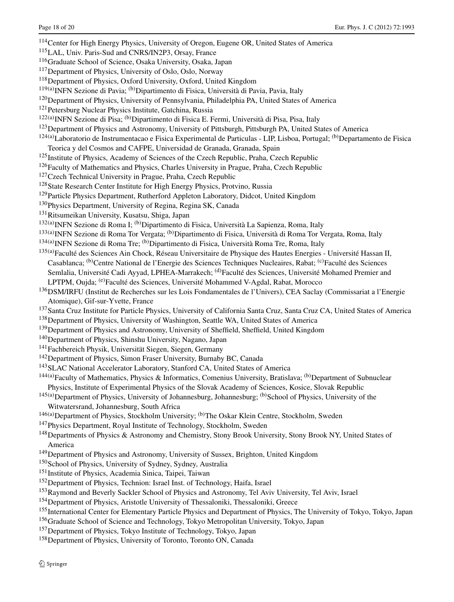<span id="page-17-57"></span><span id="page-17-53"></span><span id="page-17-52"></span><span id="page-17-50"></span><span id="page-17-49"></span><span id="page-17-48"></span><span id="page-17-47"></span><span id="page-17-45"></span><span id="page-17-44"></span><span id="page-17-42"></span><span id="page-17-41"></span><span id="page-17-40"></span><span id="page-17-39"></span><span id="page-17-38"></span><span id="page-17-37"></span><span id="page-17-36"></span><span id="page-17-34"></span><span id="page-17-33"></span><span id="page-17-32"></span><span id="page-17-31"></span><span id="page-17-30"></span><span id="page-17-29"></span><span id="page-17-27"></span><span id="page-17-22"></span><span id="page-17-21"></span><span id="page-17-20"></span><span id="page-17-18"></span><span id="page-17-15"></span><span id="page-17-13"></span><span id="page-17-11"></span><span id="page-17-10"></span><span id="page-17-9"></span><span id="page-17-7"></span><span id="page-17-6"></span><span id="page-17-4"></span><span id="page-17-3"></span><span id="page-17-2"></span><span id="page-17-0"></span>114Center for High Energy Physics, University of Oregon, Eugene OR, United States of America 115LAL, Univ. Paris-Sud and CNRS/IN2P3, Orsay, France 116Graduate School of Science, Osaka University, Osaka, Japan 117Department of Physics, University of Oslo, Oslo, Norway 118Department of Physics, Oxford University, Oxford, United Kingdom <sup>119(a)</sup>INFN Sezione di Pavia; <sup>(b)</sup>Dipartimento di Fisica, Università di Pavia, Pavia, Italy 120Department of Physics, University of Pennsylvania, Philadelphia PA, United States of America <sup>121</sup> Petersburg Nuclear Physics Institute, Gatchina, Russia <sup>122(a)</sup>INFN Sezione di Pisa; <sup>(b)</sup>Dipartimento di Fisica E. Fermi, Università di Pisa, Pisa, Italy <sup>123</sup>Department of Physics and Astronomy, University of Pittsburgh, Pittsburgh PA, United States of America  $124(a)$ Laboratorio de Instrumentacao e Fisica Experimental de Particulas - LIP, Lisboa, Portugal; (b) Departamento de Fisica Teorica y del Cosmos and CAFPE, Universidad de Granada, Granada, Spain <sup>125</sup>Institute of Physics, Academy of Sciences of the Czech Republic, Praha, Czech Republic  $126$  Faculty of Mathematics and Physics, Charles University in Prague, Praha, Czech Republic <sup>127</sup>Czech Technical University in Prague, Praha, Czech Republic <sup>128</sup>State Research Center Institute for High Energy Physics, Protvino, Russia <sup>129</sup> Particle Physics Department, Rutherford Appleton Laboratory, Didcot, United Kingdom <sup>130</sup>Physics Department, University of Regina, Regina SK, Canada 131Ritsumeikan University, Kusatsu, Shiga, Japan <sup>132(a)</sup>INFN Sezione di Roma I; <sup>(b)</sup>Dipartimento di Fisica, Università La Sapienza, Roma, Italy <sup>133(a)</sup>INFN Sezione di Roma Tor Vergata; <sup>(b)</sup>Dipartimento di Fisica, Università di Roma Tor Vergata, Roma, Italy <sup>134(a)</sup>INFN Sezione di Roma Tre; <sup>(b)</sup>Dipartimento di Fisica, Università Roma Tre, Roma, Italy 135(a)Faculté des Sciences Ain Chock, Réseau Universitaire de Physique des Hautes Energies - Université Hassan II, Casablanca; <sup>(b)</sup>Centre National de l'Energie des Sciences Techniques Nucleaires, Rabat; <sup>(c)</sup>Faculté des Sciences Semlalia, Université Cadi Ayyad, LPHEA-Marrakech; <sup>(d)</sup>Faculté des Sciences, Université Mohamed Premier and LPTPM, Oujda; (e)Faculté des Sciences, Université Mohammed V-Agdal, Rabat, Morocco <sup>136</sup>DSM/IRFU (Institut de Recherches sur les Lois Fondamentales de l'Univers), CEA Saclay (Commissariat a l'Energie Atomique), Gif-sur-Yvette, France <sup>137</sup>Santa Cruz Institute for Particle Physics, University of California Santa Cruz, Santa Cruz CA, United States of America <sup>138</sup>Department of Physics, University of Washington, Seattle WA, United States of America <sup>139</sup>Department of Physics and Astronomy, University of Sheffield, Sheffield, United Kingdom 140Department of Physics, Shinshu University, Nagano, Japan 141Fachbereich Physik, Universität Siegen, Siegen, Germany 142Department of Physics, Simon Fraser University, Burnaby BC, Canada <sup>143</sup>SLAC National Accelerator Laboratory, Stanford CA, United States of America 144(a)Faculty of Mathematics, Physics & Informatics, Comenius University, Bratislava; <sup>(b)</sup>Department of Subnuclear Physics, Institute of Experimental Physics of the Slovak Academy of Sciences, Kosice, Slovak Republic <sup>145(a)</sup>Department of Physics, University of Johannesburg, Johannesburg; <sup>(b)</sup>School of Physics, University of the Witwatersrand, Johannesburg, South Africa  $146(a)$ Department of Physics, Stockholm University;  $(b)$ The Oskar Klein Centre, Stockholm, Sweden <sup>147</sup>Physics Department, Royal Institute of Technology, Stockholm, Sweden 148Departments of Physics & Astronomy and Chemistry, Stony Brook University, Stony Brook NY, United States of America 149Department of Physics and Astronomy, University of Sussex, Brighton, United Kingdom <sup>150</sup>School of Physics, University of Sydney, Sydney, Australia 151Institute of Physics, Academia Sinica, Taipei, Taiwan 152Department of Physics, Technion: Israel Inst. of Technology, Haifa, Israel <sup>153</sup>Raymond and Beverly Sackler School of Physics and Astronomy, Tel Aviv University, Tel Aviv, Israel <sup>154</sup>Department of Physics, Aristotle University of Thessaloniki, Thessaloniki, Greece <sup>155</sup>International Center for Elementary Particle Physics and Department of Physics, The University of Tokyo, Tokyo, Japan <sup>156</sup>Graduate School of Science and Technology, Tokyo Metropolitan University, Tokyo, Japan

<span id="page-17-56"></span><span id="page-17-55"></span><span id="page-17-54"></span><span id="page-17-51"></span><span id="page-17-46"></span><span id="page-17-43"></span><span id="page-17-35"></span><span id="page-17-28"></span><span id="page-17-26"></span><span id="page-17-25"></span><span id="page-17-24"></span><span id="page-17-23"></span><span id="page-17-19"></span><span id="page-17-17"></span><span id="page-17-16"></span><span id="page-17-14"></span><span id="page-17-12"></span><span id="page-17-8"></span><span id="page-17-5"></span><span id="page-17-1"></span>157Department of Physics, Tokyo Institute of Technology, Tokyo, Japan

<sup>158</sup>Department of Physics, University of Toronto, Toronto ON, Canada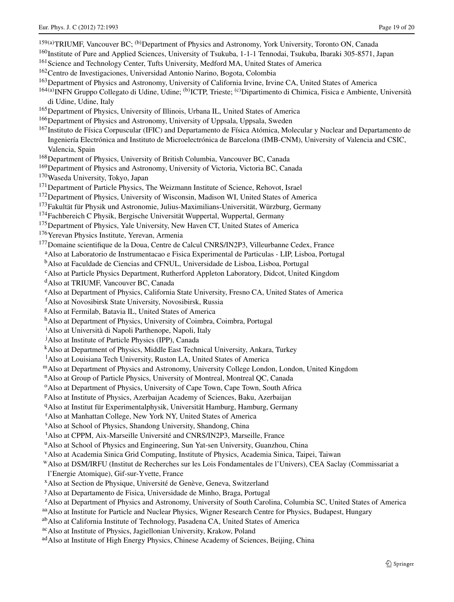- <span id="page-18-43"></span><span id="page-18-36"></span><span id="page-18-34"></span><span id="page-18-32"></span><span id="page-18-30"></span><span id="page-18-27"></span><span id="page-18-26"></span><span id="page-18-25"></span><span id="page-18-24"></span><span id="page-18-23"></span><span id="page-18-22"></span><span id="page-18-21"></span><span id="page-18-20"></span><span id="page-18-19"></span><span id="page-18-18"></span><span id="page-18-17"></span><span id="page-18-16"></span><span id="page-18-15"></span><span id="page-18-14"></span><span id="page-18-13"></span><span id="page-18-12"></span><span id="page-18-11"></span><span id="page-18-10"></span><span id="page-18-9"></span><span id="page-18-8"></span><span id="page-18-7"></span><span id="page-18-6"></span><span id="page-18-5"></span><span id="page-18-4"></span><span id="page-18-3"></span><span id="page-18-2"></span><span id="page-18-1"></span><span id="page-18-0"></span>159(a)TRIUMF, Vancouver BC; (b)Department of Physics and Astronomy, York University, Toronto ON, Canada 160Institute of Pure and Applied Sciences, University of Tsukuba, 1-1-1 Tennodai, Tsukuba, Ibaraki 305-8571, Japan <sup>161</sup> Science and Technology Center, Tufts University, Medford MA, United States of America <sup>162</sup>Centro de Investigaciones, Universidad Antonio Narino, Bogota, Colombia 163Department of Physics and Astronomy, University of California Irvine, Irvine CA, United States of America  $^{164(a)}$ INFN Gruppo Collegato di Udine, Udine; <sup>(b)</sup>ICTP, Trieste; <sup>(c)</sup>Dipartimento di Chimica, Fisica e Ambiente, Università di Udine, Udine, Italy 165Department of Physics, University of Illinois, Urbana IL, United States of America <sup>166</sup>Department of Physics and Astronomy, University of Uppsala, Uppsala, Sweden 167Instituto de Física Corpuscular (IFIC) and Departamento de Física Atómica, Molecular y Nuclear and Departamento de Ingeniería Electrónica and Instituto de Microelectrónica de Barcelona (IMB-CNM), University of Valencia and CSIC, Valencia, Spain 168Department of Physics, University of British Columbia, Vancouver BC, Canada <sup>169</sup>Department of Physics and Astronomy, University of Victoria, Victoria BC, Canada 170Waseda University, Tokyo, Japan <sup>171</sup>Department of Particle Physics, The Weizmann Institute of Science, Rehovot, Israel <sup>172</sup>Department of Physics, University of Wisconsin, Madison WI, United States of America 173Fakultät für Physik und Astronomie, Julius-Maximilians-Universität, Würzburg, Germany <sup>174</sup>Fachbereich C Physik, Bergische Universität Wuppertal, Wuppertal, Germany <sup>175</sup>Department of Physics, Yale University, New Haven CT, United States of America <sup>176</sup> Yerevan Physics Institute, Yerevan, Armenia 177Domaine scientifique de la Doua, Centre de Calcul CNRS/IN2P3, Villeurbanne Cedex, France aAlso at Laboratorio de Instrumentacao e Fisica Experimental de Particulas - LIP, Lisboa, Portugal bAlso at Faculdade de Ciencias and CFNUL, Universidade de Lisboa, Lisboa, Portugal cAlso at Particle Physics Department, Rutherford Appleton Laboratory, Didcot, United Kingdom <sup>d</sup>Also at TRIUMF, Vancouver BC, Canada eAlso at Department of Physics, California State University, Fresno CA, United States of America f Also at Novosibirsk State University, Novosibirsk, Russia gAlso at Fermilab, Batavia IL, United States of America h<sup>A</sup>lso at Department of Physics, University of Coimbra, Coimbra, Portugal <sup>i</sup> Also at Università di Napoli Parthenope, Napoli, Italy j Also at Institute of Particle Physics (IPP), Canada kAlso at Department of Physics, Middle East Technical University, Ankara, Turkey <sup>1</sup>Also at Louisiana Tech University, Ruston LA, United States of America mAlso at Department of Physics and Astronomy, University College London, London, United Kingdom nAlso at Group of Particle Physics, University of Montreal, Montreal QC, Canada <sup>o</sup>Also at Department of Physics, University of Cape Town, Cape Town, South Africa pAlso at Institute of Physics, Azerbaijan Academy of Sciences, Baku, Azerbaijan qAlso at Institut für Experimentalphysik, Universität Hamburg, Hamburg, Germany <sup>r</sup> Also at Manhattan College, New York NY, United States of America s Also at School of Physics, Shandong University, Shandong, China <sup>t</sup>Also at CPPM, Aix-Marseille Université and CNRS/IN2P3, Marseille, France <sup>u</sup>Also at School of Physics and Engineering, Sun Yat-sen University, Guanzhou, China vAlso at Academia Sinica Grid Computing, Institute of Physics, Academia Sinica, Taipei, Taiwan wAlso at DSM/IRFU (Institut de Recherches sur les Lois Fondamentales de l'Univers), CEA Saclay (Commissariat a l'Energie Atomique), Gif-sur-Yvette, France xAlso at Section de Physique, Université de Genève, Geneva, Switzerland yAlso at Departamento de Fisica, Universidade de Minho, Braga, Portugal <sup>z</sup>Also at Department of Physics and Astronomy, University of South Carolina, Columbia SC, United States of America aa Also at Institute for Particle and Nuclear Physics, Wigner Research Centre for Physics, Budapest, Hungary abAlso at California Institute of Technology, Pasadena CA, United States of America
- <span id="page-18-51"></span><span id="page-18-50"></span><span id="page-18-49"></span><span id="page-18-48"></span><span id="page-18-47"></span><span id="page-18-46"></span><span id="page-18-45"></span><span id="page-18-44"></span><span id="page-18-42"></span><span id="page-18-41"></span><span id="page-18-40"></span><span id="page-18-39"></span><span id="page-18-38"></span><span id="page-18-37"></span><span id="page-18-35"></span><span id="page-18-33"></span><span id="page-18-31"></span><span id="page-18-29"></span><span id="page-18-28"></span>acAlso at Institute of Physics, Jagiellonian University, Krakow, Poland
- ad Also at Institute of High Energy Physics, Chinese Academy of Sciences, Beijing, China